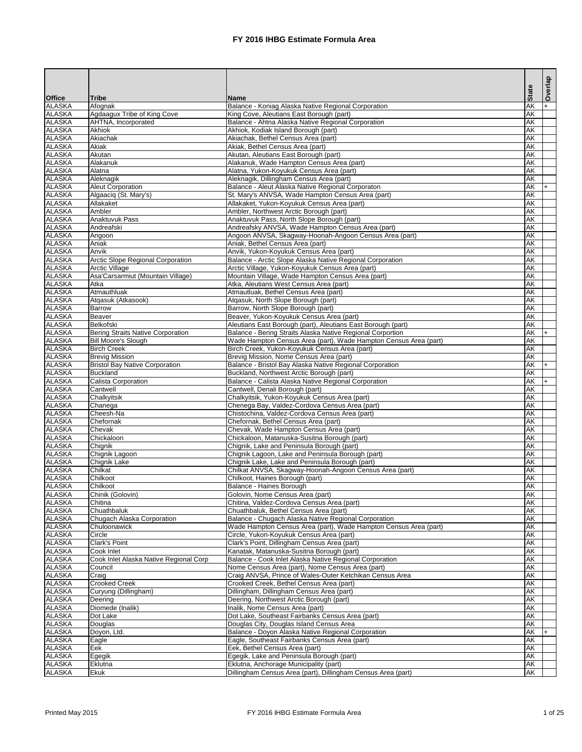|                                |                                                  |                                                                                                        | <b>State</b>                                         | Overlap   |
|--------------------------------|--------------------------------------------------|--------------------------------------------------------------------------------------------------------|------------------------------------------------------|-----------|
| <b>Office</b><br><b>ALASKA</b> | <b>Tribe</b><br>Afognak                          | <b>Name</b>                                                                                            | $\overline{\mathsf{AK}}$                             |           |
| <b>ALASKA</b>                  | Agdaagux Tribe of King Cove                      | Balance - Koniag Alaska Native Regional Corporation<br>King Cove, Aleutians East Borough (part)        | <b>AK</b>                                            | $+$       |
| <b>ALASKA</b>                  | AHTNA, Incorporated                              | Balance - Ahtna Alaska Native Regional Corporation                                                     | <b>AK</b>                                            |           |
| <b>ALASKA</b>                  | <b>Akhiok</b>                                    | Akhiok, Kodiak Island Borough (part)                                                                   | <b>AK</b>                                            |           |
| <b>ALASKA</b>                  | Akiachak                                         | Akiachak, Bethel Census Area (part)                                                                    | $\overline{\mathsf{AK}}$                             |           |
| <b>ALASKA</b>                  | Akiak                                            | Akiak, Bethel Census Area (part)                                                                       | <b>AK</b>                                            |           |
| <b>ALASKA</b><br><b>ALASKA</b> | Akutan<br>Alakanuk                               | Akutan, Aleutians East Borough (part)<br>Alakanuk, Wade Hampton Census Area (part)                     | <b>AK</b><br><b>AK</b>                               |           |
| <b>ALASKA</b>                  | Alatna                                           | Alatna, Yukon-Koyukuk Census Area (part)                                                               | <b>AK</b>                                            |           |
| <b>ALASKA</b>                  | Aleknagik                                        | Aleknagik, Dillingham Census Area (part)                                                               | $\overline{\mathsf{AK}}$                             |           |
| <b>ALASKA</b>                  | <b>Aleut Corporation</b>                         | Balance - Aleut Alaska Native Regional Corporaton                                                      | AK                                                   | $\ddot{}$ |
| <b>ALASKA</b>                  | Algaaciq (St. Mary's)                            | St. Mary's ANVSA, Wade Hampton Census Area (part)                                                      | <b>AK</b>                                            |           |
| <b>ALASKA</b>                  | Allakaket                                        | Allakaket, Yukon-Koyukuk Census Area (part)                                                            | $\overline{\mathsf{AK}}$                             |           |
| <b>ALASKA</b><br><b>ALASKA</b> | Ambler<br><b>Anaktuvuk Pass</b>                  | Ambler, Northwest Arctic Borough (part)                                                                | $\overline{\mathsf{AK}}$<br>$\overline{\mathsf{AK}}$ |           |
| <b>ALASKA</b>                  | Andreafski                                       | Anaktuvuk Pass, North Slope Borough (part)<br>Andreafsky ANVSA, Wade Hampton Census Area (part)        | $\overline{\mathsf{AK}}$                             |           |
| <b>ALASKA</b>                  | Angoon                                           | Angoon ANVSA, Skagway-Hoonah-Angoon Census Area (part)                                                 | $\overline{\mathsf{AK}}$                             |           |
| <b>ALASKA</b>                  | Aniak                                            | Aniak, Bethel Census Area (part)                                                                       | AK                                                   |           |
| <b>ALASKA</b>                  | Anvik                                            | Anvik, Yukon-Koyukuk Census Area (part)                                                                | AK                                                   |           |
| <b>ALASKA</b>                  | <b>Arctic Slope Regional Corporation</b>         | Balance - Arctic Slope Alaska Native Regional Corporation                                              | AK                                                   |           |
| <b>ALASKA</b>                  | <b>Arctic Village</b>                            | Arctic Village, Yukon-Koyukuk Census Area (part)                                                       | AK                                                   |           |
| <b>ALASKA</b><br><b>ALASKA</b> | Asa'Carsarmiut (Mountain Village)<br>Atka        | Mountain Village, Wade Hampton Census Area (part)                                                      | AK<br>$\overline{\mathsf{AK}}$                       |           |
| <b>ALASKA</b>                  | Atmauthluak                                      | Atka, Aleutians West Census Area (part)<br>Atmautluak, Bethel Census Area (part)                       | $\overline{\mathsf{AK}}$                             |           |
| <b>ALASKA</b>                  | Atqasuk (Atkasook)                               | Atqasuk, North Slope Borough (part)                                                                    | $\overline{\mathsf{AK}}$                             |           |
| <b>ALASKA</b>                  | <b>Barrow</b>                                    | Barrow, North Slope Borough (part)                                                                     | $\overline{\mathsf{AK}}$                             |           |
| <b>ALASKA</b>                  | <b>Beaver</b>                                    | Beaver, Yukon-Koyukuk Census Area (part)                                                               | $\overline{\mathsf{AK}}$                             |           |
| <b>ALASKA</b>                  | Belkofski                                        | Aleutians East Borough (part), Aleutians East Borough (part)                                           | $\overline{\mathsf{AK}}$                             |           |
| <b>ALASKA</b>                  | Bering Straits Native Corporation                | Balance - Bering Straits Alaska Native Regional Corportion                                             | AK                                                   | $+$       |
| <b>ALASKA</b>                  | <b>Bill Moore's Slough</b><br><b>Birch Creek</b> | Wade Hampton Census Area (part), Wade Hampton Census Area (part)                                       | AK                                                   |           |
| <b>ALASKA</b><br><b>ALASKA</b> | <b>Brevig Mission</b>                            | Birch Creek, Yukon-Koyukuk Census Area (part)<br>Brevig Mission, Nome Census Area (part)               | AK<br>AK                                             |           |
| <b>ALASKA</b>                  | <b>Bristol Bay Native Corporation</b>            | Balance - Bristol Bay Alaska Native Regional Corporation                                               | AK                                                   | $+$       |
| <b>ALASKA</b>                  | Buckland                                         | Buckland, Northwest Arctic Borough (part)                                                              | AK                                                   |           |
| <b>ALASKA</b>                  | Calista Corporation                              | Balance - Calista Alaska Native Regional Corporation                                                   | AK                                                   | $+$       |
| <b>ALASKA</b>                  | Cantwell                                         | Cantwell, Denali Borough (part)                                                                        | <b>AK</b>                                            |           |
| <b>ALASKA</b>                  | Chalkyitsik                                      | Chalkyitsik, Yukon-Koyukuk Census Area (part)                                                          | AK                                                   |           |
| <b>ALASKA</b>                  | Chanega                                          | Chenega Bay, Valdez-Cordova Census Area (part)                                                         | AK                                                   |           |
| <b>ALASKA</b><br><b>ALASKA</b> | Cheesh-Na<br>Chefornak                           | Chistochina, Valdez-Cordova Census Area (part)<br>Chefornak, Bethel Census Area (part)                 | AK<br>AK                                             |           |
| <b>ALASKA</b>                  | Chevak                                           | Chevak, Wade Hampton Census Area (part)                                                                | AK                                                   |           |
| <b>ALASKA</b>                  | Chickaloon                                       | Chickaloon, Matanuska-Susitna Borough (part)                                                           | AK                                                   |           |
| <b>ALASKA</b>                  | Chignik                                          | Chignik, Lake and Peninsula Borough (part)                                                             | AK                                                   |           |
| <b>ALASKA</b>                  | Chignik Lagoon                                   | Chignik Lagoon, Lake and Peninsula Borough (part)                                                      | AK                                                   |           |
| <b>ALASKA</b>                  | <b>Chignik Lake</b>                              | Chignik Lake, Lake and Peninsula Borough (part)                                                        | <b>AK</b>                                            |           |
| <b>ALASKA</b>                  | Chilkat                                          | Chilkat ANVSA, Skagway-Hoonah-Angoon Census Area (part)                                                | <b>AK</b>                                            |           |
| <b>ALASKA</b><br><b>ALASKA</b> | Chilkoot<br>Chilkoot                             | Chilkoot, Haines Borough (part)<br>Balance - Haines Borough                                            | AK<br>AK                                             |           |
| <b>ALASKA</b>                  | Chinik (Golovin)                                 | Golovin, Nome Census Area (part)                                                                       | AK                                                   |           |
| <b>ALASKA</b>                  | Chitina                                          | Chitina, Valdez-Cordova Census Area (part)                                                             | AK                                                   |           |
| <b>ALASKA</b>                  | Chuathbaluk                                      | Chuathbaluk, Bethel Census Area (part)                                                                 | AK                                                   |           |
| <b>ALASKA</b>                  | Chugach Alaska Corporation                       | Balance - Chugach Alaska Native Regional Corporation                                                   | AK                                                   |           |
| <b>ALASKA</b>                  | Chuloonawick                                     | Wade Hampton Census Area (part), Wade Hampton Census Area (part)                                       | AK                                                   |           |
| <b>ALASKA</b><br><b>ALASKA</b> | Circle                                           | Circle, Yukon-Koyukuk Census Area (part)                                                               | AK                                                   |           |
| <b>ALASKA</b>                  | <b>Clark's Point</b><br>Cook Inlet               | Clark's Point, Dillingham Census Area (part)<br>Kanatak, Matanuska-Susitna Borough (part)              | AK<br><b>AK</b>                                      |           |
| <b>ALASKA</b>                  | Cook Inlet Alaska Native Regional Corp           | Balance - Cook Inlet Alaska Native Regional Corporation                                                | AK                                                   |           |
| <b>ALASKA</b>                  | Council                                          | Nome Census Area (part), Nome Census Area (part)                                                       | AK                                                   |           |
| <b>ALASKA</b>                  | Craig                                            | Craig ANVSA, Prince of Wales-Outer Ketchikan Census Area                                               | AK                                                   |           |
| <b>ALASKA</b>                  | <b>Crooked Creek</b>                             | Crooked Creek, Bethel Census Area (part)                                                               | AK                                                   |           |
| <b>ALASKA</b>                  | Curyung (Dillingham)                             | Dillingham, Dillingham Census Area (part)                                                              | AK                                                   |           |
| <b>ALASKA</b>                  | Deering                                          | Deering, Northwest Arctic Borough (part)                                                               | AK                                                   |           |
| <b>ALASKA</b><br><b>ALASKA</b> | Diomede (Inalik)<br>Dot Lake                     | Inalik, Nome Census Area (part)<br>Dot Lake, Southeast Fairbanks Census Area (part)                    | AK<br>AK                                             |           |
| <b>ALASKA</b>                  | Douglas                                          | Douglas City, Douglas Island Census Area                                                               | AK                                                   |           |
| <b>ALASKA</b>                  | Dovon, Ltd.                                      | Balance - Doyon Alaska Native Regional Corporation                                                     | AK                                                   |           |
| <b>ALASKA</b>                  | Eagle                                            | Eagle, Southeast Fairbanks Census Area (part)                                                          | <b>AK</b>                                            |           |
| <b>ALASKA</b>                  | Eek                                              | Eek, Bethel Census Area (part)                                                                         | <b>AK</b>                                            |           |
| <b>ALASKA</b>                  | Egegik                                           | Egegik, Lake and Peninsula Borough (part)                                                              | <b>AK</b>                                            |           |
| <b>ALASKA</b><br><b>ALASKA</b> | Eklutna<br>Ekuk                                  | Eklutna, Anchorage Municipality (part)<br>Dillingham Census Area (part), Dillingham Census Area (part) | AK<br>AK                                             |           |
|                                |                                                  |                                                                                                        |                                                      |           |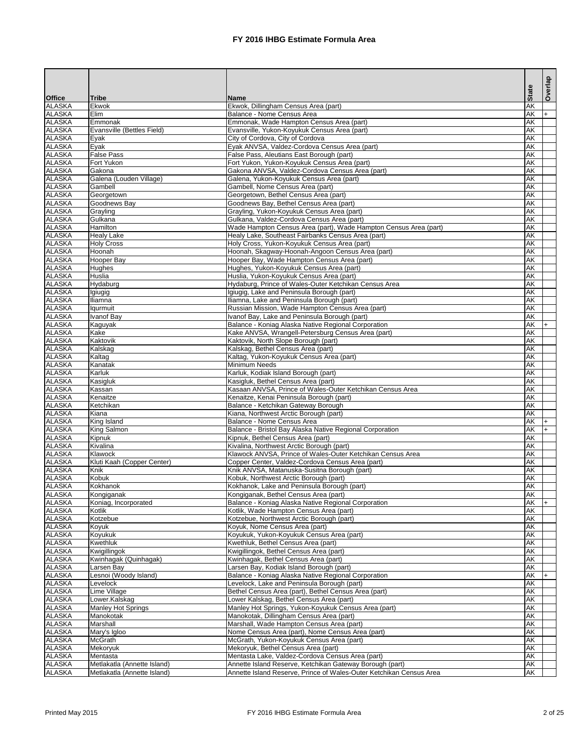|                                |                                        |                                                                                                   |                        | Overlap |
|--------------------------------|----------------------------------------|---------------------------------------------------------------------------------------------------|------------------------|---------|
| <b>Office</b>                  | <b>Tribe</b>                           | <b>Name</b>                                                                                       | <b>State</b>           |         |
| <b>ALASKA</b>                  | <b>Ekwok</b>                           | Ekwok, Dillingham Census Area (part)                                                              | <b>AK</b>              |         |
| <b>ALASKA</b><br><b>ALASKA</b> | <b>Elim</b><br>Emmonak                 | Balance - Nome Census Area                                                                        | AK<br>AK               | I+.     |
| <b>ALASKA</b>                  | Evansville (Bettles Field)             | Emmonak, Wade Hampton Census Area (part)<br>Evansville, Yukon-Koyukuk Census Area (part)          | <b>AK</b>              |         |
| <b>ALASKA</b>                  | Eyak                                   | City of Cordova, City of Cordova                                                                  | <b>AK</b>              |         |
| <b>ALASKA</b>                  | Eyak                                   | Eyak ANVSA, Valdez-Cordova Census Area (part)                                                     | <b>AK</b>              |         |
| <b>ALASKA</b>                  | <b>False Pass</b>                      | False Pass, Aleutians East Borough (part)                                                         | <b>AK</b>              |         |
| <b>ALASKA</b>                  | Fort Yukon                             | Fort Yukon, Yukon-Koyukuk Census Area (part)                                                      | <b>AK</b>              |         |
| <b>ALASKA</b><br><b>ALASKA</b> | Gakona<br>Galena (Louden Village)      | Gakona ANVSA, Valdez-Cordova Census Area (part)                                                   | <b>AK</b><br><b>AK</b> |         |
| <b>ALASKA</b>                  | Gambell                                | Galena, Yukon-Koyukuk Census Area (part)<br>Gambell, Nome Census Area (part)                      | <b>AK</b>              |         |
| <b>ALASKA</b>                  | Georgetown                             | Georgetown, Bethel Census Area (part)                                                             | <b>AK</b>              |         |
| <b>ALASKA</b>                  | Goodnews Bay                           | Goodnews Bay, Bethel Census Area (part)                                                           | <b>AK</b>              |         |
| <b>ALASKA</b>                  | Grayling                               | Grayling, Yukon-Koyukuk Census Area (part)                                                        | <b>AK</b>              |         |
| <b>ALASKA</b>                  | Gulkana                                | Gulkana, Valdez-Cordova Census Area (part)                                                        | <b>AK</b>              |         |
| <b>ALASKA</b>                  | <b>Hamilton</b>                        | Wade Hampton Census Area (part), Wade Hampton Census Area (part)                                  | <b>AK</b>              |         |
| <b>ALASKA</b><br><b>ALASKA</b> | <b>Healy Lake</b><br><b>Holy Cross</b> | Healy Lake, Southeast Fairbanks Census Area (part)                                                | <b>AK</b><br><b>AK</b> |         |
| <b>ALASKA</b>                  | Hoonah                                 | Holy Cross, Yukon-Koyukuk Census Area (part)<br>Hoonah, Skagway-Hoonah-Angoon Census Area (part)  | <b>AK</b>              |         |
| <b>ALASKA</b>                  | Hooper Bay                             | Hooper Bay, Wade Hampton Census Area (part)                                                       | <b>AK</b>              |         |
| <b>ALASKA</b>                  | Hughes                                 | Hughes, Yukon-Koyukuk Census Area (part)                                                          | <b>AK</b>              |         |
| <b>ALASKA</b>                  | Huslia                                 | Huslia, Yukon-Koyukuk Census Area (part)                                                          | <b>AK</b>              |         |
| <b>ALASKA</b>                  | Hydaburg                               | Hydaburg, Prince of Wales-Outer Ketchikan Census Area                                             | <b>AK</b>              |         |
| <b>ALASKA</b>                  | Igiugig                                | Igiugig, Lake and Peninsula Borough (part)                                                        | <b>AK</b>              |         |
| <b>ALASKA</b><br><b>ALASKA</b> | <b>Iliamna</b>                         | Iliamna, Lake and Peninsula Borough (part)                                                        | <b>AK</b><br><b>AK</b> |         |
| <b>ALASKA</b>                  | lqurmuit<br>Ivanof Bay                 | Russian Mission, Wade Hampton Census Area (part)<br>Ivanof Bay, Lake and Peninsula Borough (part) | <b>AK</b>              |         |
| <b>ALASKA</b>                  | Kaguyak                                | Balance - Koniag Alaska Native Regional Corporation                                               | AK                     |         |
| <b>ALASKA</b>                  | Kake                                   | Kake ANVSA, Wrangell-Petersburg Census Area (part)                                                | <b>AK</b>              |         |
| <b>ALASKA</b>                  | Kaktovik                               | Kaktovik, North Slope Borough (part)                                                              | <b>AK</b>              |         |
| <b>ALASKA</b>                  | Kalskag                                | Kalskag, Bethel Census Area (part)                                                                | <b>AK</b>              |         |
| <b>ALASKA</b>                  | Kaltag                                 | Kaltag, Yukon-Koyukuk Census Area (part)                                                          | <b>AK</b>              |         |
| <b>ALASKA</b>                  | Kanatak                                | <b>Minimum Needs</b>                                                                              | <b>AK</b>              |         |
| <b>ALASKA</b><br><b>ALASKA</b> | Karluk<br>Kasigluk                     | Karluk, Kodiak Island Borough (part)<br>Kasigluk, Bethel Census Area (part)                       | IAK.<br>AK             |         |
| <b>ALASKA</b>                  | Kassan                                 | Kasaan ANVSA, Prince of Wales-Outer Ketchikan Census Area                                         | AK                     |         |
| <b>ALASKA</b>                  | Kenaitze                               | Kenaitze, Kenai Peninsula Borough (part)                                                          | AK                     |         |
| <b>ALASKA</b>                  | Ketchikan                              | Balance - Ketchikan Gateway Borough                                                               | AK                     |         |
| <b>ALASKA</b>                  | Kiana                                  | Kiana, Northwest Arctic Borough (part)                                                            | AK                     |         |
| <b>ALASKA</b>                  | King Island                            | Balance - Nome Census Area                                                                        | AK                     |         |
| <b>ALASKA</b>                  | King Salmon                            | Balance - Bristol Bay Alaska Native Regional Corporation                                          | AK                     |         |
| <b>ALASKA</b><br><b>ALASKA</b> | Kipnuk<br>Kivalina                     | Kipnuk, Bethel Census Area (part)<br>Kivalina, Northwest Arctic Borough (part)                    | AK<br>AK               |         |
| <b>ALASKA</b>                  | Klawock                                | Klawock ANVSA, Prince of Wales-Outer Ketchikan Census Area                                        | AK                     |         |
| <b>ALASKA</b>                  | Kluti Kaah (Copper Center)             | Copper Center, Valdez-Cordova Census Area (part)                                                  | AK                     |         |
| <b>ALASKA</b>                  | Knik                                   | Knik ANVSA, Matanuska-Susitna Borough (part)                                                      | AK                     |         |
| <b>ALASKA</b>                  | Kobuk                                  | Kobuk, Northwest Arctic Borough (part)                                                            | AK                     |         |
| <b>ALASKA</b>                  | Kokhanok                               | Kokhanok, Lake and Peninsula Borough (part)                                                       | AK                     |         |
| <b>ALASKA</b><br><b>ALASKA</b> | Kongiganak<br>Koniag, Incorporated     | Kongiganak, Bethel Census Area (part)<br>Balance - Koniag Alaska Native Regional Corporation      | AK<br>AK               |         |
| <b>ALASKA</b>                  | Kotlik                                 | Kotlik, Wade Hampton Census Area (part)                                                           | AK                     | l+      |
| <b>ALASKA</b>                  | Kotzebue                               | Kotzebue, Northwest Arctic Borough (part)                                                         | AK                     |         |
| <b>ALASKA</b>                  | Koyuk                                  | Koyuk, Nome Census Area (part)                                                                    | AK                     |         |
| <b>ALASKA</b>                  | Koyukuk                                | Koyukuk, Yukon-Koyukuk Census Area (part)                                                         | AK                     |         |
| <b>ALASKA</b>                  | Kwethluk                               | Kwethluk, Bethel Census Area (part)                                                               | AK                     |         |
| <b>ALASKA</b>                  | Kwigillingok                           | Kwigillingok, Bethel Census Area (part)                                                           | AK                     |         |
| <b>ALASKA</b><br><b>ALASKA</b> | Kwinhagak (Quinhagak)<br>Larsen Bay    | Kwinhagak, Bethel Census Area (part)<br>Larsen Bay, Kodiak Island Borough (part)                  | AK<br>AK               |         |
| <b>ALASKA</b>                  | Lesnoi (Woody Island)                  | Balance - Koniag Alaska Native Regional Corporation                                               | AK                     | $+$     |
| <b>ALASKA</b>                  | Levelock                               | Levelock, Lake and Peninsula Borough (part)                                                       | AK                     |         |
| <b>ALASKA</b>                  | Lime Village                           | Bethel Census Area (part), Bethel Census Area (part)                                              | AK                     |         |
| <b>ALASKA</b>                  | Lower.Kalskag                          | Lower Kalskag, Bethel Census Area (part)                                                          | AK                     |         |
| <b>ALASKA</b>                  | <b>Manley Hot Springs</b>              | Manley Hot Springs, Yukon-Koyukuk Census Area (part)                                              | AK                     |         |
| <b>ALASKA</b>                  | Manokotak                              | Manokotak, Dillingham Census Area (part)                                                          | AK                     |         |
| <b>ALASKA</b><br><b>ALASKA</b> | Marshall<br>Mary's Igloo               | Marshall, Wade Hampton Census Area (part)<br>Nome Census Area (part), Nome Census Area (part)     | AK<br>AK               |         |
| <b>ALASKA</b>                  | <b>McGrath</b>                         | McGrath, Yukon-Koyukuk Census Area (part)                                                         | AK                     |         |
| <b>ALASKA</b>                  | Mekoryuk                               | Mekoryuk, Bethel Census Area (part)                                                               | AK                     |         |
| <b>ALASKA</b>                  | Mentasta                               | Mentasta Lake, Valdez-Cordova Census Area (part)                                                  | AK                     |         |
| <b>ALASKA</b>                  | Metlakatla (Annette Island)            | Annette Island Reserve, Ketchikan Gateway Borough (part)                                          | AK                     |         |
| <b>ALASKA</b>                  | Metlakatla (Annette Island)            | Annette Island Reserve, Prince of Wales-Outer Ketchikan Census Area                               | AK                     |         |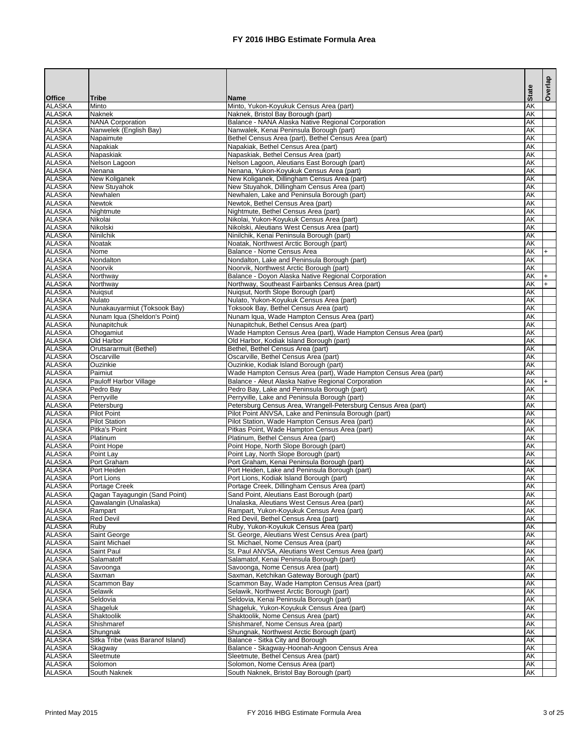|                                |                                                   |                                                                                                            |              | Overlap |
|--------------------------------|---------------------------------------------------|------------------------------------------------------------------------------------------------------------|--------------|---------|
| <b>Office</b>                  | <b>Tribe</b>                                      | <b>Name</b>                                                                                                | <b>State</b> |         |
| <b>ALASKA</b>                  | Minto                                             | Minto, Yukon-Koyukuk Census Area (part)                                                                    | <b>AK</b>    |         |
| <b>ALASKA</b>                  | <b>Naknek</b>                                     | Naknek, Bristol Bay Borough (part)                                                                         | AK           |         |
| <b>ALASKA</b><br><b>ALASKA</b> | <b>NANA Corporation</b><br>Nanwelek (English Bay) | Balance - NANA Alaska Native Regional Corporation<br>Nanwalek, Kenai Peninsula Borough (part)              | AK<br>AK     |         |
| <b>ALASKA</b>                  | Napaimute                                         | Bethel Census Area (part), Bethel Census Area (part)                                                       | AK           |         |
| <b>ALASKA</b>                  | Napakiak                                          | Napakiak, Bethel Census Area (part)                                                                        | AK           |         |
| <b>ALASKA</b>                  | Napaskiak                                         | Napaskiak, Bethel Census Area (part)                                                                       | AK           |         |
| <b>ALASKA</b>                  | Nelson Lagoon                                     | Nelson Lagoon, Aleutians East Borough (part)                                                               | AK           |         |
| <b>ALASKA</b>                  | Nenana                                            | Nenana, Yukon-Koyukuk Census Area (part)                                                                   | AK           |         |
| <b>ALASKA</b>                  | New Koliganek                                     | New Koliganek, Dillingham Census Area (part)                                                               | AK           |         |
| <b>ALASKA</b><br><b>ALASKA</b> | New Stuyahok<br>Newhalen                          | New Stuyahok, Dillingham Census Area (part)<br>Newhalen, Lake and Peninsula Borough (part)                 | AK<br>AK     |         |
| <b>ALASKA</b>                  | <b>Newtok</b>                                     | Newtok, Bethel Census Area (part)                                                                          | AK           |         |
| <b>ALASKA</b>                  | Nightmute                                         | Nightmute, Bethel Census Area (part)                                                                       | AK           |         |
| <b>ALASKA</b>                  | Nikolai                                           | Nikolai, Yukon-Koyukuk Census Area (part)                                                                  | AK           |         |
| <b>ALASKA</b>                  | Nikolski                                          | Nikolski, Aleutians West Census Area (part)                                                                | AK           |         |
| <b>ALASKA</b>                  | Ninilchik                                         | Ninilchik, Kenai Peninsula Borough (part)                                                                  | AK           |         |
| <b>ALASKA</b>                  | Noatak                                            | Noatak, Northwest Arctic Borough (part)                                                                    | AK           |         |
| <b>ALASKA</b><br><b>ALASKA</b> | Nome<br>Nondalton                                 | Balance - Nome Census Area<br>Nondalton, Lake and Peninsula Borough (part)                                 | AK<br>AK     | $+$     |
| <b>ALASKA</b>                  | Noorvik                                           | Noorvik, Northwest Arctic Borough (part)                                                                   | AK           |         |
| <b>ALASKA</b>                  | Northway                                          | Balance - Doyon Alaska Native Regional Corporation                                                         | AK           | l+      |
| <b>ALASKA</b>                  | Northway                                          | Northway, Southeast Fairbanks Census Area (part)                                                           | AK           | $+$     |
| <b>ALASKA</b>                  | Nuigsut                                           | Nuigsut, North Slope Borough (part)                                                                        | AK           |         |
| <b>ALASKA</b>                  | <b>Nulato</b>                                     | Nulato, Yukon-Koyukuk Census Area (part)                                                                   | AK           |         |
| <b>ALASKA</b>                  | Nunakauyarmiut (Toksook Bay)                      | Toksook Bay, Bethel Census Area (part)                                                                     | AK           |         |
| <b>ALASKA</b><br><b>ALASKA</b> | Nunam Iqua (Sheldon's Point)                      | Nunam Iqua, Wade Hampton Census Area (part)                                                                | AK           |         |
| <b>ALASKA</b>                  | Nunapitchuk<br>Ohogamiut                          | Nunapitchuk, Bethel Census Area (part)<br>Wade Hampton Census Area (part), Wade Hampton Census Area (part) | AK<br>AK     |         |
| <b>ALASKA</b>                  | Old Harbor                                        | Old Harbor, Kodiak Island Borough (part)                                                                   | AK           |         |
| <b>ALASKA</b>                  | Orutsararmuit (Bethel)                            | Bethel, Bethel Census Area (part)                                                                          | AK           |         |
| <b>ALASKA</b>                  | Oscarville                                        | Oscarville, Bethel Census Area (part)                                                                      | AK           |         |
| <b>ALASKA</b>                  | <b>Ouzinkie</b>                                   | Ouzinkie, Kodiak Island Borough (part)                                                                     | AK           |         |
| <b>ALASKA</b>                  | Paimiut                                           | Wade Hampton Census Area (part), Wade Hampton Census Area (part)                                           | AK           |         |
| <b>ALASKA</b>                  | <b>Pauloff Harbor Village</b>                     | Balance - Aleut Alaska Native Regional Corporation                                                         | AK           | I+.     |
| <b>ALASKA</b><br><b>ALASKA</b> | Pedro Bay<br>Perryville                           | Pedro Bay, Lake and Peninsula Borough (part)<br>Perryville, Lake and Peninsula Borough (part)              | AK<br>AK     |         |
| <b>ALASKA</b>                  | Petersburg                                        | Petersburg Census Area, Wrangell-Petersburg Census Area (part)                                             | AK           |         |
| <b>ALASKA</b>                  | <b>Pilot Point</b>                                | Pilot Point ANVSA, Lake and Peninsula Borough (part)                                                       | AK           |         |
| <b>ALASKA</b>                  | <b>Pilot Station</b>                              | Pilot Station, Wade Hampton Census Area (part)                                                             | AK           |         |
| <b>ALASKA</b>                  | Pitka's Point                                     | Pitkas Point, Wade Hampton Census Area (part)                                                              | AK           |         |
| <b>ALASKA</b>                  | Platinum                                          | Platinum, Bethel Census Area (part)                                                                        | AK           |         |
| <b>ALASKA</b>                  | Point Hope                                        | Point Hope, North Slope Borough (part)                                                                     | AK           |         |
| <b>ALASKA</b><br><b>ALASKA</b> | Point Lay<br>Port Graham                          | Point Lay, North Slope Borough (part)<br>Port Graham, Kenai Peninsula Borough (part)                       | AK<br>AK     |         |
| <b>ALASKA</b>                  | Port Heiden                                       | Port Heiden, Lake and Peninsula Borough (part)                                                             | AK           |         |
| <b>ALASKA</b>                  | Port Lions                                        | Port Lions, Kodiak Island Borough (part)                                                                   | AK           |         |
| <b>ALASKA</b>                  | Portage Creek                                     | Portage Creek, Dillingham Census Area (part)                                                               | AK           |         |
| <b>ALASKA</b>                  | Qagan Tayagungin (Sand Point)                     | Sand Point, Aleutians East Borough (part)                                                                  | AK           |         |
| <b>ALASKA</b>                  | Qawalangin (Unalaska)                             | Unalaska, Aleutians West Census Area (part)                                                                | AK           |         |
| <b>ALASKA</b><br><b>ALASKA</b> | Rampart<br><b>Red Devil</b>                       | Rampart, Yukon-Koyukuk Census Area (part)<br>Red Devil, Bethel Census Area (part)                          | AK<br>AK     |         |
| <b>ALASKA</b>                  | Ruby                                              | Ruby, Yukon-Koyukuk Census Area (part)                                                                     | AK           |         |
| <b>ALASKA</b>                  | Saint George                                      | St. George, Aleutians West Census Area (part)                                                              | AK           |         |
| <b>ALASKA</b>                  | Saint Michael                                     | St. Michael, Nome Census Area (part)                                                                       | AK           |         |
| <b>ALASKA</b>                  | Saint Paul                                        | St. Paul ANVSA, Aleutians West Census Area (part)                                                          | AK           |         |
| <b>ALASKA</b>                  | Salamatoff                                        | Salamatof, Kenai Peninsula Borough (part)                                                                  | AK           |         |
| <b>ALASKA</b>                  | Savoonga                                          | Savoonga, Nome Census Area (part)                                                                          | AK           |         |
| <b>ALASKA</b><br><b>ALASKA</b> | Saxman                                            | Saxman, Ketchikan Gateway Borough (part)                                                                   | AK           |         |
| <b>ALASKA</b>                  | Scammon Bay<br>Selawik                            | Scammon Bay, Wade Hampton Census Area (part)<br>Selawik, Northwest Arctic Borough (part)                   | AK<br>AK     |         |
| <b>ALASKA</b>                  | Seldovia                                          | Seldovia, Kenai Peninsula Borough (part)                                                                   | AK           |         |
| <b>ALASKA</b>                  | Shageluk                                          | Shageluk, Yukon-Koyukuk Census Area (part)                                                                 | AK           |         |
| <b>ALASKA</b>                  | Shaktoolik                                        | Shaktoolik, Nome Census Area (part)                                                                        | AK           |         |
| <b>ALASKA</b>                  | Shishmaref                                        | Shishmaref, Nome Census Area (part)                                                                        | AK           |         |
| <b>ALASKA</b>                  | Shungnak                                          | Shungnak, Northwest Arctic Borough (part)                                                                  | AK           |         |
| <b>ALASKA</b>                  | Sitka Tribe (was Baranof Island)                  | Balance - Sitka City and Borough                                                                           | AK           |         |
| <b>ALASKA</b><br><b>ALASKA</b> | Skagway<br>Sleetmute                              | Balance - Skagway-Hoonah-Angoon Census Area<br>Sleetmute, Bethel Census Area (part)                        | AK<br>AK     |         |
| <b>ALASKA</b>                  | Solomon                                           | Solomon, Nome Census Area (part)                                                                           | AK           |         |
| <b>ALASKA</b>                  | South Naknek                                      | South Naknek. Bristol Bay Borough (part)                                                                   | AK           |         |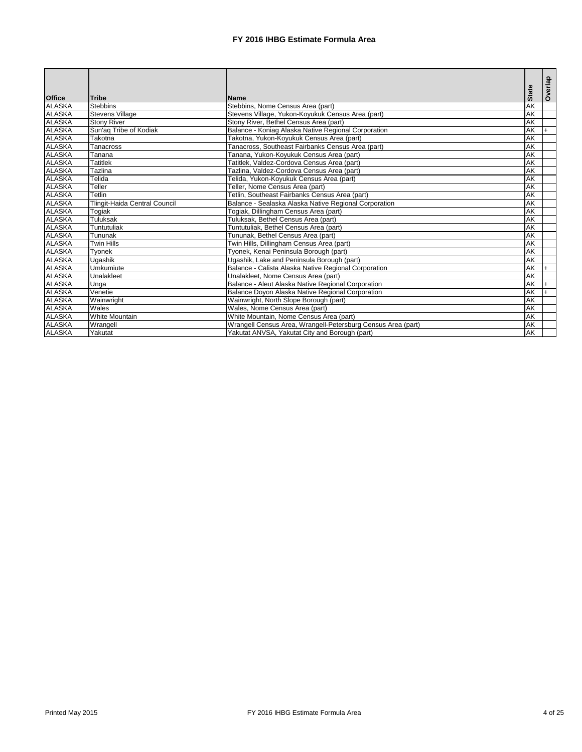| <b>Office</b> | <b>Tribe</b>                         | <b>Name</b>                                                  | <b>State</b>             | Overlap |
|---------------|--------------------------------------|--------------------------------------------------------------|--------------------------|---------|
| <b>ALASKA</b> | <b>Stebbins</b>                      | Stebbins, Nome Census Area (part)                            | $\overline{\mathsf{AK}}$ |         |
| <b>ALASKA</b> | Stevens Village                      | Stevens Village, Yukon-Koyukuk Census Area (part)            | <b>AK</b>                |         |
| <b>ALASKA</b> | <b>Stony River</b>                   | Stony River, Bethel Census Area (part)                       | $\overline{\mathsf{AK}}$ |         |
| <b>ALASKA</b> | Sun'aq Tribe of Kodiak               | Balance - Koniag Alaska Native Regional Corporation          | AK                       |         |
| <b>ALASKA</b> | Takotna                              | Takotna, Yukon-Koyukuk Census Area (part)                    | AK                       |         |
| <b>ALASKA</b> | Tanacross                            | Tanacross, Southeast Fairbanks Census Area (part)            | <b>AK</b>                |         |
| <b>ALASKA</b> | Tanana                               | Tanana, Yukon-Koyukuk Census Area (part)                     | $\overline{\mathsf{AK}}$ |         |
| <b>ALASKA</b> | <b>Tatitlek</b>                      | Tatitlek, Valdez-Cordova Census Area (part)                  | <b>AK</b>                |         |
| <b>ALASKA</b> | <b>Tazlina</b>                       | Tazlina, Valdez-Cordova Census Area (part)                   | AK                       |         |
| <b>ALASKA</b> | Telida                               | Telida, Yukon-Koyukuk Census Area (part)                     | <b>AK</b>                |         |
| <b>ALASKA</b> | Teller                               | Teller, Nome Census Area (part)                              | AK                       |         |
| <b>ALASKA</b> | Tetlin                               | Tetlin, Southeast Fairbanks Census Area (part)               | AK                       |         |
| <b>ALASKA</b> | <b>Tlingit-Haida Central Council</b> | Balance - Sealaska Alaska Native Regional Corporation        | AK                       |         |
| <b>ALASKA</b> | Togiak                               | Togiak, Dillingham Census Area (part)                        | <b>AK</b>                |         |
| <b>ALASKA</b> | <b>Tuluksak</b>                      | Tuluksak, Bethel Census Area (part)                          | AK                       |         |
| <b>ALASKA</b> | <b>Tuntutuliak</b>                   | Tuntutuliak, Bethel Census Area (part)                       | <b>AK</b>                |         |
| <b>ALASKA</b> | Tununak                              | Tununak, Bethel Census Area (part)                           | $\overline{\mathsf{AK}}$ |         |
| <b>ALASKA</b> | <b>Twin Hills</b>                    | Twin Hills, Dillingham Census Area (part)                    | <b>AK</b>                |         |
| <b>ALASKA</b> | Tyonek                               | Tyonek, Kenai Peninsula Borough (part)                       | <b>AK</b>                |         |
| <b>ALASKA</b> | <b>Ugashik</b>                       | Ugashik, Lake and Peninsula Borough (part)                   | $\overline{\mathsf{AK}}$ |         |
| <b>ALASKA</b> | <b>Umkumiute</b>                     | Balance - Calista Alaska Native Regional Corporation         | $\overline{\mathsf{AK}}$ |         |
| <b>ALASKA</b> | Unalakleet                           | Unalakleet, Nome Census Area (part)                          | <b>AK</b>                |         |
| <b>ALASKA</b> | Unga                                 | Balance - Aleut Alaska Native Regional Corporation           | AK                       |         |
| <b>ALASKA</b> | Venetie                              | Balance Doyon Alaska Native Regional Corporation             | AK                       |         |
| <b>ALASKA</b> | Wainwright                           | Wainwright, North Slope Borough (part)                       | <b>AK</b>                |         |
| <b>ALASKA</b> | Wales                                | Wales, Nome Census Area (part)                               | <b>AK</b>                |         |
| <b>ALASKA</b> | <b>White Mountain</b>                | White Mountain, Nome Census Area (part)                      | <b>AK</b>                |         |
| <b>ALASKA</b> | Wrangell                             | Wrangell Census Area, Wrangell-Petersburg Census Area (part) | AK                       |         |
| <b>ALASKA</b> | Yakutat                              | Yakutat ANVSA, Yakutat City and Borough (part)               | AK                       |         |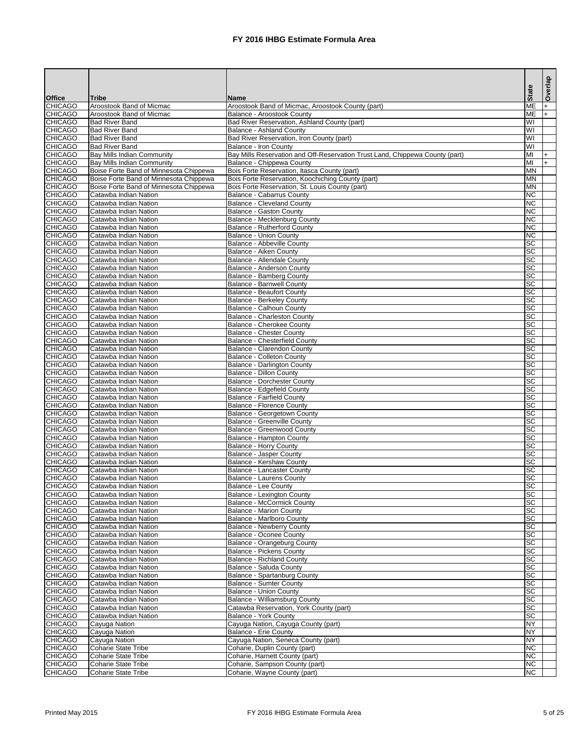|                                  |                                                            |                                                                                                              | <b>State</b>           | Overlap |
|----------------------------------|------------------------------------------------------------|--------------------------------------------------------------------------------------------------------------|------------------------|---------|
| <b>Office</b><br><b>CHICAGO</b>  | <b>Tribe</b><br>Aroostook Band of Micmac                   | <b>Name</b><br>Aroostook Band of Micmac, Aroostook County (part)                                             | <b>ME</b>              | l+      |
| <b>CHICAGO</b>                   | Aroostook Band of Micmac                                   | <b>Balance - Aroostook County</b>                                                                            | <b>ME</b>              | l+      |
| <b>CHICAGO</b>                   | <b>Bad River Band</b>                                      | Bad River Reservation, Ashland County (part)                                                                 | WI                     |         |
| <b>CHICAGO</b>                   | <b>Bad River Band</b>                                      | <b>Balance - Ashland County</b>                                                                              | WI                     |         |
| <b>CHICAGO</b>                   | <b>Bad River Band</b>                                      | Bad River Reservation, Iron County (part)                                                                    | WI                     |         |
| <b>CHICAGO</b><br><b>CHICAGO</b> | <b>Bad River Band</b><br><b>Bay Mills Indian Community</b> | <b>Balance - Iron County</b><br>Bay Mills Reservation and Off-Reservation Trust Land, Chippewa County (part) | WI<br>MI               |         |
| <b>CHICAGO</b>                   | <b>Bay Mills Indian Community</b>                          | Balance - Chippewa County                                                                                    | MI                     |         |
| <b>CHICAGO</b>                   | Boise Forte Band of Minnesota Chippewa                     | Bois Forte Reservation, Itasca County (part)                                                                 | <b>MN</b>              |         |
| <b>CHICAGO</b>                   | Boise Forte Band of Minnesota Chippewa                     | Bois Forte Reservation, Koochiching County (part)                                                            | <b>MN</b>              |         |
| <b>CHICAGO</b>                   | Boise Forte Band of Minnesota Chippewa                     | Bois Forte Reservation, St. Louis County (part)                                                              | <b>MN</b>              |         |
| <b>CHICAGO</b>                   | Catawba Indian Nation                                      | <b>Balance - Cabarrus County</b>                                                                             | <b>NC</b>              |         |
| <b>CHICAGO</b>                   | Catawba Indian Nation                                      | <b>Balance - Cleveland County</b>                                                                            | <b>NC</b><br><b>NC</b> |         |
| <b>CHICAGO</b><br><b>CHICAGO</b> | Catawba Indian Nation<br>Catawba Indian Nation             | <b>Balance - Gaston County</b><br>Balance - Mecklenburg County                                               | <b>NC</b>              |         |
| <b>CHICAGO</b>                   | Catawba Indian Nation                                      | <b>Balance - Rutherford County</b>                                                                           | <b>NC</b>              |         |
| <b>CHICAGO</b>                   | Catawba Indian Nation                                      | <b>Balance - Union County</b>                                                                                | <b>NC</b>              |         |
| <b>CHICAGO</b>                   | Catawba Indian Nation                                      | <b>Balance - Abbeville County</b>                                                                            | <b>SC</b>              |         |
| <b>CHICAGO</b>                   | Catawba Indian Nation                                      | Balance - Aiken County                                                                                       | <b>SC</b>              |         |
| <b>CHICAGO</b>                   | Catawba Indian Nation                                      | <b>Balance - Allendale County</b>                                                                            | <b>SC</b>              |         |
| <b>CHICAGO</b><br><b>CHICAGO</b> | Catawba Indian Nation<br>Catawba Indian Nation             | Balance - Anderson County<br><b>Balance - Bamberg County</b>                                                 | <b>SC</b><br><b>SC</b> |         |
| <b>CHICAGO</b>                   | Catawba Indian Nation                                      | <b>Balance - Barnwell County</b>                                                                             | <b>SC</b>              |         |
| <b>CHICAGO</b>                   | Catawba Indian Nation                                      | <b>Balance - Beaufort County</b>                                                                             | <b>SC</b>              |         |
| <b>CHICAGO</b>                   | Catawba Indian Nation                                      | <b>Balance - Berkeley County</b>                                                                             | <b>SC</b>              |         |
| <b>CHICAGO</b>                   | Catawba Indian Nation                                      | <b>Balance - Calhoun County</b>                                                                              | <b>SC</b>              |         |
| <b>CHICAGO</b>                   | Catawba Indian Nation                                      | Balance - Charleston County                                                                                  | <b>SC</b>              |         |
| <b>CHICAGO</b>                   | Catawba Indian Nation<br>Catawba Indian Nation             | <b>Balance - Cherokee County</b>                                                                             | <b>SC</b><br><b>SC</b> |         |
| <b>CHICAGO</b><br><b>CHICAGO</b> | Catawba Indian Nation                                      | <b>Balance - Chester County</b><br><b>Balance - Chesterfield County</b>                                      | <b>SC</b>              |         |
| <b>CHICAGO</b>                   | Catawba Indian Nation                                      | <b>Balance - Clarendon County</b>                                                                            | <b>SC</b>              |         |
| <b>CHICAGO</b>                   | Catawba Indian Nation                                      | <b>Balance - Colleton County</b>                                                                             | <b>SC</b>              |         |
| <b>CHICAGO</b>                   | Catawba Indian Nation                                      | <b>Balance - Darlington County</b>                                                                           | <b>SC</b>              |         |
| <b>CHICAGO</b>                   | Catawba Indian Nation                                      | <b>Balance - Dillon County</b>                                                                               | <b>SC</b>              |         |
| <b>CHICAGO</b>                   | Catawba Indian Nation<br>Catawba Indian Nation             | <b>Balance - Dorchester County</b>                                                                           | <b>SC</b><br><b>SC</b> |         |
| <b>CHICAGO</b><br><b>CHICAGO</b> | Catawba Indian Nation                                      | Balance - Edgefield County<br><b>Balance - Fairfield County</b>                                              | <b>SC</b>              |         |
| <b>CHICAGO</b>                   | Catawba Indian Nation                                      | <b>Balance - Florence County</b>                                                                             | <b>SC</b>              |         |
| <b>CHICAGO</b>                   | Catawba Indian Nation                                      | Balance - Georgetown County                                                                                  | <b>SC</b>              |         |
| <b>CHICAGO</b>                   | Catawba Indian Nation                                      | <b>Balance - Greenville County</b>                                                                           | <b>SC</b>              |         |
| <b>CHICAGO</b>                   | Catawba Indian Nation                                      | <b>Balance - Greenwood County</b>                                                                            | <b>SC</b>              |         |
| <b>CHICAGO</b><br><b>CHICAGO</b> | Catawba Indian Nation<br>Catawba Indian Nation             | <b>Balance - Hampton County</b><br><b>Balance - Horry County</b>                                             | <b>SC</b><br><b>SC</b> |         |
| <b>CHICAGO</b>                   | Catawba Indian Nation                                      | <b>Balance - Jasper County</b>                                                                               | <b>SC</b>              |         |
| <b>CHICAGO</b>                   | Catawba Indian Nation                                      | Balance - Kershaw County                                                                                     | <b>SC</b>              |         |
| <b>CHICAGO</b>                   | Catawba Indian Nation                                      | <b>Balance - Lancaster County</b>                                                                            | <b>SC</b>              |         |
| <b>CHICAGO</b>                   | Catawba Indian Nation                                      | <b>Balance - Laurens County</b>                                                                              | <b>SC</b>              |         |
| <b>CHICAGO</b>                   | Catawba Indian Nation                                      | Balance - Lee County                                                                                         | <b>SC</b>              |         |
| <b>CHICAGO</b><br><b>CHICAGO</b> | Catawba Indian Nation<br>Catawba Indian Nation             | <b>Balance - Lexington County</b><br><b>Balance - McCormick County</b>                                       | <b>SC</b><br><b>SC</b> |         |
| <b>CHICAGO</b>                   | Catawba Indian Nation                                      | <b>Balance - Marion County</b>                                                                               | <b>SC</b>              |         |
| <b>CHICAGO</b>                   | Catawba Indian Nation                                      | <b>Balance - Marlboro County</b>                                                                             | <b>SC</b>              |         |
| <b>CHICAGO</b>                   | Catawba Indian Nation                                      | <b>Balance - Newberry County</b>                                                                             | <b>SC</b>              |         |
| <b>CHICAGO</b>                   | Catawba Indian Nation                                      | <b>Balance - Oconee County</b>                                                                               | <b>SC</b>              |         |
| <b>CHICAGO</b>                   | Catawba Indian Nation                                      | <b>Balance - Orangeburg County</b>                                                                           | <b>SC</b><br><b>SC</b> |         |
| <b>CHICAGO</b><br><b>CHICAGO</b> | Catawba Indian Nation<br>Catawba Indian Nation             | <b>Balance - Pickens County</b><br><b>Balance - Richland County</b>                                          | <b>SC</b>              |         |
| <b>CHICAGO</b>                   | Catawba Indian Nation                                      | Balance - Saluda County                                                                                      | <b>SC</b>              |         |
| <b>CHICAGO</b>                   | Catawba Indian Nation                                      | Balance - Spartanburg County                                                                                 | <b>SC</b>              |         |
| <b>CHICAGO</b>                   | Catawba Indian Nation                                      | <b>Balance - Sumter County</b>                                                                               | <b>SC</b>              |         |
| <b>CHICAGO</b>                   | Catawba Indian Nation                                      | <b>Balance - Union County</b>                                                                                | <b>SC</b>              |         |
| <b>CHICAGO</b><br><b>CHICAGO</b> | Catawba Indian Nation<br>Catawba Indian Nation             | Balance - Williamsburg County<br>Catawba Reservation, York County (part)                                     | <b>SC</b><br><b>SC</b> |         |
| <b>CHICAGO</b>                   | Catawba Indian Nation                                      | <b>Balance - York County</b>                                                                                 | <b>SC</b>              |         |
| <b>CHICAGO</b>                   | Cayuga Nation                                              | Cayuga Nation, Cayuga County (part)                                                                          | <b>NY</b>              |         |
| <b>CHICAGO</b>                   | Cayuga Nation                                              | <b>Balance - Erie County</b>                                                                                 | <b>NY</b>              |         |
| <b>CHICAGO</b>                   | Cayuga Nation                                              | Cayuga Nation, Seneca County (part)                                                                          | <b>NY</b>              |         |
| <b>CHICAGO</b>                   | <b>Coharie State Tribe</b>                                 | Coharie, Duplin County (part)                                                                                | <b>NC</b>              |         |
| <b>CHICAGO</b><br><b>CHICAGO</b> | <b>Coharie State Tribe</b><br><b>Coharie State Tribe</b>   | Coharie, Harnett County (part)<br>Coharie, Sampson County (part)                                             | <b>NC</b><br><b>NC</b> |         |
| <b>CHICAGO</b>                   | Coharie State Tribe                                        | Coharie, Wayne County (part)                                                                                 | <b>NC</b>              |         |
|                                  |                                                            |                                                                                                              |                        |         |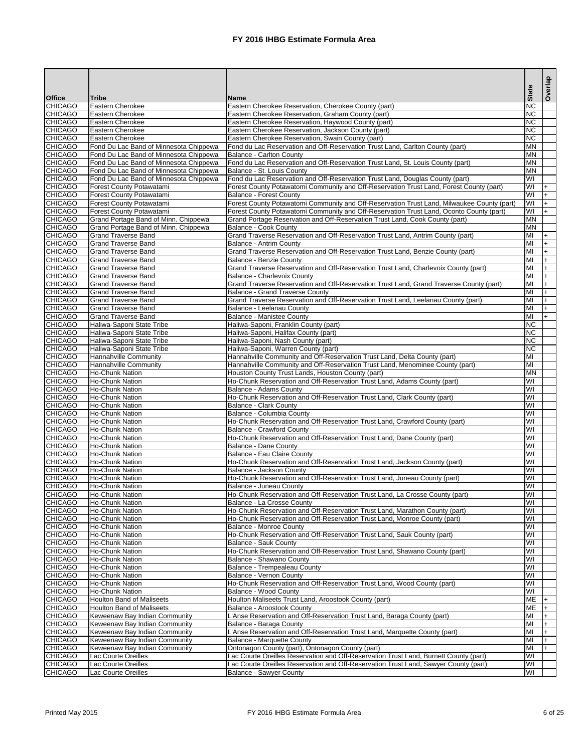|                                  |                                                                                  |                                                                                                                                                                         | <b>State</b>                         | Overlap          |
|----------------------------------|----------------------------------------------------------------------------------|-------------------------------------------------------------------------------------------------------------------------------------------------------------------------|--------------------------------------|------------------|
| <b>Office</b>                    | <b>Tribe</b>                                                                     | <b>Name</b>                                                                                                                                                             |                                      |                  |
| <b>CHICAGO</b><br><b>CHICAGO</b> | Eastern Cherokee<br><b>Eastern Cherokee</b>                                      | Eastern Cherokee Reservation, Cherokee County (part)<br>Eastern Cherokee Reservation, Graham County (part)                                                              | <b>NC</b><br><b>NC</b>               |                  |
| <b>CHICAGO</b>                   | Eastern Cherokee                                                                 | Eastern Cherokee Reservation, Haywood County (part)                                                                                                                     | <b>NC</b>                            |                  |
| <b>CHICAGO</b>                   | Eastern Cherokee                                                                 | Eastern Cherokee Reservation, Jackson County (part)                                                                                                                     | <b>NC</b>                            |                  |
| <b>CHICAGO</b>                   | Eastern Cherokee                                                                 | Eastern Cherokee Reservation, Swain County (part)                                                                                                                       | <b>NC</b>                            |                  |
| <b>CHICAGO</b>                   | Fond Du Lac Band of Minnesota Chippewa                                           | Fond du Lac Reservation and Off-Reservation Trust Land, Carlton County (part)                                                                                           | <b>MN</b>                            |                  |
| <b>CHICAGO</b>                   | Fond Du Lac Band of Minnesota Chippewa                                           | <b>Balance - Carlton County</b>                                                                                                                                         | <b>MN</b>                            |                  |
| <b>CHICAGO</b><br><b>CHICAGO</b> | Fond Du Lac Band of Minnesota Chippewa<br>Fond Du Lac Band of Minnesota Chippewa | Fond du Lac Reservation and Off-Reservation Trust Land, St. Louis County (part)<br>Balance - St. Louis County                                                           | <b>MN</b><br><b>MN</b>               |                  |
| <b>CHICAGO</b>                   | Fond Du Lac Band of Minnesota Chippewa                                           | Fond du Lac Reservation and Off-Reservation Trust Land, Douglas County (part)                                                                                           | WI                                   |                  |
| <b>CHICAGO</b>                   | Forest County Potawatami                                                         | Forest County Potawatomi Community and Off-Reservation Trust Land, Forest County (part)                                                                                 | WI                                   | $\ddot{}$        |
| <b>CHICAGO</b>                   | Forest County Potawatami                                                         | <b>Balance - Forest County</b>                                                                                                                                          | WI                                   |                  |
| <b>CHICAGO</b>                   | Forest County Potawatami                                                         | Forest County Potawatomi Community and Off-Reservation Trust Land, Milwaukee County (part)                                                                              | WI                                   | $\ddot{}$        |
| <b>CHICAGO</b><br><b>CHICAGO</b> | Forest County Potawatami<br>Grand Portage Band of Minn. Chippewa                 | Forest County Potawatomi Community and Off-Reservation Trust Land, Oconto County (part)<br>Grand Portage Reservation and Off-Reservation Trust Land, Cook County (part) | $\overline{\mathsf{W}}$<br><b>MN</b> | $+$              |
| <b>CHICAGO</b>                   | Grand Portage Band of Minn. Chippewa                                             | Balance - Cook County                                                                                                                                                   | <b>MN</b>                            |                  |
| <b>CHICAGO</b>                   | <b>Grand Traverse Band</b>                                                       | Grand Traverse Reservation and Off-Reservation Trust Land, Antrim County (part)                                                                                         | MI                                   | $\ddot{}$        |
| <b>CHICAGO</b>                   | <b>Grand Traverse Band</b>                                                       | Balance - Antrim County                                                                                                                                                 | MI                                   | $\ddot{}$        |
| <b>CHICAGO</b>                   | <b>Grand Traverse Band</b>                                                       | Grand Traverse Reservation and Off-Reservation Trust Land, Benzie County (part)                                                                                         | MI                                   | $+$              |
| <b>CHICAGO</b>                   | <b>Grand Traverse Band</b>                                                       | Balance - Benzie County                                                                                                                                                 | MI                                   | $+$              |
| <b>CHICAGO</b><br><b>CHICAGO</b> | <b>Grand Traverse Band</b><br><b>Grand Traverse Band</b>                         | Grand Traverse Reservation and Off-Reservation Trust Land, Charlevoix County (part)<br><b>Balance - Charlevoix County</b>                                               | MI<br>MI                             | $+$<br>$\ddot{}$ |
| <b>CHICAGO</b>                   | <b>Grand Traverse Band</b>                                                       | Grand Traverse Reservation and Off-Reservation Trust Land, Grand Traverse County (part)                                                                                 | MI                                   | $\ddot{}$        |
| <b>CHICAGO</b>                   | <b>Grand Traverse Band</b>                                                       | <b>Balance - Grand Traverse County</b>                                                                                                                                  | MI                                   | $\ddot{}$        |
| <b>CHICAGO</b>                   | <b>Grand Traverse Band</b>                                                       | Grand Traverse Reservation and Off-Reservation Trust Land, Leelanau County (part)                                                                                       | MI                                   | $\ddot{}$        |
| <b>CHICAGO</b>                   | <b>Grand Traverse Band</b>                                                       | Balance - Leelanau County                                                                                                                                               | MI                                   | $+$              |
| <b>CHICAGO</b>                   | <b>Grand Traverse Band</b>                                                       | <b>Balance - Manistee County</b>                                                                                                                                        | MI                                   | $+$              |
| <b>CHICAGO</b><br><b>CHICAGO</b> | Haliwa-Saponi State Tribe<br>Haliwa-Saponi State Tribe                           | Haliwa-Saponi, Franklin County (part)<br>Haliwa-Saponi, Halifax County (part)                                                                                           | <b>NC</b><br><b>NC</b>               |                  |
| <b>CHICAGO</b>                   | Haliwa-Saponi State Tribe                                                        | Haliwa-Saponi, Nash County (part)                                                                                                                                       | <b>NC</b>                            |                  |
| <b>CHICAGO</b>                   | Haliwa-Saponi State Tribe                                                        | Haliwa-Saponi, Warren County (part)                                                                                                                                     | <b>NC</b>                            |                  |
| <b>CHICAGO</b>                   | Hannahville Community                                                            | Hannahville Community and Off-Reservation Trust Land, Delta County (part)                                                                                               | MI                                   |                  |
| <b>CHICAGO</b>                   | Hannahville Community                                                            | Hannahville Community and Off-Reservation Trust Land, Menominee County (part)                                                                                           | MI                                   |                  |
| <b>CHICAGO</b><br><b>CHICAGO</b> | Ho-Chunk Nation<br><b>Ho-Chunk Nation</b>                                        | Houston County Trust Lands, Houston County (part)<br>Ho-Chunk Reservation and Off-Reservation Trust Land, Adams County (part)                                           | <b>MN</b><br>WI                      |                  |
| <b>CHICAGO</b>                   | Ho-Chunk Nation                                                                  | Balance - Adams County                                                                                                                                                  | WI                                   |                  |
| <b>CHICAGO</b>                   | Ho-Chunk Nation                                                                  | Ho-Chunk Reservation and Off-Reservation Trust Land, Clark County (part)                                                                                                | WI                                   |                  |
| <b>CHICAGO</b>                   | Ho-Chunk Nation                                                                  | <b>Balance - Clark County</b>                                                                                                                                           | WI                                   |                  |
| <b>CHICAGO</b>                   | Ho-Chunk Nation                                                                  | Balance - Columbia County                                                                                                                                               | WI                                   |                  |
| <b>CHICAGO</b>                   | Ho-Chunk Nation                                                                  | Ho-Chunk Reservation and Off-Reservation Trust Land, Crawford County (part)                                                                                             | WI<br>WI                             |                  |
| <b>CHICAGO</b><br><b>CHICAGO</b> | Ho-Chunk Nation<br>Ho-Chunk Nation                                               | <b>Balance - Crawford County</b><br>Ho-Chunk Reservation and Off-Reservation Trust Land, Dane County (part)                                                             | WI                                   |                  |
| <b>CHICAGO</b>                   | Ho-Chunk Nation                                                                  | <b>Balance - Dane County</b>                                                                                                                                            | WI                                   |                  |
| <b>CHICAGO</b>                   | Ho-Chunk Nation                                                                  | <b>Balance - Eau Claire County</b>                                                                                                                                      | WI                                   |                  |
| <b>CHICAGO</b>                   | Ho-Chunk Nation                                                                  | Ho-Chunk Reservation and Off-Reservation Trust Land, Jackson County (part)                                                                                              | WI                                   |                  |
| <b>CHICAGO</b>                   | Ho-Chunk Nation                                                                  | Balance - Jackson County                                                                                                                                                | WI                                   |                  |
| <b>CHICAGO</b><br><b>CHICAGO</b> | Ho-Chunk Nation<br>Ho-Chunk Nation                                               | Ho-Chunk Reservation and Off-Reservation Trust Land, Juneau County (part)<br>Balance - Juneau County                                                                    | WI<br>WI                             |                  |
| <b>CHICAGO</b>                   | Ho-Chunk Nation                                                                  | Ho-Chunk Reservation and Off-Reservation Trust Land, La Crosse County (part)                                                                                            | WI                                   |                  |
| <b>CHICAGO</b>                   | Ho-Chunk Nation                                                                  | Balance - La Crosse County                                                                                                                                              | WI                                   |                  |
| <b>CHICAGO</b>                   | Ho-Chunk Nation                                                                  | Ho-Chunk Reservation and Off-Reservation Trust Land, Marathon County (part)                                                                                             | WI                                   |                  |
| <b>CHICAGO</b>                   | Ho-Chunk Nation                                                                  | Ho-Chunk Reservation and Off-Reservation Trust Land, Monroe County (part)                                                                                               | WI                                   |                  |
| <b>CHICAGO</b><br><b>CHICAGO</b> | Ho-Chunk Nation                                                                  | <b>Balance - Monroe County</b>                                                                                                                                          | WI<br>WI                             |                  |
| <b>CHICAGO</b>                   | Ho-Chunk Nation<br>Ho-Chunk Nation                                               | Ho-Chunk Reservation and Off-Reservation Trust Land, Sauk County (part)<br><b>Balance - Sauk County</b>                                                                 | WI                                   |                  |
| <b>CHICAGO</b>                   | Ho-Chunk Nation                                                                  | Ho-Chunk Reservation and Off-Reservation Trust Land, Shawano County (part)                                                                                              | WI                                   |                  |
| <b>CHICAGO</b>                   | Ho-Chunk Nation                                                                  | Balance - Shawano County                                                                                                                                                | WI                                   |                  |
| <b>CHICAGO</b>                   | Ho-Chunk Nation                                                                  | Balance - Trempealeau County                                                                                                                                            | WI                                   |                  |
| <b>CHICAGO</b>                   | Ho-Chunk Nation                                                                  | <b>Balance - Vernon County</b>                                                                                                                                          | WI                                   |                  |
| <b>CHICAGO</b><br><b>CHICAGO</b> | Ho-Chunk Nation<br><b>Ho-Chunk Nation</b>                                        | Ho-Chunk Reservation and Off-Reservation Trust Land, Wood County (part)<br>Balance - Wood County                                                                        | WI<br>WI                             |                  |
| <b>CHICAGO</b>                   | <b>Houlton Band of Maliseets</b>                                                 | Houlton Maliseets Trust Land, Aroostook County (part)                                                                                                                   | <b>ME</b>                            |                  |
| <b>CHICAGO</b>                   | <b>Houlton Band of Maliseets</b>                                                 | Balance - Aroostook County                                                                                                                                              | <b>ME</b>                            |                  |
| <b>CHICAGO</b>                   | Keweenaw Bay Indian Community                                                    | L'Anse Reservation and Off-Reservation Trust Land, Baraga County (part)                                                                                                 | MI                                   |                  |
| <b>CHICAGO</b>                   | Keweenaw Bay Indian Community                                                    | Balance - Baraga County                                                                                                                                                 | MI                                   |                  |
| <b>CHICAGO</b>                   | Keweenaw Bay Indian Community                                                    | L'Anse Reservation and Off-Reservation Trust Land, Marquette County (part)                                                                                              | MI                                   |                  |
| <b>CHICAGO</b><br><b>CHICAGO</b> | Keweenaw Bay Indian Community<br>Keweenaw Bay Indian Community                   | Balance - Marquette County<br>Ontonagon County (part), Ontonagon County (part)                                                                                          | MI<br>MI                             | $+$              |
| <b>CHICAGO</b>                   | Lac Courte Oreilles                                                              | Lac Courte Oreilles Reservation and Off-Reservation Trust Land, Burnett County (part)                                                                                   | WI                                   |                  |
| <b>CHICAGO</b>                   | Lac Courte Oreilles                                                              | Lac Courte Oreilles Reservation and Off-Reservation Trust Land, Sawyer County (part)                                                                                    | WI                                   |                  |
| <b>CHICAGO</b>                   | Lac Courte Oreilles                                                              | <b>Balance - Sawyer County</b>                                                                                                                                          | WI                                   |                  |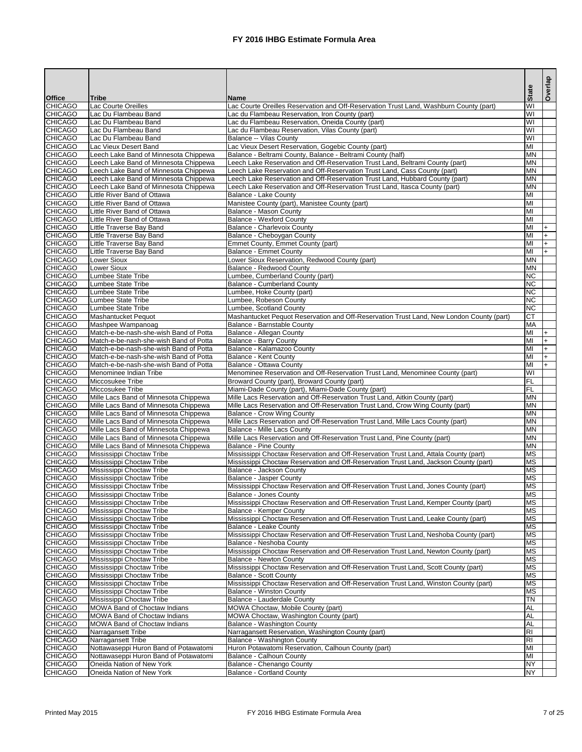|                                  |                                                                                  |                                                                                                                                                           | <b>State</b>                                       | Overlap                |
|----------------------------------|----------------------------------------------------------------------------------|-----------------------------------------------------------------------------------------------------------------------------------------------------------|----------------------------------------------------|------------------------|
| <b>Office</b>                    | <b>Tribe</b>                                                                     | <b>Name</b>                                                                                                                                               |                                                    |                        |
| <b>CHICAGO</b>                   | Lac Courte Oreilles                                                              | Lac Courte Oreilles Reservation and Off-Reservation Trust Land, Washburn County (part)                                                                    | WI                                                 |                        |
| <b>CHICAGO</b><br><b>CHICAGO</b> | Lac Du Flambeau Band<br>Lac Du Flambeau Band                                     | Lac du Flambeau Reservation, Iron County (part)<br>Lac du Flambeau Reservation, Oneida County (part)                                                      | $\overline{\mathsf{W}}$<br>$\overline{\mathsf{W}}$ |                        |
| <b>CHICAGO</b>                   | Lac Du Flambeau Band                                                             | Lac du Flambeau Reservation, Vilas County (part)                                                                                                          | $\overline{\mathsf{W}}$                            |                        |
| <b>CHICAGO</b>                   | Lac Du Flambeau Band                                                             | Balance -- Vilas County                                                                                                                                   | $\overline{\mathsf{W}}$                            |                        |
| <b>CHICAGO</b>                   | Lac Vieux Desert Band                                                            | Lac Vieux Desert Reservation, Gogebic County (part)                                                                                                       | $\overline{\mathsf{M}}$                            |                        |
| <b>CHICAGO</b>                   | Leech Lake Band of Minnesota Chippewa                                            | Balance - Beltrami County, Balance - Beltrami County (half)                                                                                               | <b>MN</b>                                          |                        |
| <b>CHICAGO</b>                   | Leech Lake Band of Minnesota Chippewa                                            | Leech Lake Reservation and Off-Reservation Trust Land, Beltrami County (part)                                                                             | <b>MN</b>                                          |                        |
| <b>CHICAGO</b><br><b>CHICAGO</b> | Leech Lake Band of Minnesota Chippewa<br>Leech Lake Band of Minnesota Chippewa   | Leech Lake Reservation and Off-Reservation Trust Land, Cass County (part)<br>Leech Lake Reservation and Off-Reservation Trust Land, Hubbard County (part) | <b>MN</b><br><b>MN</b>                             |                        |
| <b>CHICAGO</b>                   | Leech Lake Band of Minnesota Chippewa                                            | Leech Lake Reservation and Off-Reservation Trust Land, Itasca County (part)                                                                               | <b>MN</b>                                          |                        |
| <b>CHICAGO</b>                   | Little River Band of Ottawa                                                      | Balance - Lake County                                                                                                                                     | M <sub>l</sub>                                     |                        |
| <b>CHICAGO</b>                   | Little River Band of Ottawa                                                      | Manistee County (part), Manistee County (part)                                                                                                            | MI                                                 |                        |
| <b>CHICAGO</b>                   | Little River Band of Ottawa                                                      | Balance - Mason County                                                                                                                                    | MI                                                 |                        |
| <b>CHICAGO</b>                   | Little River Band of Ottawa                                                      | <b>Balance - Wexford County</b>                                                                                                                           | MI                                                 |                        |
| <b>CHICAGO</b><br><b>CHICAGO</b> | Little Traverse Bay Band<br><b>Little Traverse Bay Band</b>                      | <b>Balance - Charlevoix County</b>                                                                                                                        | $\overline{\mathsf{M}}$<br>MI                      | $\ddot{}$              |
| <b>CHICAGO</b>                   | Little Traverse Bay Band                                                         | Balance - Cheboygan County<br>Emmet County, Emmet County (part)                                                                                           | MI                                                 | $\ddot{}$<br>$\ddot{}$ |
| <b>CHICAGO</b>                   | Little Traverse Bay Band                                                         | <b>Balance - Emmet County</b>                                                                                                                             | $\overline{\mathsf{M}}$                            | $+$                    |
| <b>CHICAGO</b>                   | Lower Sioux                                                                      | Lower Sioux Reservation, Redwood County (part)                                                                                                            | <b>MN</b>                                          |                        |
| <b>CHICAGO</b>                   | Lower Sioux                                                                      | Balance - Redwood County                                                                                                                                  | <b>MN</b>                                          |                        |
| <b>CHICAGO</b>                   | <b>Lumbee State Tribe</b>                                                        | Lumbee, Cumberland County (part)                                                                                                                          | NC                                                 |                        |
| <b>CHICAGO</b>                   | <b>Lumbee State Tribe</b>                                                        | <b>Balance - Cumberland County</b>                                                                                                                        | NC                                                 |                        |
| <b>CHICAGO</b><br><b>CHICAGO</b> | <b>Lumbee State Tribe</b><br><b>Lumbee State Tribe</b>                           | Lumbee, Hoke County (part)<br>Lumbee, Robeson County                                                                                                      | NC<br>$\overline{\text{NC}}$                       |                        |
| <b>CHICAGO</b>                   | Lumbee State Tribe                                                               | Lumbee, Scotland County                                                                                                                                   | <b>NC</b>                                          |                        |
| <b>CHICAGO</b>                   | <b>Mashantucket Pequot</b>                                                       | Mashantucket Pequot Reservation and Off-Reservation Trust Land, New London County (part)                                                                  | $\overline{\text{CT}}$                             |                        |
| <b>CHICAGO</b>                   | Mashpee Wampanoag                                                                | Balance - Barnstable County                                                                                                                               | MA                                                 |                        |
| <b>CHICAGO</b>                   | Match-e-be-nash-she-wish Band of Potta                                           | Balance - Allegan County                                                                                                                                  | $\overline{\mathsf{M}}$                            | $+$                    |
| <b>CHICAGO</b>                   | Match-e-be-nash-she-wish Band of Potta                                           | <b>Balance - Barry County</b>                                                                                                                             | MI                                                 | $\ddot{}$              |
| <b>CHICAGO</b>                   | Match-e-be-nash-she-wish Band of Potta                                           | Balance - Kalamazoo County                                                                                                                                | MI                                                 | $\ddot{}$              |
| <b>CHICAGO</b><br><b>CHICAGO</b> | Match-e-be-nash-she-wish Band of Potta<br>Match-e-be-nash-she-wish Band of Potta | Balance - Kent County<br><b>Balance - Ottawa County</b>                                                                                                   | MI<br>$\overline{\mathsf{M}}$                      | $\ddot{}$<br>$\ddot{}$ |
| <b>CHICAGO</b>                   | Menominee Indian Tribe                                                           | Menominee Reservation and Off-Reservation Trust Land, Menominee County (part)                                                                             | WI                                                 |                        |
| <b>CHICAGO</b>                   | Miccosukee Tribe                                                                 | Broward County (part), Broward County (part)                                                                                                              | FL                                                 |                        |
| <b>CHICAGO</b>                   | Miccosukee Tribe                                                                 | Miami-Dade County (part), Miami-Dade County (part)                                                                                                        | FL                                                 |                        |
| <b>CHICAGO</b>                   | Mille Lacs Band of Minnesota Chippewa                                            | Mille Lacs Reservation and Off-Reservation Trust Land, Aitkin County (part)                                                                               | <b>MN</b>                                          |                        |
| <b>CHICAGO</b>                   | Mille Lacs Band of Minnesota Chippewa                                            | Mille Lacs Reservation and Off-Reservation Trust Land, Crow Wing County (part)                                                                            | <b>MN</b>                                          |                        |
| <b>CHICAGO</b><br><b>CHICAGO</b> | Mille Lacs Band of Minnesota Chippewa<br>Mille Lacs Band of Minnesota Chippewa   | <b>Balance - Crow Wing County</b><br>Mille Lacs Reservation and Off-Reservation Trust Land, Mille Lacs County (part)                                      | <b>MN</b><br><b>MN</b>                             |                        |
| <b>CHICAGO</b>                   | Mille Lacs Band of Minnesota Chippewa                                            | <b>Balance - Mille Lacs County</b>                                                                                                                        | <b>MN</b>                                          |                        |
| <b>CHICAGO</b>                   | Mille Lacs Band of Minnesota Chippewa                                            | Mille Lacs Reservation and Off-Reservation Trust Land, Pine County (part)                                                                                 | <b>MN</b>                                          |                        |
| <b>CHICAGO</b>                   | Mille Lacs Band of Minnesota Chippewa                                            | <b>Balance - Pine County</b>                                                                                                                              | <b>MN</b>                                          |                        |
| <b>CHICAGO</b>                   | Mississippi Choctaw Tribe                                                        | Mississippi Choctaw Reservation and Off-Reservation Trust Land, Attala County (part)                                                                      | <b>MS</b>                                          |                        |
| <b>CHICAGO</b>                   | Mississippi Choctaw Tribe                                                        | Mississippi Choctaw Reservation and Off-Reservation Trust Land, Jackson County (part)                                                                     | <b>MS</b>                                          |                        |
| <b>CHICAGO</b><br><b>CHICAGO</b> | Mississippi Choctaw Tribe<br>Mississippi Choctaw Tribe                           | Balance - Jackson County<br><b>Balance - Jasper County</b>                                                                                                | <b>MS</b><br><b>MS</b>                             |                        |
| <b>CHICAGO</b>                   | Mississippi Choctaw Tribe                                                        | Mississippi Choctaw Reservation and Off-Reservation Trust Land, Jones County (part)                                                                       | <b>MS</b>                                          |                        |
| <b>CHICAGO</b>                   | Mississippi Choctaw Tribe                                                        | <b>Balance - Jones County</b>                                                                                                                             | <b>MS</b>                                          |                        |
| <b>CHICAGO</b>                   | Mississippi Choctaw Tribe                                                        | Mississippi Choctaw Reservation and Off-Reservation Trust Land, Kemper County (part)                                                                      | <b>MS</b>                                          |                        |
| <b>CHICAGO</b>                   | Mississippi Choctaw Tribe                                                        | <b>Balance - Kemper County</b>                                                                                                                            | <b>MS</b>                                          |                        |
| <b>CHICAGO</b>                   | Mississippi Choctaw Tribe                                                        | Mississippi Choctaw Reservation and Off-Reservation Trust Land, Leake County (part)                                                                       | <b>MS</b>                                          |                        |
| <b>CHICAGO</b>                   | Mississippi Choctaw Tribe                                                        | <b>Balance - Leake County</b>                                                                                                                             | <b>MS</b><br><b>MS</b>                             |                        |
| <b>CHICAGO</b><br><b>CHICAGO</b> | Mississippi Choctaw Tribe<br>Mississippi Choctaw Tribe                           | Mississippi Choctaw Reservation and Off-Reservation Trust Land, Neshoba County (part)<br>Balance - Neshoba County                                         | <b>MS</b>                                          |                        |
| <b>CHICAGO</b>                   | Mississippi Choctaw Tribe                                                        | Mississippi Choctaw Reservation and Off-Reservation Trust Land, Newton County (part)                                                                      | <b>MS</b>                                          |                        |
| <b>CHICAGO</b>                   | Mississippi Choctaw Tribe                                                        | <b>Balance - Newton County</b>                                                                                                                            | <b>MS</b>                                          |                        |
| <b>CHICAGO</b>                   | Mississippi Choctaw Tribe                                                        | Mississippi Choctaw Reservation and Off-Reservation Trust Land, Scott County (part)                                                                       | <b>MS</b>                                          |                        |
| <b>CHICAGO</b>                   | Mississippi Choctaw Tribe                                                        | <b>Balance - Scott County</b>                                                                                                                             | <b>MS</b>                                          |                        |
| <b>CHICAGO</b>                   | Mississippi Choctaw Tribe                                                        | Mississippi Choctaw Reservation and Off-Reservation Trust Land, Winston County (part)                                                                     | <b>MS</b><br><b>MS</b>                             |                        |
| <b>CHICAGO</b><br><b>CHICAGO</b> | Mississippi Choctaw Tribe<br>Mississippi Choctaw Tribe                           | <b>Balance - Winston County</b><br>Balance - Lauderdale County                                                                                            | <b>TN</b>                                          |                        |
| <b>CHICAGO</b>                   | <b>MOWA Band of Choctaw Indians</b>                                              | MOWA Choctaw, Mobile County (part)                                                                                                                        | <b>AL</b>                                          |                        |
| <b>CHICAGO</b>                   | <b>MOWA Band of Choctaw Indians</b>                                              | MOWA Choctaw, Washington County (part)                                                                                                                    | <b>AL</b>                                          |                        |
| <b>CHICAGO</b>                   | MOWA Band of Choctaw Indians                                                     | <b>Balance - Washington County</b>                                                                                                                        | <b>AL</b>                                          |                        |
| <b>CHICAGO</b>                   | Narragansett Tribe                                                               | Narragansett Reservation, Washington County (part)                                                                                                        | $\overline{R}$                                     |                        |
| <b>CHICAGO</b>                   | Narragansett Tribe                                                               | Balance - Washington County                                                                                                                               | $\overline{R}$<br>MI                               |                        |
| <b>CHICAGO</b><br><b>CHICAGO</b> | Nottawaseppi Huron Band of Potawatomi<br>Nottawaseppi Huron Band of Potawatomi   | Huron Potawatomi Reservation, Calhoun County (part)<br>Balance - Calhoun County                                                                           | MI                                                 |                        |
| <b>CHICAGO</b>                   | Oneida Nation of New York                                                        | Balance - Chenango County                                                                                                                                 | <b>NY</b>                                          |                        |
| <b>CHICAGO</b>                   | Oneida Nation of New York                                                        | <b>Balance - Cortland County</b>                                                                                                                          | INY.                                               |                        |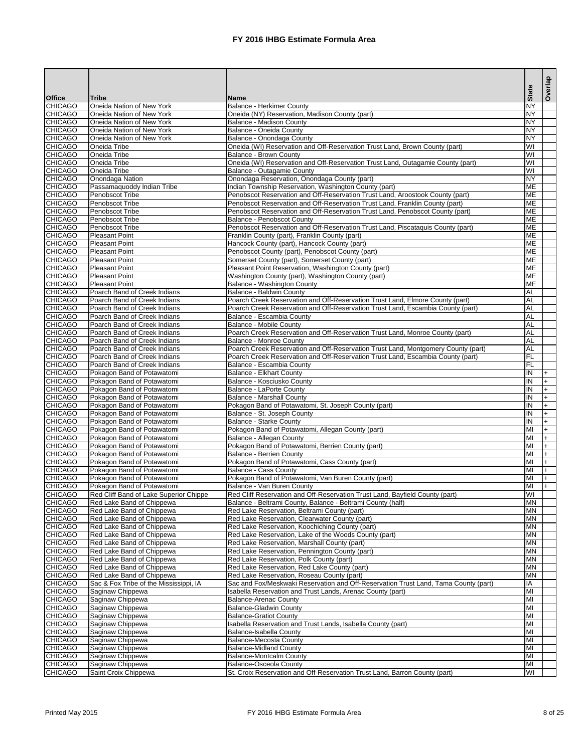|                                  |                                                            |                                                                                                                                                               | <b>State</b>            | Overlap |
|----------------------------------|------------------------------------------------------------|---------------------------------------------------------------------------------------------------------------------------------------------------------------|-------------------------|---------|
| <b>Office</b>                    | <b>Tribe</b>                                               | <b>Name</b>                                                                                                                                                   |                         |         |
| <b>CHICAGO</b><br><b>CHICAGO</b> | Oneida Nation of New York<br>Oneida Nation of New York     | <b>Balance - Herkimer County</b><br>Oneida (NY) Reservation, Madison County (part)                                                                            | <b>NY</b><br><b>NY</b>  |         |
| <b>CHICAGO</b>                   | Oneida Nation of New York                                  | Balance - Madison County                                                                                                                                      | <b>NY</b>               |         |
| <b>CHICAGO</b>                   | Oneida Nation of New York                                  | Balance - Oneida County                                                                                                                                       | <b>NY</b>               |         |
| <b>CHICAGO</b>                   | Oneida Nation of New York                                  | Balance - Onondaga County                                                                                                                                     | <b>NY</b>               |         |
| <b>CHICAGO</b>                   | Oneida Tribe                                               | Oneida (WI) Reservation and Off-Reservation Trust Land, Brown County (part)                                                                                   | $\overline{\mathsf{W}}$ |         |
| <b>CHICAGO</b>                   | Oneida Tribe                                               | Balance - Brown County                                                                                                                                        | $\overline{\mathsf{W}}$ |         |
| <b>CHICAGO</b>                   | Oneida Tribe                                               | Oneida (WI) Reservation and Off-Reservation Trust Land, Outagamie County (part)                                                                               | $\overline{\mathsf{W}}$ |         |
| <b>CHICAGO</b>                   | Oneida Tribe                                               | Balance - Outagamie County                                                                                                                                    | $\overline{\mathsf{W}}$ |         |
| <b>CHICAGO</b>                   | Onondaga Nation                                            | Onondaga Reservation, Onondaga County (part)                                                                                                                  | <b>NY</b>               |         |
| <b>CHICAGO</b><br><b>CHICAGO</b> | Passamaquoddy Indian Tribe<br><b>Penobscot Tribe</b>       | Indian Township Reservation, Washington County (part)                                                                                                         | <b>ME</b><br><b>ME</b>  |         |
| <b>CHICAGO</b>                   | Penobscot Tribe                                            | Penobscot Reservation and Off-Reservation Trust Land, Aroostook County (part)<br>Penobscot Reservation and Off-Reservation Trust Land, Franklin County (part) | <b>ME</b>               |         |
| <b>CHICAGO</b>                   | <b>Penobscot Tribe</b>                                     | Penobscot Reservation and Off-Reservation Trust Land, Penobscot County (part)                                                                                 | <b>ME</b>               |         |
| <b>CHICAGO</b>                   | Penobscot Tribe                                            | <b>Balance - Penobscot County</b>                                                                                                                             | <b>ME</b>               |         |
| <b>CHICAGO</b>                   | Penobscot Tribe                                            | Penobscot Reservation and Off-Reservation Trust Land, Piscataquis County (part)                                                                               | <b>ME</b>               |         |
| <b>CHICAGO</b>                   | Pleasant Point                                             | Franklin County (part), Franklin County (part)                                                                                                                | <b>ME</b>               |         |
| <b>CHICAGO</b>                   | Pleasant Point                                             | Hancock County (part), Hancock County (part)                                                                                                                  | <b>ME</b>               |         |
| <b>CHICAGO</b>                   | Pleasant Point                                             | Penobscot County (part), Penobscot County (part)                                                                                                              | <b>ME</b>               |         |
| <b>CHICAGO</b>                   | Pleasant Point                                             | Somerset County (part), Somerset County (part)                                                                                                                | <b>ME</b>               |         |
| <b>CHICAGO</b>                   | Pleasant Point                                             | Pleasant Point Reservation, Washington County (part)                                                                                                          | <b>ME</b>               |         |
| <b>CHICAGO</b><br><b>CHICAGO</b> | <b>Pleasant Point</b><br><b>Pleasant Point</b>             | Washington County (part), Washington County (part)                                                                                                            | <b>ME</b><br><b>ME</b>  |         |
| <b>CHICAGO</b>                   | Poarch Band of Creek Indians                               | Balance - Washington County<br>Balance - Baldwin County                                                                                                       | <b>AL</b>               |         |
| <b>CHICAGO</b>                   | Poarch Band of Creek Indians                               | Poarch Creek Reservation and Off-Reservation Trust Land, Elmore County (part)                                                                                 | <b>AL</b>               |         |
| <b>CHICAGO</b>                   | Poarch Band of Creek Indians                               | Poarch Creek Reservation and Off-Reservation Trust Land, Escambia County (part)                                                                               | <b>AL</b>               |         |
| <b>CHICAGO</b>                   | Poarch Band of Creek Indians                               | Balance - Escambia County                                                                                                                                     | <b>AL</b>               |         |
| <b>CHICAGO</b>                   | Poarch Band of Creek Indians                               | Balance - Mobile County                                                                                                                                       | <b>AL</b>               |         |
| <b>CHICAGO</b>                   | Poarch Band of Creek Indians                               | Poarch Creek Reservation and Off-Reservation Trust Land, Monroe County (part)                                                                                 | <b>AL</b>               |         |
| <b>CHICAGO</b>                   | Poarch Band of Creek Indians                               | Balance - Monroe County                                                                                                                                       | <b>AL</b>               |         |
| <b>CHICAGO</b>                   | Poarch Band of Creek Indians                               | Poarch Creek Reservation and Off-Reservation Trust Land, Montgomery County (part)                                                                             | <b>AL</b>               |         |
| <b>CHICAGO</b>                   | Poarch Band of Creek Indians                               | Poarch Creek Reservation and Off-Reservation Trust Land, Escambia County (part)                                                                               | F<br>F                  |         |
| <b>CHICAGO</b><br><b>CHICAGO</b> | Poarch Band of Creek Indians<br>Pokagon Band of Potawatomi | Balance - Escambia County<br>Balance - Elkhart County                                                                                                         |                         |         |
| <b>CHICAGO</b>                   | Pokagon Band of Potawatomi                                 | Balance - Kosciusko County                                                                                                                                    | ĮΙN<br>IN               | I+      |
| <b>CHICAGO</b>                   | Pokagon Band of Potawatomi                                 | Balance - LaPorte County                                                                                                                                      | IN                      |         |
| <b>CHICAGO</b>                   | Pokagon Band of Potawatomi                                 | <b>Balance - Marshall County</b>                                                                                                                              | IN                      |         |
| <b>CHICAGO</b>                   | Pokagon Band of Potawatomi                                 | Pokagon Band of Potawatomi, St. Joseph County (part)                                                                                                          | IN                      |         |
| <b>CHICAGO</b>                   | Pokagon Band of Potawatomi                                 | Balance - St. Joseph County                                                                                                                                   | IN                      |         |
| <b>CHICAGO</b>                   | Pokagon Band of Potawatomi                                 | <b>Balance - Starke County</b>                                                                                                                                | IN                      |         |
| <b>CHICAGO</b>                   | Pokagon Band of Potawatomi                                 | Pokagon Band of Potawatomi, Allegan County (part)                                                                                                             | MI                      |         |
| <b>CHICAGO</b>                   | Pokagon Band of Potawatomi                                 | Balance - Allegan County                                                                                                                                      | MI                      |         |
| <b>CHICAGO</b><br><b>CHICAGO</b> | Pokagon Band of Potawatomi<br>Pokagon Band of Potawatomi   | Pokagon Band of Potawatomi, Berrien County (part)<br><b>Balance - Berrien County</b>                                                                          | MI<br>MI                |         |
| <b>CHICAGO</b>                   | Pokagon Band of Potawatomi                                 | Pokagon Band of Potawatomi, Cass County (part)                                                                                                                | MI                      |         |
| <b>CHICAGO</b>                   | Pokagon Band of Potawatomi                                 | <b>Balance - Cass County</b>                                                                                                                                  | MI                      |         |
| <b>CHICAGO</b>                   | Pokagon Band of Potawatomi                                 | Pokagon Band of Potawatomi, Van Buren County (part)                                                                                                           | MI                      |         |
| <b>CHICAGO</b>                   | Pokagon Band of Potawatomi                                 | Balance - Van Buren County                                                                                                                                    | MI                      |         |
| <b>CHICAGO</b>                   | Red Cliff Band of Lake Superior Chippe                     | Red Cliff Reservation and Off-Reservation Trust Land, Bayfield County (part)                                                                                  | WI                      |         |
| <b>CHICAGO</b>                   | Red Lake Band of Chippewa                                  | Balance - Beltrami County, Balance - Beltrami County (half)                                                                                                   | <b>MN</b>               |         |
| <b>CHICAGO</b>                   | Red Lake Band of Chippewa                                  | Red Lake Reservation, Beltrami County (part)                                                                                                                  | <b>MN</b>               |         |
| <b>CHICAGO</b>                   | Red Lake Band of Chippewa                                  | Red Lake Reservation, Clearwater County (part)                                                                                                                | <b>MN</b>               |         |
| <b>CHICAGO</b>                   | Red Lake Band of Chippewa                                  | Red Lake Reservation, Koochiching County (part)                                                                                                               | <b>MN</b>               |         |
| <b>CHICAGO</b><br><b>CHICAGO</b> | Red Lake Band of Chippewa<br>Red Lake Band of Chippewa     | Red Lake Reservation, Lake of the Woods County (part)<br>Red Lake Reservation, Marshall County (part)                                                         | <b>MN</b><br><b>MN</b>  |         |
| <b>CHICAGO</b>                   | Red Lake Band of Chippewa                                  | Red Lake Reservation, Pennington County (part)                                                                                                                | <b>MN</b>               |         |
| <b>CHICAGO</b>                   | Red Lake Band of Chippewa                                  | Red Lake Reservation, Polk County (part)                                                                                                                      | <b>MN</b>               |         |
| <b>CHICAGO</b>                   | Red Lake Band of Chippewa                                  | Red Lake Reservation, Red Lake County (part)                                                                                                                  | <b>MN</b>               |         |
| <b>CHICAGO</b>                   | Red Lake Band of Chippewa                                  | Red Lake Reservation, Roseau County (part)                                                                                                                    | <b>MN</b>               |         |
| <b>CHICAGO</b>                   | Sac & Fox Tribe of the Mississippi, IA                     | Sac and Fox/Meskwaki Reservation and Off-Reservation Trust Land, Tama County (part)                                                                           | IA                      |         |
| <b>CHICAGO</b>                   | Saginaw Chippewa                                           | Isabella Reservation and Trust Lands, Arenac County (part)                                                                                                    | MI                      |         |
| <b>CHICAGO</b>                   | Saginaw Chippewa                                           | <b>Balance-Arenac County</b>                                                                                                                                  | MI                      |         |
| <b>CHICAGO</b>                   | Saginaw Chippewa                                           | <b>Balance-Gladwin County</b>                                                                                                                                 | MI                      |         |
| <b>CHICAGO</b>                   | Saginaw Chippewa                                           | <b>Balance-Gratiot County</b>                                                                                                                                 | MI                      |         |
| <b>CHICAGO</b>                   | Saginaw Chippewa                                           | Isabella Reservation and Trust Lands, Isabella County (part)                                                                                                  | MI                      |         |
| <b>CHICAGO</b><br><b>CHICAGO</b> | Saginaw Chippewa<br>Saginaw Chippewa                       | Balance-Isabella County                                                                                                                                       | MI                      |         |
| <b>CHICAGO</b>                   | Saginaw Chippewa                                           | <b>Balance-Mecosta County</b><br><b>Balance-Midland County</b>                                                                                                | MI<br>MI                |         |
| <b>CHICAGO</b>                   | Saginaw Chippewa                                           | <b>Balance-Montcalm County</b>                                                                                                                                | MI                      |         |
| <b>CHICAGO</b>                   | Saginaw Chippewa                                           | <b>Balance-Osceola County</b>                                                                                                                                 | MI                      |         |
| <b>CHICAGO</b>                   | Saint Croix Chippewa                                       | St. Croix Reservation and Off-Reservation Trust Land. Barron County (part)                                                                                    | WI.                     |         |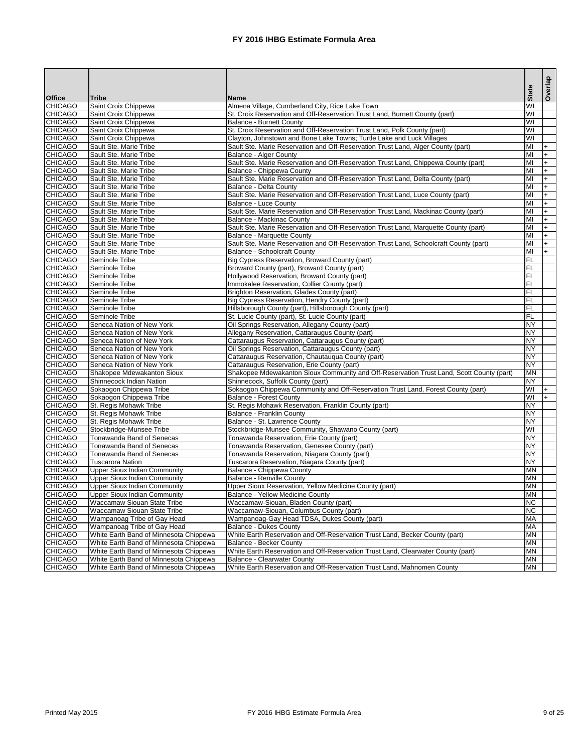|                                 |                                        |                                                                                          | State                   | Overlap |
|---------------------------------|----------------------------------------|------------------------------------------------------------------------------------------|-------------------------|---------|
| <b>Office</b><br><b>CHICAGO</b> | <b>Tribe</b><br>Saint Croix Chippewa   | <b>Name</b><br>Almena Village, Cumberland City, Rice Lake Town                           | WI                      |         |
| <b>CHICAGO</b>                  | Saint Croix Chippewa                   | St. Croix Reservation and Off-Reservation Trust Land, Burnett County (part)              | $\overline{\mathsf{W}}$ |         |
| <b>CHICAGO</b>                  | Saint Croix Chippewa                   | <b>Balance - Burnett County</b>                                                          | $\overline{\mathsf{W}}$ |         |
| <b>CHICAGO</b>                  | Saint Croix Chippewa                   | St. Croix Reservation and Off-Reservation Trust Land, Polk County (part)                 | $\overline{\mathsf{W}}$ |         |
| <b>CHICAGO</b>                  | Saint Croix Chippewa                   | Clayton, Johnstown and Bone Lake Towns; Turtle Lake and Luck Villages                    | $\overline{\mathsf{W}}$ |         |
| <b>CHICAGO</b>                  | Sault Ste. Marie Tribe                 | Sault Ste. Marie Reservation and Off-Reservation Trust Land, Alger County (part)         | $\overline{M}$          |         |
| <b>CHICAGO</b>                  | Sault Ste. Marie Tribe                 | <b>Balance - Alger County</b>                                                            | $\overline{M}$          | $+$     |
| <b>CHICAGO</b>                  | Sault Ste. Marie Tribe                 | Sault Ste. Marie Reservation and Off-Reservation Trust Land, Chippewa County (part)      | $\overline{M}$          | $+$     |
| <b>CHICAGO</b>                  | Sault Ste. Marie Tribe                 | Balance - Chippewa County                                                                | $\overline{M}$          | $+$     |
| <b>CHICAGO</b>                  | Sault Ste. Marie Tribe                 | Sault Ste. Marie Reservation and Off-Reservation Trust Land, Delta County (part)         | $\overline{M}$          | $+$     |
| <b>CHICAGO</b>                  | Sault Ste. Marie Tribe                 | <b>Balance - Delta County</b>                                                            | $\overline{M}$          | $+$     |
| <b>CHICAGO</b>                  | Sault Ste. Marie Tribe                 | Sault Ste. Marie Reservation and Off-Reservation Trust Land, Luce County (part)          | $\overline{M}$          | $+$     |
| <b>CHICAGO</b>                  | Sault Ste. Marie Tribe                 | Balance - Luce County                                                                    | $\overline{M}$          | $+$     |
| <b>CHICAGO</b>                  | Sault Ste. Marie Tribe                 | Sault Ste. Marie Reservation and Off-Reservation Trust Land, Mackinac County (part)      | $\overline{M}$          | $+$     |
| <b>CHICAGO</b>                  | Sault Ste. Marie Tribe                 | <b>Balance - Mackinac County</b>                                                         | $\overline{M}$          | $+$     |
| <b>CHICAGO</b>                  | Sault Ste. Marie Tribe                 | Sault Ste. Marie Reservation and Off-Reservation Trust Land, Marquette County (part)     | $\overline{M}$          | $+$     |
| <b>CHICAGO</b>                  | Sault Ste. Marie Tribe                 | Balance - Marquette County                                                               | $\overline{M}$          | $+$     |
| <b>CHICAGO</b>                  | Sault Ste. Marie Tribe                 | Sault Ste. Marie Reservation and Off-Reservation Trust Land, Schoolcraft County (part)   | $\overline{M}$          | $+$     |
| <b>CHICAGO</b>                  | Sault Ste. Marie Tribe                 | <b>Balance - Schoolcraft County</b>                                                      | $\overline{M}$          | $+$     |
| <b>CHICAGO</b>                  | Seminole Tribe                         | Big Cypress Reservation, Broward County (part)                                           | $\overline{\mathsf{F}}$ |         |
| <b>CHICAGO</b>                  | Seminole Tribe                         | Broward County (part), Broward County (part)                                             | FL                      |         |
| <b>CHICAGO</b>                  | Seminole Tribe                         | Hollywood Reservation, Broward County (part)                                             | FL                      |         |
| <b>CHICAGO</b>                  | Seminole Tribe                         | Immokalee Reservation, Collier County (part)                                             | FL                      |         |
| <b>CHICAGO</b>                  | Seminole Tribe                         | Brighton Reservation, Glades County (part)                                               | $\overline{F}$          |         |
| <b>CHICAGO</b>                  | Seminole Tribe                         | Big Cypress Reservation, Hendry County (part)                                            | $\overline{F}$          |         |
| <b>CHICAGO</b>                  | Seminole Tribe                         | Hillsborough County (part), Hillsborough County (part)                                   | $\overline{F}$          |         |
| <b>CHICAGO</b>                  | Seminole Tribe                         | St. Lucie County (part), St. Lucie County (part)                                         | $\overline{F}$          |         |
| <b>CHICAGO</b>                  | Seneca Nation of New York              | Oil Springs Reservation, Allegany County (part)                                          | <b>NY</b>               |         |
| <b>CHICAGO</b>                  | Seneca Nation of New York              | Allegany Reservation, Cattaraugus County (part)                                          | <b>NY</b>               |         |
| <b>CHICAGO</b>                  | Seneca Nation of New York              | Cattaraugus Reservation, Cattaraugus County (part)                                       | <b>NY</b>               |         |
| <b>CHICAGO</b>                  | Seneca Nation of New York              | Oil Springs Reservation, Cattaraugus County (part)                                       | $\overline{NY}$         |         |
| <b>CHICAGO</b>                  | Seneca Nation of New York              | Cattaraugus Reservation, Chautauqua County (part)                                        | $\overline{NY}$         |         |
| <b>CHICAGO</b>                  | Seneca Nation of New York              | Cattaraugus Reservation, Erie County (part)                                              | <b>NY</b>               |         |
| <b>CHICAGO</b>                  | Shakopee Mdewakanton Sioux             | Shakopee Mdewakanton Sioux Community and Off-Reservation Trust Land, Scott County (part) | <b>MN</b>               |         |
| <b>CHICAGO</b>                  | Shinnecock Indian Nation               | Shinnecock, Suffolk County (part)                                                        | <b>NY</b>               |         |
| <b>CHICAGO</b>                  | Sokaogon Chippewa Tribe                | Sokaogon Chippewa Community and Off-Reservation Trust Land, Forest County (part)         | WI                      |         |
| <b>CHICAGO</b>                  | Sokaogon Chippewa Tribe                | <b>Balance - Forest County</b>                                                           | WI                      |         |
| <b>CHICAGO</b>                  | St. Regis Mohawk Tribe                 | St. Regis Mohawk Reservation, Franklin County (part)                                     | <b>NY</b>               |         |
| <b>CHICAGO</b>                  | St. Regis Mohawk Tribe                 | <b>Balance - Franklin County</b>                                                         | <b>NY</b>               |         |
| <b>CHICAGO</b>                  | St. Regis Mohawk Tribe                 | Balance - St. Lawrence County                                                            | <b>NY</b>               |         |
| <b>CHICAGO</b>                  | Stockbridge-Munsee Tribe               | Stockbridge-Munsee Community, Shawano County (part)                                      | WI                      |         |
| <b>CHICAGO</b>                  | Tonawanda Band of Senecas              | Tonawanda Reservation, Erie County (part)                                                | <b>NY</b>               |         |
| <b>CHICAGO</b>                  | Tonawanda Band of Senecas              | Tonawanda Reservation, Genesee County (part)                                             | <b>NY</b>               |         |
| <b>CHICAGO</b>                  | Tonawanda Band of Senecas              | Tonawanda Reservation, Niagara County (part)                                             | <b>NY</b>               |         |
| <b>CHICAGO</b>                  | <b>Tuscarora Nation</b>                | Tuscarora Reservation, Niagara County (part)                                             | <b>NY</b>               |         |
| <b>CHICAGO</b>                  | <b>Upper Sioux Indian Community</b>    | Balance - Chippewa County                                                                | <b>MN</b>               |         |
| <b>CHICAGO</b>                  | <b>Upper Sioux Indian Community</b>    | <b>Balance - Renville County</b>                                                         | <b>MN</b>               |         |
| <b>CHICAGO</b>                  | <b>Upper Sioux Indian Community</b>    | Upper Sioux Reservation, Yellow Medicine County (part)                                   | <b>MN</b>               |         |
| <b>CHICAGO</b>                  | <b>Upper Sioux Indian Community</b>    | <b>Balance - Yellow Medicine County</b>                                                  | <b>MN</b>               |         |
| <b>CHICAGO</b>                  | Waccamaw Siouan State Tribe            | Waccamaw-Siouan, Bladen County (part)                                                    | <b>NC</b>               |         |
| <b>CHICAGO</b>                  | Waccamaw Siouan State Tribe            | Waccamaw-Siouan, Columbus County (part)                                                  | <b>NC</b>               |         |
| <b>CHICAGO</b>                  | Wampanoag Tribe of Gay Head            | Wampanoag-Gay Head TDSA, Dukes County (part)                                             | <b>MA</b>               |         |
| <b>CHICAGO</b>                  | Wampanoag Tribe of Gay Head            | <b>Balance - Dukes County</b>                                                            | MA                      |         |
| <b>CHICAGO</b>                  | White Earth Band of Minnesota Chippewa | White Earth Reservation and Off-Reservation Trust Land, Becker County (part)             | <b>MN</b>               |         |
| <b>CHICAGO</b>                  | White Earth Band of Minnesota Chippewa | <b>Balance - Becker County</b>                                                           | <b>MN</b>               |         |
| <b>CHICAGO</b>                  | White Earth Band of Minnesota Chippewa | White Earth Reservation and Off-Reservation Trust Land, Clearwater County (part)         | MN                      |         |
| <b>CHICAGO</b>                  | White Earth Band of Minnesota Chippewa | <b>Balance - Clearwater County</b>                                                       | <b>MN</b>               |         |
| <b>CHICAGO</b>                  | White Earth Band of Minnesota Chippewa | White Earth Reservation and Off-Reservation Trust Land, Mahnomen County                  | <b>MN</b>               |         |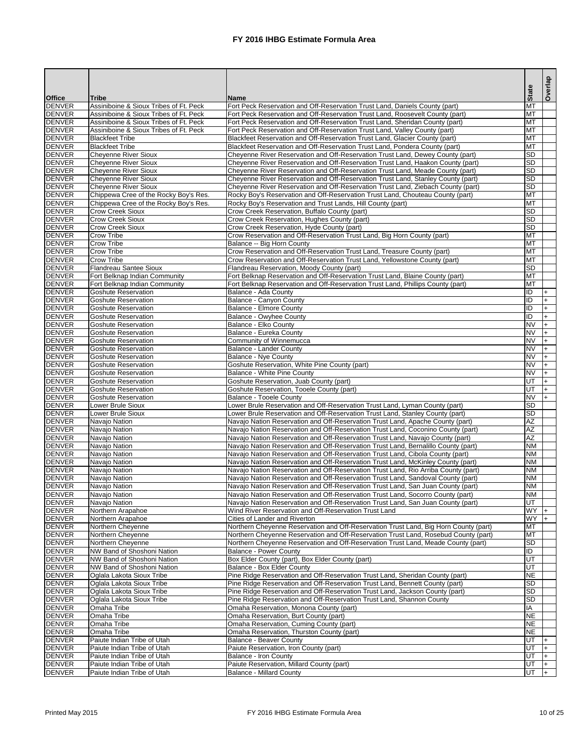|                                |                                                                                  |                                                                                                                                                                      |                        | Overlap                |
|--------------------------------|----------------------------------------------------------------------------------|----------------------------------------------------------------------------------------------------------------------------------------------------------------------|------------------------|------------------------|
| <b>Office</b>                  | <b>Tribe</b>                                                                     | <b>Name</b>                                                                                                                                                          | <b>State</b>           |                        |
| <b>DENVER</b>                  | Assiniboine & Sioux Tribes of Ft. Peck                                           | Fort Peck Reservation and Off-Reservation Trust Land, Daniels County (part)                                                                                          | <b>MT</b>              |                        |
| <b>DENVER</b>                  | Assiniboine & Sioux Tribes of Ft. Peck                                           | Fort Peck Reservation and Off-Reservation Trust Land, Roosevelt County (part)                                                                                        | <b>MT</b>              |                        |
| <b>DENVER</b><br><b>DENVER</b> | Assiniboine & Sioux Tribes of Ft. Peck<br>Assiniboine & Sioux Tribes of Ft. Peck | Fort Peck Reservation and Off-Reservation Trust Land, Sheridan County (part)<br>Fort Peck Reservation and Off-Reservation Trust Land, Valley County (part)           | <b>MT</b><br><b>MT</b> |                        |
| <b>DENVER</b>                  | <b>Blackfeet Tribe</b>                                                           | Blackfeet Reservation and Off-Reservation Trust Land, Glacier County (part)                                                                                          | <b>MT</b>              |                        |
| <b>DENVER</b>                  | <b>Blackfeet Tribe</b>                                                           | Blackfeet Reservation and Off-Reservation Trust Land, Pondera County (part)                                                                                          | <b>MT</b>              |                        |
| <b>DENVER</b>                  | <b>Cheyenne River Sioux</b>                                                      | Cheyenne River Reservation and Off-Reservation Trust Land, Dewey County (part)                                                                                       | <b>SD</b>              |                        |
| <b>DENVER</b>                  | <b>Cheyenne River Sioux</b>                                                      | Cheyenne River Reservation and Off-Reservation Trust Land, Haakon County (part)                                                                                      | <b>SD</b>              |                        |
| <b>DENVER</b>                  | Cheyenne River Sioux                                                             | Cheyenne River Reservation and Off-Reservation Trust Land, Meade County (part)                                                                                       | <b>SD</b>              |                        |
| <b>DENVER</b><br><b>DENVER</b> | Cheyenne River Sioux<br><b>Cheyenne River Sioux</b>                              | Cheyenne River Reservation and Off-Reservation Trust Land, Stanley County (part)<br>Cheyenne River Reservation and Off-Reservation Trust Land, Ziebach County (part) | <b>SD</b><br><b>SD</b> |                        |
| <b>DENVER</b>                  | Chippewa Cree of the Rocky Boy's Res.                                            | Rocky Boy's Reservation and Off-Reservation Trust Land, Chouteau County (part)                                                                                       | <b>MT</b>              |                        |
| <b>DENVER</b>                  | Chippewa Cree of the Rocky Boy's Res.                                            | Rocky Boy's Reservation and Trust Lands, Hill County (part)                                                                                                          | <b>MT</b>              |                        |
| <b>DENVER</b>                  | <b>Crow Creek Sioux</b>                                                          | Crow Creek Reservation, Buffalo County (part)                                                                                                                        | <b>SD</b>              |                        |
| <b>DENVER</b>                  | <b>Crow Creek Sioux</b>                                                          | Crow Creek Reservation, Hughes County (part)                                                                                                                         | <b>SD</b>              |                        |
| <b>DENVER</b>                  | <b>Crow Creek Sioux</b>                                                          | Crow Creek Reservation, Hyde County (part)                                                                                                                           | <b>SD</b>              |                        |
| <b>DENVER</b>                  | <b>Crow Tribe</b>                                                                | Crow Reservation and Off-Reservation Trust Land, Big Horn County (part)                                                                                              | <b>MT</b>              |                        |
| <b>DENVER</b><br><b>DENVER</b> | <b>Crow Tribe</b><br><b>Crow Tribe</b>                                           | Balance -- Big Horn County<br>Crow Reservation and Off-Reservation Trust Land, Treasure County (part)                                                                | <b>MT</b><br><b>MT</b> |                        |
| <b>DENVER</b>                  | <b>Crow Tribe</b>                                                                | Crow Reservation and Off-Reservation Trust Land, Yellowstone County (part)                                                                                           | <b>MT</b>              |                        |
| <b>DENVER</b>                  | <b>Flandreau Santee Sioux</b>                                                    | Flandreau Reservation, Moody County (part)                                                                                                                           | <b>SD</b>              |                        |
| <b>DENVER</b>                  | Fort Belknap Indian Community                                                    | Fort Belknap Reservation and Off-Reservation Trust Land, Blaine County (part)                                                                                        | <b>MT</b>              |                        |
| <b>DENVER</b>                  | Fort Belknap Indian Community                                                    | Fort Belknap Reservation and Off-Reservation Trust Land, Phillips County (part)                                                                                      | <b>MT</b>              |                        |
| <b>DENVER</b>                  | <b>Goshute Reservation</b>                                                       | Balance - Ada County                                                                                                                                                 | ID                     |                        |
| <b>DENVER</b>                  | <b>Goshute Reservation</b>                                                       | Balance - Canyon County                                                                                                                                              | Đ                      |                        |
| <b>DENVER</b><br><b>DENVER</b> | <b>Goshute Reservation</b><br><b>Goshute Reservation</b>                         | <b>Balance - Elmore County</b><br><b>Balance - Owyhee County</b>                                                                                                     | Đ<br>Đ                 | $\ddot{}$<br>$\ddot{}$ |
| <b>DENVER</b>                  | Goshute Reservation                                                              | Balance - Elko County                                                                                                                                                | <b>NV</b>              | $\ddot{}$              |
| <b>DENVER</b>                  | Goshute Reservation                                                              | Balance - Eureka County                                                                                                                                              | <b>NV</b>              | $\ddot{}$              |
| <b>DENVER</b>                  | Goshute Reservation                                                              | <b>Community of Winnemucca</b>                                                                                                                                       | <b>NV</b>              | $\ddot{}$              |
| <b>DENVER</b>                  | <b>Goshute Reservation</b>                                                       | Balance - Lander County                                                                                                                                              | <b>NV</b>              | $\ddot{}$              |
| <b>DENVER</b>                  | Goshute Reservation                                                              | Balance - Nye County                                                                                                                                                 | <b>NV</b>              | $\ddot{}$              |
| <b>DENVER</b>                  | <b>Goshute Reservation</b>                                                       | Goshute Reservation, White Pine County (part)                                                                                                                        | <b>NV</b>              | $+$                    |
| <b>DENVER</b><br><b>DENVER</b> | Goshute Reservation<br><b>Goshute Reservation</b>                                | Balance - White Pine County<br>Goshute Reservation, Juab County (part)                                                                                               | <b>NV</b><br>lut       | $ +$<br>$+$            |
| <b>DENVER</b>                  | <b>Goshute Reservation</b>                                                       | Goshute Reservation, Tooele County (part)                                                                                                                            | lut                    |                        |
| <b>DENVER</b>                  | <b>Goshute Reservation</b>                                                       | Balance - Tooele County                                                                                                                                              | <b>NV</b>              |                        |
| <b>DENVER</b>                  | Lower Brule Sioux                                                                | Lower Brule Reservation and Off-Reservation Trust Land, Lyman County (part)                                                                                          | <b>SD</b>              |                        |
| <b>DENVER</b>                  | Lower Brule Sioux                                                                | Lower Brule Reservation and Off-Reservation Trust Land, Stanley County (part)                                                                                        | <b>SD</b>              |                        |
| <b>DENVER</b>                  | Navajo Nation                                                                    | Navajo Nation Reservation and Off-Reservation Trust Land, Apache County (part)                                                                                       | <b>AZ</b>              |                        |
| <b>DENVER</b>                  | Navajo Nation                                                                    | Navajo Nation Reservation and Off-Reservation Trust Land, Coconino County (part)                                                                                     | <b>AΖ</b>              |                        |
| <b>DENVER</b><br><b>DENVER</b> | Navajo Nation<br>Navajo Nation                                                   | Navajo Nation Reservation and Off-Reservation Trust Land, Navajo County (part)<br>Navajo Nation Reservation and Off-Reservation Trust Land, Bernalillo County (part) | <b>AZ</b><br><b>NM</b> |                        |
| <b>DENVER</b>                  | Navajo Nation                                                                    | Navajo Nation Reservation and Off-Reservation Trust Land, Cibola County (part)                                                                                       | <b>NM</b>              |                        |
| <b>DENVER</b>                  | Navajo Nation                                                                    | Navajo Nation Reservation and Off-Reservation Trust Land, McKinley County (part)                                                                                     | <b>NM</b>              |                        |
| <b>DENVER</b>                  | Navajo Nation                                                                    | Navajo Nation Reservation and Off-Reservation Trust Land, Rio Arriba County (part)                                                                                   | <b>NM</b>              |                        |
| <b>DENVER</b>                  | Navajo Nation                                                                    | Navajo Nation Reservation and Off-Reservation Trust Land, Sandoval County (part)                                                                                     | <b>NM</b>              |                        |
| <b>DENVER</b>                  | Navajo Nation                                                                    | Navajo Nation Reservation and Off-Reservation Trust Land, San Juan County (part)                                                                                     | <b>NM</b>              |                        |
| <b>DENVER</b>                  | Navajo Nation                                                                    | Navajo Nation Reservation and Off-Reservation Trust Land, Socorro County (part)                                                                                      | <b>NM</b>              |                        |
| <b>DENVER</b><br><b>DENVER</b> | Navajo Nation<br>Northern Arapahoe                                               | Navajo Nation Reservation and Off-Reservation Trust Land, San Juan County (part)<br>Wind River Reservation and Off-Reservation Trust Land                            | lut<br><b>WY</b>       |                        |
| <b>DENVER</b>                  | Northern Arapahoe                                                                | Cities of Lander and Riverton                                                                                                                                        | <b>WY</b>              | $+$                    |
| <b>DENVER</b>                  | Northern Cheyenne                                                                | Northern Cheyenne Reservation and Off-Reservation Trust Land, Big Horn County (part)                                                                                 | <b>MT</b>              |                        |
| <b>DENVER</b>                  | Northern Cheyenne                                                                | Northern Cheyenne Reservation and Off-Reservation Trust Land, Rosebud County (part)                                                                                  | <b>MT</b>              |                        |
| <b>DENVER</b>                  | Northern Cheyenne                                                                | Northern Cheyenne Reservation and Off-Reservation Trust Land, Meade County (part)                                                                                    | <b>SD</b>              |                        |
| <b>DENVER</b>                  | <b>NW</b> Band of Shoshoni Nation                                                | <b>Balance - Power County</b>                                                                                                                                        | ID                     |                        |
| <b>DENVER</b>                  | <b>NW</b> Band of Shoshoni Nation                                                | Box Elder County (part), Box Elder County (part)                                                                                                                     | UT                     |                        |
| <b>DENVER</b><br><b>DENVER</b> | NW Band of Shoshoni Nation<br>Oglala Lakota Sioux Tribe                          | Balance - Box Elder County<br>Pine Ridge Reservation and Off-Reservation Trust Land, Sheridan County (part)                                                          | lut<br><b>NE</b>       |                        |
| <b>DENVER</b>                  | Oglala Lakota Sioux Tribe                                                        | Pine Ridge Reservation and Off-Reservation Trust Land, Bennett County (part)                                                                                         | <b>SD</b>              |                        |
| <b>DENVER</b>                  | Oglala Lakota Sioux Tribe                                                        | Pine Ridge Reservation and Off-Reservation Trust Land, Jackson County (part)                                                                                         | <b>SD</b>              |                        |
| <b>DENVER</b>                  | Oglala Lakota Sioux Tribe                                                        | Pine Ridge Reservation and Off-Reservation Trust Land, Shannon County                                                                                                | <b>SD</b>              |                        |
| <b>DENVER</b>                  | Omaha Tribe                                                                      | Omaha Reservation, Monona County (part)                                                                                                                              | IA                     |                        |
| <b>DENVER</b>                  | Omaha Tribe                                                                      | Omaha Reservation, Burt County (part)                                                                                                                                | <b>NE</b>              |                        |
| <b>DENVER</b>                  | Omaha Tribe                                                                      | Omaha Reservation, Cuming County (part)                                                                                                                              | <b>NE</b>              |                        |
| <b>DENVER</b><br><b>DENVER</b> | Omaha Tribe<br>Paiute Indian Tribe of Utah                                       | Omaha Reservation, Thurston County (part)<br>Balance - Beaver County                                                                                                 | <b>NE</b><br>lut       |                        |
| <b>DENVER</b>                  | Paiute Indian Tribe of Utah                                                      | Paiute Reservation, Iron County (part)                                                                                                                               | lut                    |                        |
| <b>DENVER</b>                  | Paiute Indian Tribe of Utah                                                      | Balance - Iron County                                                                                                                                                | lut                    | $\ddot{}$              |
| <b>DENVER</b>                  | Paiute Indian Tribe of Utah                                                      | Paiute Reservation, Millard County (part)                                                                                                                            | UT                     | $\ddot{}$              |
| <b>DENVER</b>                  | Paiute Indian Tribe of Utah                                                      | Balance - Millard County                                                                                                                                             | ll IT.<br>יי ישן       |                        |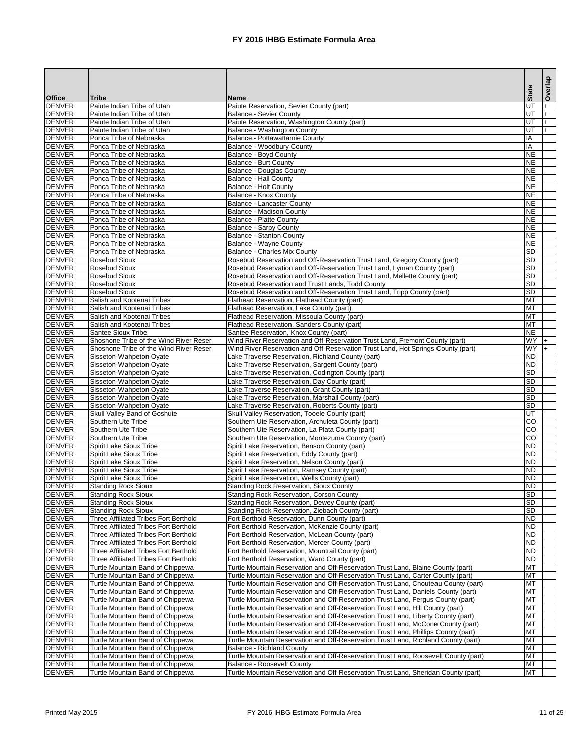|                                |                                                                                |                                                                                                                                                                       |                        | Overlap   |
|--------------------------------|--------------------------------------------------------------------------------|-----------------------------------------------------------------------------------------------------------------------------------------------------------------------|------------------------|-----------|
| <b>Office</b>                  | <b>Tribe</b>                                                                   | <b>Name</b>                                                                                                                                                           | <b>State</b>           |           |
| <b>DENVER</b>                  | Paiute Indian Tribe of Utah                                                    | Paiute Reservation, Sevier County (part)                                                                                                                              | <b>UT</b>              | $\ddot{}$ |
| <b>DENVER</b>                  | Paiute Indian Tribe of Utah                                                    | <b>Balance - Sevier County</b>                                                                                                                                        | UT                     | $+$       |
| <b>DENVER</b><br><b>DENVER</b> | Paiute Indian Tribe of Utah<br>Paiute Indian Tribe of Utah                     | Paiute Reservation, Washington County (part)                                                                                                                          | UT<br><b>UT</b>        | $+$       |
| <b>DENVER</b>                  | Ponca Tribe of Nebraska                                                        | Balance - Washington County<br>Balance - Pottawattamie County                                                                                                         | IA                     | $+$       |
| <b>DENVER</b>                  | Ponca Tribe of Nebraska                                                        | Balance - Woodbury County                                                                                                                                             | IA                     |           |
| <b>DENVER</b>                  | Ponca Tribe of Nebraska                                                        | Balance - Boyd County                                                                                                                                                 | <b>NE</b>              |           |
| <b>DENVER</b>                  | Ponca Tribe of Nebraska                                                        | <b>Balance - Burt County</b>                                                                                                                                          | <b>NE</b>              |           |
| <b>DENVER</b>                  | Ponca Tribe of Nebraska                                                        | <b>Balance - Douglas County</b>                                                                                                                                       | <b>NE</b>              |           |
| <b>DENVER</b><br><b>DENVER</b> | Ponca Tribe of Nebraska<br>Ponca Tribe of Nebraska                             | <b>Balance - Hall County</b>                                                                                                                                          | <b>NE</b><br><b>NE</b> |           |
| <b>DENVER</b>                  | Ponca Tribe of Nebraska                                                        | <b>Balance - Holt County</b><br>Balance - Knox County                                                                                                                 | <b>NE</b>              |           |
| <b>DENVER</b>                  | Ponca Tribe of Nebraska                                                        | <b>Balance - Lancaster County</b>                                                                                                                                     | <b>NE</b>              |           |
| <b>DENVER</b>                  | Ponca Tribe of Nebraska                                                        | <b>Balance - Madison County</b>                                                                                                                                       | <b>NE</b>              |           |
| <b>DENVER</b>                  | Ponca Tribe of Nebraska                                                        | <b>Balance - Platte County</b>                                                                                                                                        | <b>NE</b>              |           |
| <b>DENVER</b>                  | Ponca Tribe of Nebraska                                                        | <b>Balance - Sarpy County</b>                                                                                                                                         | <b>NE</b>              |           |
| <b>DENVER</b>                  | Ponca Tribe of Nebraska                                                        | <b>Balance - Stanton County</b>                                                                                                                                       | <b>NE</b>              |           |
| <b>DENVER</b><br><b>DENVER</b> | Ponca Tribe of Nebraska<br>Ponca Tribe of Nebraska                             | Balance - Wayne County<br><b>Balance - Charles Mix County</b>                                                                                                         | <b>NE</b><br><b>SD</b> |           |
| <b>DENVER</b>                  | <b>Rosebud Sioux</b>                                                           | Rosebud Reservation and Off-Reservation Trust Land, Gregory County (part)                                                                                             | <b>SD</b>              |           |
| <b>DENVER</b>                  | <b>Rosebud Sioux</b>                                                           | Rosebud Reservation and Off-Reservation Trust Land, Lyman County (part)                                                                                               | <b>SD</b>              |           |
| <b>DENVER</b>                  | <b>Rosebud Sioux</b>                                                           | Rosebud Reservation and Off-Reservation Trust Land, Mellette County (part)                                                                                            | <b>SD</b>              |           |
| <b>DENVER</b>                  | <b>Rosebud Sioux</b>                                                           | Rosebud Reservation and Trust Lands, Todd County                                                                                                                      | <b>SD</b>              |           |
| <b>DENVER</b>                  | <b>Rosebud Sioux</b>                                                           | Rosebud Reservation and Off-Reservation Trust Land, Tripp County (part)                                                                                               | <b>SD</b>              |           |
| <b>DENVER</b>                  | Salish and Kootenai Tribes                                                     | Flathead Reservation, Flathead County (part)                                                                                                                          | <b>MT</b>              |           |
| <b>DENVER</b><br><b>DENVER</b> | Salish and Kootenai Tribes<br>Salish and Kootenai Tribes                       | Flathead Reservation, Lake County (part)<br>Flathead Reservation, Missoula County (part)                                                                              | <b>MT</b><br><b>MT</b> |           |
| <b>DENVER</b>                  | Salish and Kootenai Tribes                                                     | Flathead Reservation, Sanders County (part)                                                                                                                           | <b>MT</b>              |           |
| <b>DENVER</b>                  | <b>Santee Sioux Tribe</b>                                                      | Santee Reservation, Knox County (part)                                                                                                                                | <b>NE</b>              |           |
| <b>DENVER</b>                  | Shoshone Tribe of the Wind River Reser                                         | Wind River Reservation and Off-Reservation Trust Land, Fremont County (part)                                                                                          | <b>WY</b>              | I+        |
| <b>DENVER</b>                  | Shoshone Tribe of the Wind River Reser                                         | Wind River Reservation and Off-Reservation Trust Land, Hot Springs County (part)                                                                                      | WY                     |           |
| <b>DENVER</b>                  | Sisseton-Wahpeton Oyate                                                        | Lake Traverse Reservation, Richland County (part)                                                                                                                     | <b>ND</b>              |           |
| <b>DENVER</b><br>DENVER        | Sisseton-Wahpeton Oyate<br>Sisseton-Wahpeton Oyate                             | Lake Traverse Reservation, Sargent County (part)<br>Lake Traverse Reservation, Codington County (part)                                                                | <b>ND</b><br> SD       |           |
| <b>DENVER</b>                  | Sisseton-Wahpeton Oyate                                                        | Lake Traverse Reservation, Day County (part)                                                                                                                          | <b>SD</b>              |           |
| <b>DENVER</b>                  | Sisseton-Wahpeton Oyate                                                        | Lake Traverse Reservation, Grant County (part)                                                                                                                        | <b>SD</b>              |           |
| <b>DENVER</b>                  | Sisseton-Wahpeton Oyate                                                        | Lake Traverse Reservation, Marshall County (part)                                                                                                                     | SD                     |           |
| <b>DENVER</b>                  | Sisseton-Wahpeton Oyate                                                        | Lake Traverse Reservation, Roberts County (part)                                                                                                                      | SD                     |           |
| <b>DENVER</b>                  | Skull Valley Band of Goshute                                                   | Skull Valley Reservation, Tooele County (part)                                                                                                                        | <b>UT</b>              |           |
| <b>DENVER</b><br><b>DENVER</b> | Southern Ute Tribe<br>Southern Ute Tribe                                       | Southern Ute Reservation, Archuleta County (part)<br>Southern Ute Reservation, La Plata County (part)                                                                 | <b>CO</b><br><b>CO</b> |           |
| <b>DENVER</b>                  | Southern Ute Tribe                                                             | Southern Ute Reservation, Montezuma County (part)                                                                                                                     | <b>CO</b>              |           |
| <b>DENVER</b>                  | <b>Spirit Lake Sioux Tribe</b>                                                 | Spirit Lake Reservation, Benson County (part)                                                                                                                         | <b>ND</b>              |           |
| <b>DENVER</b>                  | <b>Spirit Lake Sioux Tribe</b>                                                 | Spirit Lake Reservation, Eddy County (part)                                                                                                                           | <b>ND</b>              |           |
| <b>DENVER</b>                  | <b>Spirit Lake Sioux Tribe</b>                                                 | Spirit Lake Reservation, Nelson County (part)                                                                                                                         | <b>ND</b>              |           |
| <b>DENVER</b>                  | <b>Spirit Lake Sioux Tribe</b>                                                 | Spirit Lake Reservation, Ramsey County (part)                                                                                                                         | <b>ND</b>              |           |
| <b>DENVER</b><br><b>DENVER</b> | <b>Spirit Lake Sioux Tribe</b><br><b>Standing Rock Sioux</b>                   | Spirit Lake Reservation, Wells County (part)<br><b>Standing Rock Reservation, Sioux County</b>                                                                        | <b>ND</b><br><b>ND</b> |           |
| <b>DENVER</b>                  | <b>Standing Rock Sioux</b>                                                     | <b>Standing Rock Reservation, Corson County</b>                                                                                                                       | <b>SD</b>              |           |
| <b>DENVER</b>                  | <b>Standing Rock Sioux</b>                                                     | Standing Rock Reservation, Dewey County (part)                                                                                                                        | <b>SD</b>              |           |
| <b>DENVER</b>                  | <b>Standing Rock Sioux</b>                                                     | Standing Rock Reservation, Ziebach County (part)                                                                                                                      | SD                     |           |
| <b>DENVER</b>                  | Three Affiliated Tribes Fort Berthold                                          | Fort Berthold Reservation, Dunn County (part)                                                                                                                         | <b>ND</b>              |           |
| <b>DENVER</b>                  | Three Affiliated Tribes Fort Berthold                                          | Fort Berthold Reservation, McKenzie County (part)                                                                                                                     | <b>ND</b>              |           |
| <b>DENVER</b><br><b>DENVER</b> | Three Affiliated Tribes Fort Berthold<br>Three Affiliated Tribes Fort Berthold | Fort Berthold Reservation, McLean County (part)<br>Fort Berthold Reservation, Mercer County (part)                                                                    | <b>ND</b><br><b>ND</b> |           |
| <b>DENVER</b>                  | Three Affiliated Tribes Fort Berthold                                          | Fort Berthold Reservation, Mountrail County (part)                                                                                                                    | <b>ND</b>              |           |
| <b>DENVER</b>                  | Three Affiliated Tribes Fort Berthold                                          | Fort Berthold Reservation, Ward County (part)                                                                                                                         | <b>ND</b>              |           |
| <b>DENVER</b>                  | Turtle Mountain Band of Chippewa                                               | Turtle Mountain Reservation and Off-Reservation Trust Land, Blaine County (part)                                                                                      | <b>MT</b>              |           |
| <b>DENVER</b>                  | Turtle Mountain Band of Chippewa                                               | Turtle Mountain Reservation and Off-Reservation Trust Land, Carter County (part)                                                                                      | <b>MT</b>              |           |
| <b>DENVER</b>                  | Turtle Mountain Band of Chippewa                                               | Turtle Mountain Reservation and Off-Reservation Trust Land, Chouteau County (part)                                                                                    | <b>MT</b>              |           |
| <b>DENVER</b><br><b>DENVER</b> | Turtle Mountain Band of Chippewa<br>Turtle Mountain Band of Chippewa           | Turtle Mountain Reservation and Off-Reservation Trust Land, Daniels County (part)<br>Turtle Mountain Reservation and Off-Reservation Trust Land, Fergus County (part) | MT<br><b>MT</b>        |           |
| <b>DENVER</b>                  | Turtle Mountain Band of Chippewa                                               | Turtle Mountain Reservation and Off-Reservation Trust Land, Hill County (part)                                                                                        | <b>MT</b>              |           |
| <b>DENVER</b>                  | Turtle Mountain Band of Chippewa                                               | Turtle Mountain Reservation and Off-Reservation Trust Land, Liberty County (part)                                                                                     | <b>MT</b>              |           |
| <b>DENVER</b>                  | Turtle Mountain Band of Chippewa                                               | Turtle Mountain Reservation and Off-Reservation Trust Land, McCone County (part)                                                                                      | MT                     |           |
| <b>DENVER</b>                  | Turtle Mountain Band of Chippewa                                               | Turtle Mountain Reservation and Off-Reservation Trust Land, Phillips County (part)                                                                                    | <b>MT</b>              |           |
| <b>DENVER</b>                  | Turtle Mountain Band of Chippewa                                               | Turtle Mountain Reservation and Off-Reservation Trust Land, Richland County (part)                                                                                    | MT                     |           |
| <b>DENVER</b><br><b>DENVER</b> | Turtle Mountain Band of Chippewa<br>Turtle Mountain Band of Chippewa           | <b>Balance - Richland County</b><br>Turtle Mountain Reservation and Off-Reservation Trust Land, Roosevelt County (part)                                               | <b>MT</b><br><b>MT</b> |           |
| <b>DENVER</b>                  | Turtle Mountain Band of Chippewa                                               | <b>Balance - Roosevelt County</b>                                                                                                                                     | MT                     |           |
| <b>DENVER</b>                  | Turtle Mountain Band of Chippewa                                               | Turtle Mountain Reservation and Off-Reservation Trust Land, Sheridan County (part)                                                                                    | <b>MT</b>              |           |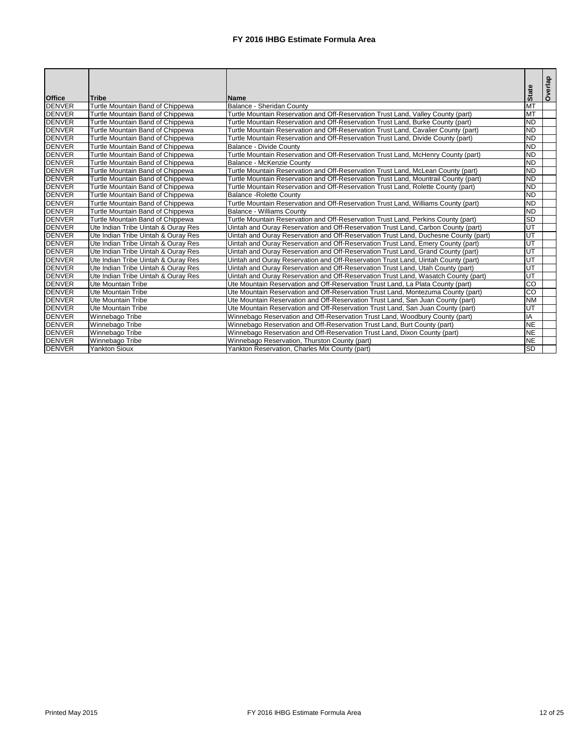| <b>Office</b> | <b>Tribe</b>                        | <b>Name</b>                                                                         | <b>State</b> | Overlap |
|---------------|-------------------------------------|-------------------------------------------------------------------------------------|--------------|---------|
| <b>DENVER</b> | Turtle Mountain Band of Chippewa    | <b>Balance - Sheridan County</b>                                                    | <b>MT</b>    |         |
| <b>DENVER</b> | Turtle Mountain Band of Chippewa    | Turtle Mountain Reservation and Off-Reservation Trust Land, Valley County (part)    | <b>MT</b>    |         |
| <b>DENVER</b> | Turtle Mountain Band of Chippewa    | Turtle Mountain Reservation and Off-Reservation Trust Land, Burke County (part)     | <b>ND</b>    |         |
| <b>DENVER</b> | Turtle Mountain Band of Chippewa    | Turtle Mountain Reservation and Off-Reservation Trust Land, Cavalier County (part)  | <b>ND</b>    |         |
| <b>DENVER</b> | Turtle Mountain Band of Chippewa    | Turtle Mountain Reservation and Off-Reservation Trust Land, Divide County (part)    | <b>ND</b>    |         |
| <b>DENVER</b> | Turtle Mountain Band of Chippewa    | <b>Balance - Divide County</b>                                                      | <b>ND</b>    |         |
| <b>DENVER</b> | Turtle Mountain Band of Chippewa    | Turtle Mountain Reservation and Off-Reservation Trust Land, McHenry County (part)   | <b>ND</b>    |         |
| <b>DENVER</b> | Turtle Mountain Band of Chippewa    | Balance - McKenzie County                                                           | <b>ND</b>    |         |
| <b>DENVER</b> | Turtle Mountain Band of Chippewa    | Turtle Mountain Reservation and Off-Reservation Trust Land, McLean County (part)    | <b>ND</b>    |         |
| <b>DENVER</b> | Turtle Mountain Band of Chippewa    | Turtle Mountain Reservation and Off-Reservation Trust Land, Mountrail County (part) | <b>ND</b>    |         |
| <b>DENVER</b> | Turtle Mountain Band of Chippewa    | Turtle Mountain Reservation and Off-Reservation Trust Land, Rolette County (part)   | <b>ND</b>    |         |
| <b>DENVER</b> | Turtle Mountain Band of Chippewa    | <b>Balance - Rolette County</b>                                                     | <b>ND</b>    |         |
| <b>DENVER</b> | Turtle Mountain Band of Chippewa    | Turtle Mountain Reservation and Off-Reservation Trust Land, Williams County (part)  | <b>ND</b>    |         |
| <b>DENVER</b> | Turtle Mountain Band of Chippewa    | <b>Balance - Williams County</b>                                                    | <b>ND</b>    |         |
| <b>DENVER</b> | Turtle Mountain Band of Chippewa    | Turtle Mountain Reservation and Off-Reservation Trust Land, Perkins County (part)   | <b>SD</b>    |         |
| <b>DENVER</b> | Ute Indian Tribe Uintah & Ouray Res | Uintah and Ouray Reservation and Off-Reservation Trust Land, Carbon County (part)   | lUТ          |         |
| <b>DENVER</b> | Ute Indian Tribe Uintah & Ouray Res | Uintah and Ouray Reservation and Off-Reservation Trust Land, Duchesne County (part) | lUТ          |         |
| <b>DENVER</b> | Ute Indian Tribe Uintah & Ouray Res | Uintah and Ouray Reservation and Off-Reservation Trust Land, Emery County (part)    | UT           |         |
| <b>DENVER</b> | Ute Indian Tribe Uintah & Ouray Res | Uintah and Ouray Reservation and Off-Reservation Trust Land, Grand County (part)    | UT           |         |
| <b>DENVER</b> | Ute Indian Tribe Uintah & Ouray Res | Uintah and Ouray Reservation and Off-Reservation Trust Land, Uintah County (part)   | UT           |         |
| <b>DENVER</b> | Ute Indian Tribe Uintah & Ouray Res | Uintah and Ouray Reservation and Off-Reservation Trust Land, Utah County (part)     | UT           |         |
| <b>DENVER</b> | Ute Indian Tribe Uintah & Ouray Res | Uintah and Ouray Reservation and Off-Reservation Trust Land, Wasatch County (part)  | UT           |         |
| <b>DENVER</b> | <b>Ute Mountain Tribe</b>           | Ute Mountain Reservation and Off-Reservation Trust Land, La Plata County (part)     | CO           |         |
| <b>DENVER</b> | <b>Ute Mountain Tribe</b>           | Ute Mountain Reservation and Off-Reservation Trust Land, Montezuma County (part)    | CO           |         |
| <b>DENVER</b> | Ute Mountain Tribe                  | Ute Mountain Reservation and Off-Reservation Trust Land, San Juan County (part)     | <b>NM</b>    |         |
| <b>DENVER</b> | Ute Mountain Tribe                  | Ute Mountain Reservation and Off-Reservation Trust Land, San Juan County (part)     | UT           |         |
| <b>DENVER</b> | Winnebago Tribe                     | Winnebago Reservation and Off-Reservation Trust Land, Woodbury County (part)        | IA           |         |
| <b>DENVER</b> | Winnebago Tribe                     | Winnebago Reservation and Off-Reservation Trust Land, Burt County (part)            | <b>NE</b>    |         |
| <b>DENVER</b> | Winnebago Tribe                     | Winnebago Reservation and Off-Reservation Trust Land, Dixon County (part)           | <b>NE</b>    |         |
| <b>DENVER</b> | Winnebago Tribe                     | Winnebago Reservation, Thurston County (part)                                       | <b>NE</b>    |         |
| <b>DENVER</b> | <b>Yankton Sioux</b>                | Yankton Reservation, Charles Mix County (part)                                      | <b>SD</b>    |         |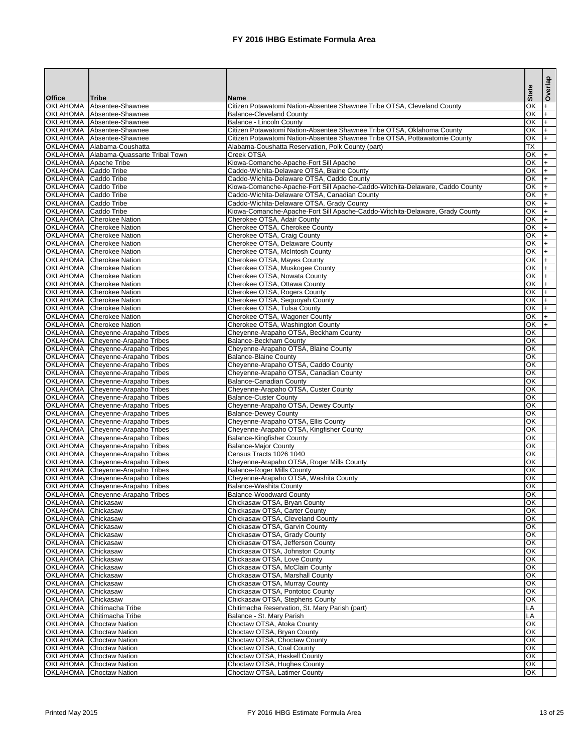|                                          |                                                                                    |                                                                                                             |                          | Overlap |
|------------------------------------------|------------------------------------------------------------------------------------|-------------------------------------------------------------------------------------------------------------|--------------------------|---------|
| <b>Office</b>                            | <b>Tribe</b>                                                                       | <b>Name</b>                                                                                                 | <b>State</b>             |         |
| <b>OKLAHOMA</b>                          | Absentee-Shawnee                                                                   | Citizen Potawatomi Nation-Absentee Shawnee Tribe OTSA, Cleveland County                                     | OK                       |         |
|                                          | OKLAHOMA Absentee-Shawnee                                                          | <b>Balance-Cleveland County</b>                                                                             | OK                       |         |
|                                          | OKLAHOMA Absentee-Shawnee<br>OKLAHOMA Absentee-Shawnee                             | Balance - Lincoln County<br>Citizen Potawatomi Nation-Absentee Shawnee Tribe OTSA, Oklahoma County          | OK<br>$\overline{OK}$    |         |
|                                          | OKLAHOMA Absentee-Shawnee                                                          | Citizen Potawatomi Nation-Absentee Shawnee Tribe OTSA, Pottawatomie County                                  | $\overline{OK}$          |         |
|                                          | OKLAHOMA Alabama-Coushatta                                                         | Alabama-Coushatta Reservation, Polk County (part)                                                           | $\overline{\mathsf{TX}}$ |         |
|                                          | OKLAHOMA Alabama-Quassarte Tribal Town                                             | Creek OTSA                                                                                                  | OK                       |         |
| OKLAHOMA Apache Tribe                    |                                                                                    | Kiowa-Comanche-Apache-Fort Sill Apache                                                                      | OK                       |         |
| OKLAHOMA Caddo Tribe                     |                                                                                    | Caddo-Wichita-Delaware OTSA, Blaine County                                                                  | OK                       |         |
| OKLAHOMA Caddo Tribe                     |                                                                                    | Caddo-Wichita-Delaware OTSA, Caddo County                                                                   | OK                       |         |
| OKLAHOMA Caddo Tribe                     |                                                                                    | Kiowa-Comanche-Apache-Fort Sill Apache-Caddo-Witchita-Delaware, Caddo County                                | OK                       |         |
| OKLAHOMA Caddo Tribe                     |                                                                                    | Caddo-Wichita-Delaware OTSA, Canadian County                                                                | OK                       |         |
| OKLAHOMA Caddo Tribe                     |                                                                                    | Caddo-Wichita-Delaware OTSA, Grady County                                                                   | OK                       |         |
| OKLAHOMA Caddo Tribe                     | OKLAHOMA Cherokee Nation                                                           | Kiowa-Comanche-Apache-Fort Sill Apache-Caddo-Witchita-Delaware, Grady County<br>Cherokee OTSA, Adair County | OK<br>OK                 |         |
|                                          | OKLAHOMA Cherokee Nation                                                           | Cherokee OTSA, Cherokee County                                                                              | OK                       |         |
|                                          | OKLAHOMA Cherokee Nation                                                           | Cherokee OTSA, Craig County                                                                                 | OK                       |         |
|                                          | OKLAHOMA Cherokee Nation                                                           | Cherokee OTSA, Delaware County                                                                              | OK                       |         |
|                                          | OKLAHOMA Cherokee Nation                                                           | Cherokee OTSA, McIntosh County                                                                              | OK                       |         |
|                                          | OKLAHOMA Cherokee Nation                                                           | Cherokee OTSA, Mayes County                                                                                 | OK                       |         |
|                                          | OKLAHOMA Cherokee Nation                                                           | Cherokee OTSA, Muskogee County                                                                              | OK                       |         |
|                                          | OKLAHOMA Cherokee Nation                                                           | Cherokee OTSA, Nowata County                                                                                | OK                       |         |
|                                          | OKLAHOMA Cherokee Nation                                                           | Cherokee OTSA, Ottawa County                                                                                | OK                       |         |
|                                          | OKLAHOMA Cherokee Nation                                                           | Cherokee OTSA, Rogers County                                                                                | OK                       |         |
|                                          | OKLAHOMA Cherokee Nation                                                           | Cherokee OTSA, Sequoyah County                                                                              | OK                       |         |
|                                          | OKLAHOMA Cherokee Nation                                                           | Cherokee OTSA, Tulsa County                                                                                 | OK                       |         |
|                                          | OKLAHOMA Cherokee Nation<br>OKLAHOMA Cherokee Nation                               | Cherokee OTSA, Wagoner County<br>Cherokee OTSA, Washington County                                           | OK<br>OK                 |         |
|                                          | OKLAHOMA Cheyenne-Arapaho Tribes                                                   | Cheyenne-Arapaho OTSA, Beckham County                                                                       | OK                       |         |
|                                          | OKLAHOMA Cheyenne-Arapaho Tribes                                                   | <b>Balance-Beckham County</b>                                                                               | OK                       |         |
|                                          | OKLAHOMA Cheyenne-Arapaho Tribes                                                   | Cheyenne-Arapaho OTSA, Blaine County                                                                        | OK                       |         |
|                                          | OKLAHOMA Cheyenne-Arapaho Tribes                                                   | <b>Balance-Blaine County</b>                                                                                | OK                       |         |
|                                          | OKLAHOMA Cheyenne-Arapaho Tribes                                                   | Cheyenne-Arapaho OTSA, Caddo County                                                                         | OK                       |         |
|                                          | OKLAHOMA Cheyenne-Arapaho Tribes                                                   | Cheyenne-Arapaho OTSA, Canadian County                                                                      | OK                       |         |
|                                          | <b>OKLAHOMA</b> Cheyenne-Arapaho Tribes                                            | <b>Balance-Canadian County</b>                                                                              | <b>OK</b>                |         |
|                                          | <b>OKLAHOMA</b> Cheyenne-Arapaho Tribes                                            | Cheyenne-Arapaho OTSA, Custer County                                                                        | OK                       |         |
|                                          | <b>OKLAHOMA</b> Cheyenne-Arapaho Tribes                                            | <b>Balance-Custer County</b>                                                                                | OK                       |         |
|                                          | <b>OKLAHOMA</b> Cheyenne-Arapaho Tribes<br><b>OKLAHOMA</b> Cheyenne-Arapaho Tribes | Cheyenne-Arapaho OTSA, Dewey County                                                                         | OK<br>OK                 |         |
|                                          | <b>OKLAHOMA</b> Cheyenne-Arapaho Tribes                                            | <b>Balance-Dewey County</b><br>Cheyenne-Arapaho OTSA, Ellis County                                          | OK                       |         |
|                                          | <b>OKLAHOMA</b> Cheyenne-Arapaho Tribes                                            | Cheyenne-Arapaho OTSA, Kingfisher County                                                                    | OK                       |         |
|                                          | <b>OKLAHOMA</b> Cheyenne-Arapaho Tribes                                            | <b>Balance-Kingfisher County</b>                                                                            | OK                       |         |
|                                          | <b>OKLAHOMA</b> Cheyenne-Arapaho Tribes                                            | <b>Balance-Major County</b>                                                                                 | OK                       |         |
|                                          | <b>OKLAHOMA</b> Cheyenne-Arapaho Tribes                                            | Census Tracts 1026 1040                                                                                     | OK                       |         |
|                                          | <b>OKLAHOMA</b> Cheyenne-Arapaho Tribes                                            | Cheyenne-Arapaho OTSA, Roger Mills County                                                                   | OK                       |         |
|                                          | <b>OKLAHOMA</b> Cheyenne-Arapaho Tribes                                            | <b>Balance-Roger Mills County</b>                                                                           | OK                       |         |
|                                          | <b>OKLAHOMA</b> Cheyenne-Arapaho Tribes                                            | Cheyenne-Arapaho OTSA, Washita County                                                                       | OK                       |         |
|                                          | <b>OKLAHOMA</b> Cheyenne-Arapaho Tribes                                            | Balance-Washita County                                                                                      | OK                       |         |
|                                          | <b>OKLAHOMA</b> Cheyenne-Arapaho Tribes                                            | <b>Balance-Woodward County</b>                                                                              | OK                       |         |
| OKLAHOMA Chickasaw<br>OKLAHOMA Chickasaw |                                                                                    | Chickasaw OTSA, Bryan County<br>Chickasaw OTSA, Carter County                                               | OK<br>OK                 |         |
| OKLAHOMA Chickasaw                       |                                                                                    | Chickasaw OTSA, Cleveland County                                                                            | OK                       |         |
| OKLAHOMA Chickasaw                       |                                                                                    | Chickasaw OTSA, Garvin County                                                                               | OK                       |         |
| OKLAHOMA Chickasaw                       |                                                                                    | Chickasaw OTSA, Grady County                                                                                | OK                       |         |
| OKLAHOMA Chickasaw                       |                                                                                    | Chickasaw OTSA, Jefferson County                                                                            | OK                       |         |
| OKLAHOMA Chickasaw                       |                                                                                    | Chickasaw OTSA, Johnston County                                                                             | OK                       |         |
| OKLAHOMA Chickasaw                       |                                                                                    | Chickasaw OTSA, Love County                                                                                 | OK                       |         |
| OKLAHOMA Chickasaw                       |                                                                                    | Chickasaw OTSA, McClain County                                                                              | OK                       |         |
| OKLAHOMA Chickasaw                       |                                                                                    | Chickasaw OTSA, Marshall County                                                                             | OK                       |         |
| OKLAHOMA Chickasaw                       |                                                                                    | Chickasaw OTSA, Murray County                                                                               | OK                       |         |
| OKLAHOMA Chickasaw                       |                                                                                    | Chickasaw OTSA, Pontotoc County                                                                             | OK<br>OK                 |         |
| OKLAHOMA Chickasaw                       | <b>OKLAHOMA</b> Chitimacha Tribe                                                   | Chickasaw OTSA, Stephens County<br>Chitimacha Reservation, St. Mary Parish (part)                           | LA                       |         |
|                                          | <b>OKLAHOMA</b> Chitimacha Tribe                                                   | Balance - St. Mary Parish                                                                                   | LA                       |         |
|                                          | <b>OKLAHOMA</b> Choctaw Nation                                                     | Choctaw OTSA, Atoka County                                                                                  | OK                       |         |
|                                          | <b>OKLAHOMA</b> Choctaw Nation                                                     | Choctaw OTSA, Bryan County                                                                                  | OK                       |         |
|                                          | <b>OKLAHOMA</b> Choctaw Nation                                                     | Choctaw OTSA, Choctaw County                                                                                | OK                       |         |
|                                          | <b>OKLAHOMA</b> Choctaw Nation                                                     | Choctaw OTSA, Coal County                                                                                   | OK                       |         |
|                                          | <b>OKLAHOMA</b> Choctaw Nation                                                     | Choctaw OTSA, Haskell County                                                                                | <b>OK</b>                |         |
|                                          | <b>OKLAHOMA</b> Choctaw Nation                                                     | Choctaw OTSA, Hughes County                                                                                 | OK                       |         |
|                                          | <b>OKLAHOMA</b> Choctaw Nation                                                     | Choctaw OTSA, Latimer County                                                                                | OK                       |         |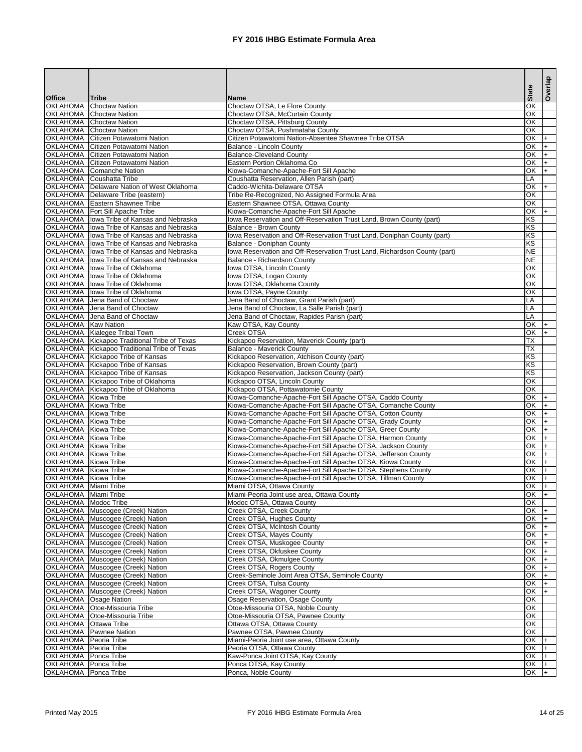|                                                       |                                                                                    |                                                                                                                        | <b>State</b>             | Overlap    |
|-------------------------------------------------------|------------------------------------------------------------------------------------|------------------------------------------------------------------------------------------------------------------------|--------------------------|------------|
| <b>Office</b>                                         | <b>Tribe</b>                                                                       | <b>Name</b>                                                                                                            |                          |            |
| <b>OKLAHOMA</b><br><b>OKLAHOMA</b>                    | <b>Choctaw Nation</b><br><b>Choctaw Nation</b>                                     | Choctaw OTSA, Le Flore County<br>Choctaw OTSA, McCurtain County                                                        | OK<br>OK                 |            |
| <b>OKLAHOMA</b>                                       | <b>Choctaw Nation</b>                                                              | Choctaw OTSA, Pittsburg County                                                                                         | $\overline{OR}$          |            |
| <b>OKLAHOMA</b>                                       | <b>Choctaw Nation</b>                                                              | Choctaw OTSA, Pushmataha County                                                                                        | $\overline{OR}$          |            |
|                                                       | <b>OKLAHOMA</b> Citizen Potawatomi Nation                                          | Citizen Potawatomi Nation-Absentee Shawnee Tribe OTSA                                                                  | $\overline{OR}$          | l+         |
|                                                       | <b>OKLAHOMA</b> Citizen Potawatomi Nation                                          | <b>Balance - Lincoln County</b>                                                                                        | OK                       | l+         |
|                                                       | <b>OKLAHOMA</b> Citizen Potawatomi Nation                                          | <b>Balance-Cleveland County</b><br>Eastern Portion Oklahoma Co                                                         | OK<br>OK                 | l+         |
|                                                       | <b>OKLAHOMA</b> Citizen Potawatomi Nation<br><b>OKLAHOMA</b> Comanche Nation       | Kiowa-Comanche-Apache-Fort Sill Apache                                                                                 | OK                       | $+$<br>$+$ |
|                                                       | OKLAHOMA Coushatta Tribe                                                           | Coushatta Reservation, Allen Parish (part)                                                                             | LA                       |            |
|                                                       | <b>OKLAHOMA</b> Delaware Nation of West Oklahoma                                   | Caddo-Wichita-Delaware OTSA                                                                                            | OK                       | $+$        |
|                                                       | OKLAHOMA   Delaware Tribe (eastern)                                                | Tribe Re-Recognized, No Assigned Formula Area                                                                          | OK                       |            |
|                                                       | <b>OKLAHOMA</b> Eastern Shawnee Tribe                                              | Eastern Shawnee OTSA, Ottawa County                                                                                    | OK                       |            |
| <b>OKLAHOMA</b>                                       | <b>OKLAHOMA</b>   Fort Sill Apache Tribe<br>Iowa Tribe of Kansas and Nebraska      | Kiowa-Comanche-Apache-Fort Sill Apache<br>lowa Reservation and Off-Reservation Trust Land, Brown County (part)         | $\overline{OR}$<br>KS    | $+$        |
| <b>OKLAHOMA</b>                                       | <b>Ilowa Tribe of Kansas and Nebraska</b>                                          | <b>Balance - Brown County</b>                                                                                          | KS                       |            |
| <b>OKLAHOMA</b>                                       | Iowa Tribe of Kansas and Nebraska                                                  | lowa Reservation and Off-Reservation Trust Land, Doniphan County (part)                                                | KS                       |            |
| <b>OKLAHOMA</b>                                       | lowa Tribe of Kansas and Nebraska                                                  | Balance - Doniphan County                                                                                              | KS                       |            |
| <b>OKLAHOMA</b>                                       | Iowa Tribe of Kansas and Nebraska                                                  | lowa Reservation and Off-Reservation Trust Land, Richardson County (part)                                              | <b>NE</b>                |            |
| <b>OKLAHOMA</b>                                       | Iowa Tribe of Kansas and Nebraska<br>Iowa Tribe of Oklahoma                        | Balance - Richardson County                                                                                            | <b>NE</b><br>OK          |            |
| <b>OKLAHOMA</b><br><b>OKLAHOMA</b>                    | Iowa Tribe of Oklahoma                                                             | Iowa OTSA, Lincoln County<br>Iowa OTSA, Logan County                                                                   | OK                       |            |
| <b>OKLAHOMA</b>                                       | Iowa Tribe of Oklahoma                                                             | Iowa OTSA, Oklahoma County                                                                                             | OK                       |            |
| <b>OKLAHOMA</b>                                       | Iowa Tribe of Oklahoma                                                             | Iowa OTSA, Payne County                                                                                                | ЮK                       |            |
| <b>OKLAHOMA</b>                                       | Jena Band of Choctaw                                                               | Jena Band of Choctaw, Grant Parish (part)                                                                              | LA                       |            |
| <b>OKLAHOMA</b>                                       | Jena Band of Choctaw                                                               | Jena Band of Choctaw, La Salle Parish (part)                                                                           | LA                       |            |
| <b>OKLAHOMA</b><br><b>OKLAHOMA</b> Kaw Nation         | Jena Band of Choctaw                                                               | Jena Band of Choctaw, Rapides Parish (part)<br>Kaw OTSA, Kay County                                                    | LA<br>OK                 | $+$        |
|                                                       | OKLAHOMA Kialegee Tribal Town                                                      | Creek OTSA                                                                                                             | OK                       | $+$        |
|                                                       | OKLAHOMA Kickapoo Traditional Tribe of Texas                                       | Kickapoo Reservation, Maverick County (part)                                                                           | $\overline{TX}$          |            |
|                                                       | OKLAHOMA Kickapoo Traditional Tribe of Texas                                       | <b>Balance - Maverick County</b>                                                                                       | $\overline{\mathsf{TX}}$ |            |
| <b>OKLAHOMA</b>                                       | Kickapoo Tribe of Kansas                                                           | Kickapoo Reservation, Atchison County (part)                                                                           | KS                       |            |
|                                                       | OKLAHOMA   Kickapoo Tribe of Kansas                                                | Kickapoo Reservation, Brown County (part)                                                                              | KS                       |            |
|                                                       | OKLAHOMA Kickapoo Tribe of Kansas<br>OKLAHOMA Kickapoo Tribe of Oklahoma           | Kickapoo Reservation, Jackson County (part)<br>Kickapoo OTSA, Lincoln County                                           | KS<br>OK                 |            |
|                                                       | OKLAHOMA Kickapoo Tribe of Oklahoma                                                | Kickapoo OTSA, Pottawatomie County                                                                                     | IOK.                     |            |
| <b>OKLAHOMA</b> Kiowa Tribe                           |                                                                                    | Kiowa-Comanche-Apache-Fort Sill Apache OTSA, Caddo County                                                              | OK.                      |            |
| <b>OKLAHOMA</b> Kiowa Tribe                           |                                                                                    | Kiowa-Comanche-Apache-Fort Sill Apache OTSA, Comanche County                                                           | OK                       |            |
| OKLAHOMA Kiowa Tribe                                  |                                                                                    | Kiowa-Comanche-Apache-Fort Sill Apache OTSA, Cotton County                                                             | OK                       |            |
| OKLAHOMA Kiowa Tribe<br>OKLAHOMA Kiowa Tribe          |                                                                                    | Kiowa-Comanche-Apache-Fort Sill Apache OTSA, Grady County<br>Kiowa-Comanche-Apache-Fort Sill Apache OTSA, Greer County | OK.<br>OK.               |            |
| OKLAHOMA Kiowa Tribe                                  |                                                                                    | Kiowa-Comanche-Apache-Fort Sill Apache OTSA, Harmon County                                                             | OK                       |            |
| OKLAHOMA Kiowa Tribe                                  |                                                                                    | Kiowa-Comanche-Apache-Fort Sill Apache OTSA, Jackson County                                                            | OK                       |            |
| OKLAHOMA Kiowa Tribe                                  |                                                                                    | Kiowa-Comanche-Apache-Fort Sill Apache OTSA, Jefferson County                                                          | OK                       |            |
| OKLAHOMA Kiowa Tribe                                  |                                                                                    | Kiowa-Comanche-Apache-Fort Sill Apache OTSA, Kiowa County                                                              | OK                       |            |
| OKLAHOMA Kiowa Tribe                                  |                                                                                    | Kiowa-Comanche-Apache-Fort Sill Apache OTSA, Stephens County                                                           | OK                       |            |
| OKLAHOMA Kiowa Tribe<br><b>OKLAHOMA</b> Miami Tribe   |                                                                                    | Kiowa-Comanche-Apache-Fort Sill Apache OTSA, Tillman County<br>Miami OTSA, Ottawa County                               | OK<br><b>OK</b>          |            |
| <b>OKLAHOMA</b> Miami Tribe                           |                                                                                    | Miami-Peoria Joint use area, Ottawa County                                                                             | <b>OK</b>                |            |
| <b>OKLAHOMA</b> Modoc Tribe                           |                                                                                    | Modoc OTSA, Ottawa County                                                                                              | OK                       |            |
|                                                       | <b>OKLAHOMA</b> Muscogee (Creek) Nation                                            | Creek OTSA, Creek County                                                                                               | <b>OK</b>                |            |
|                                                       | <b>OKLAHOMA</b> Muscogee (Creek) Nation                                            | Creek OTSA, Hughes County                                                                                              | <b>OK</b>                |            |
|                                                       | <b>OKLAHOMA</b> Muscogee (Creek) Nation                                            | Creek OTSA, McIntosh County                                                                                            | <b>OK</b>                |            |
|                                                       | OKLAHOMA Muscogee (Creek) Nation<br>OKLAHOMA Muscogee (Creek) Nation               | Creek OTSA, Mayes County<br>Creek OTSA, Muskogee County                                                                | <b>OK</b><br><b>OK</b>   |            |
|                                                       | OKLAHOMA Muscogee (Creek) Nation                                                   | Creek OTSA, Okfuskee County                                                                                            | OK                       |            |
|                                                       | OKLAHOMA Muscogee (Creek) Nation                                                   | Creek OTSA, Okmulgee County                                                                                            | OK                       |            |
|                                                       | OKLAHOMA Muscogee (Creek) Nation                                                   | Creek OTSA, Rogers County                                                                                              | OK                       |            |
|                                                       | OKLAHOMA Muscogee (Creek) Nation                                                   | Creek-Seminole Joint Area OTSA, Seminole County                                                                        | OK                       |            |
|                                                       | <b>OKLAHOMA</b> Muscogee (Creek) Nation<br><b>OKLAHOMA</b> Muscogee (Creek) Nation | Creek OTSA, Tulsa County<br>Creek OTSA, Wagoner County                                                                 | OK<br>OK                 |            |
|                                                       | <b>OKLAHOMA Osage Nation</b>                                                       | Osage Reservation, Osage County                                                                                        | OK                       |            |
|                                                       | <b>OKLAHOMA Otoe-Missouria Tribe</b>                                               | Otoe-Missouria OTSA, Noble County                                                                                      | OK                       |            |
|                                                       | <b>OKLAHOMA Otoe-Missouria Tribe</b>                                               | Otoe-Missouria OTSA, Pawnee County                                                                                     | OK                       |            |
| <b>OKLAHOMA Ottawa Tribe</b>                          |                                                                                    | Ottawa OTSA, Ottawa County                                                                                             | OK                       |            |
|                                                       | <b>OKLAHOMA</b> Pawnee Nation                                                      | Pawnee OTSA, Pawnee County                                                                                             | OK                       |            |
| OKLAHOMA Peoria Tribe<br><b>OKLAHOMA</b> Peoria Tribe |                                                                                    | Miami-Peoria Joint use area, Ottawa County<br>Peoria OTSA, Ottawa County                                               | <b>OK</b><br><b>OK</b>   |            |
| OKLAHOMA Ponca Tribe                                  |                                                                                    | Kaw-Ponca Joint OTSA, Kay County                                                                                       | <b>OK</b>                |            |
| <b>OKLAHOMA</b> Ponca Tribe                           |                                                                                    | Ponca OTSA, Kay County                                                                                                 | OK                       |            |
| <b>OKLAHOMA</b> Ponca Tribe                           |                                                                                    | Ponca, Noble County                                                                                                    | OK                       | $+$        |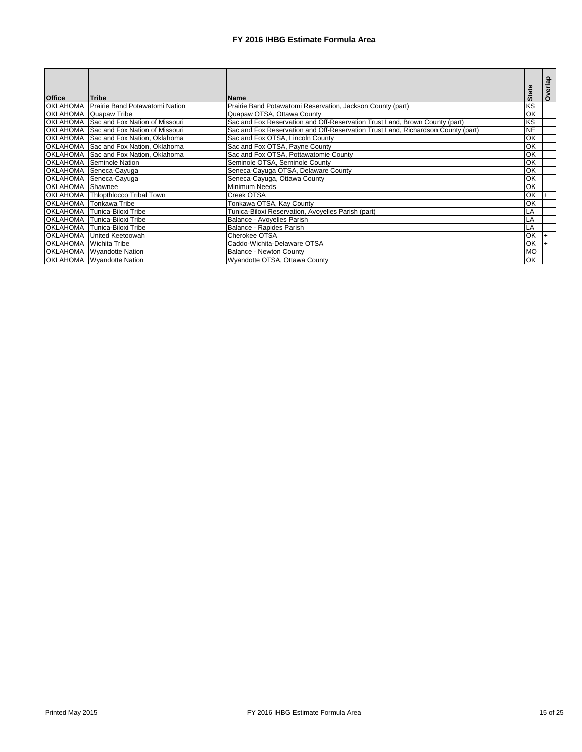| <b>Office</b>   | <b>Tribe</b>                            | <b>Name</b>                                                                      | <b>State</b>             | Overlap |
|-----------------|-----------------------------------------|----------------------------------------------------------------------------------|--------------------------|---------|
| <b>OKLAHOMA</b> |                                         |                                                                                  | $\overline{\text{KS}}$   |         |
|                 | Prairie Band Potawatomi Nation          | Prairie Band Potawatomi Reservation, Jackson County (part)                       |                          |         |
| <b>OKLAHOMA</b> | Quapaw Tribe                            | Quapaw OTSA, Ottawa County                                                       | OK                       |         |
|                 | OKLAHOMA Sac and Fox Nation of Missouri | Sac and Fox Reservation and Off-Reservation Trust Land, Brown County (part)      | KS                       |         |
| <b>OKLAHOMA</b> | Sac and Fox Nation of Missouri          | Sac and Fox Reservation and Off-Reservation Trust Land, Richardson County (part) | <b>NE</b>                |         |
| <b>OKLAHOMA</b> | Sac and Fox Nation, Oklahoma            | Sac and Fox OTSA, Lincoln County                                                 | OK                       |         |
| <b>OKLAHOMA</b> | Sac and Fox Nation, Oklahoma            | Sac and Fox OTSA, Payne County                                                   | OK                       |         |
| <b>OKLAHOMA</b> | Sac and Fox Nation, Oklahoma            | Sac and Fox OTSA, Pottawatomie County                                            | OK                       |         |
| <b>OKLAHOMA</b> | Seminole Nation                         | Seminole OTSA, Seminole County                                                   | OK                       |         |
| <b>OKLAHOMA</b> | Seneca-Cayuga                           | Seneca-Cayuga OTSA, Delaware County                                              | $\overline{\mathsf{OK}}$ |         |
| <b>OKLAHOMA</b> | Seneca-Cayuga                           | Seneca-Cayuga, Ottawa County                                                     | $\overline{\mathsf{OK}}$ |         |
| <b>OKLAHOMA</b> | Shawnee                                 | <b>Minimum Needs</b>                                                             | $\overline{\mathsf{OK}}$ |         |
| <b>OKLAHOMA</b> | <b>Thiopthlocco Tribal Town</b>         | Creek OTSA                                                                       | OK                       |         |
| <b>OKLAHOMA</b> | Tonkawa Tribe                           | Tonkawa OTSA, Kay County                                                         | OK                       |         |
| <b>OKLAHOMA</b> | Tunica-Biloxi Tribe                     | Tunica-Biloxi Reservation, Avoyelles Parish (part)                               | LA                       |         |
| <b>OKLAHOMA</b> | Tunica-Biloxi Tribe                     | Balance - Avoyelles Parish                                                       | LA                       |         |
| <b>OKLAHOMA</b> | Tunica-Biloxi Tribe                     | Balance - Rapides Parish                                                         | LA                       |         |
| <b>OKLAHOMA</b> | United Keetoowah                        | Cherokee OTSA                                                                    | OK                       |         |
| <b>OKLAHOMA</b> | Wichita Tribe                           | Caddo-Wichita-Delaware OTSA                                                      | OK                       |         |
| <b>OKLAHOMA</b> | Wyandotte Nation                        | <b>Balance - Newton County</b>                                                   | <b>MO</b>                |         |
|                 | OKLAHOMA   Wyandotte Nation             | Wyandotte OTSA, Ottawa County                                                    | OK                       |         |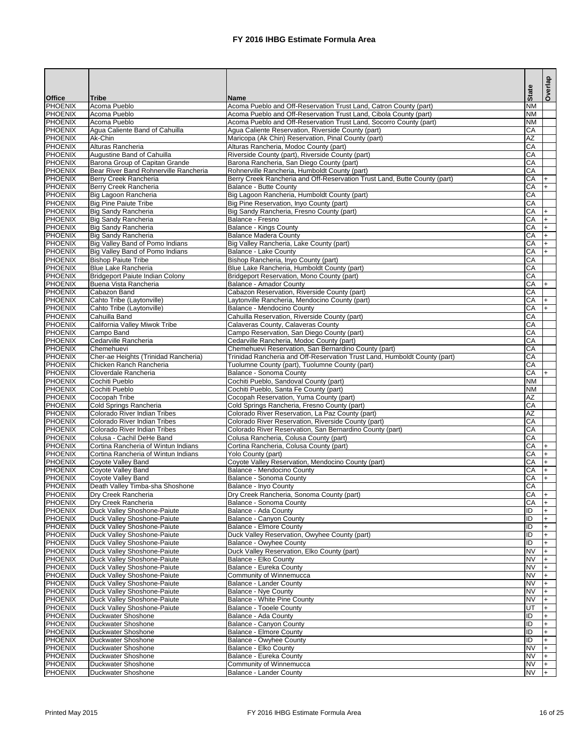|                                  |                                                            |                                                                                                                          | <b>State</b>    | Overlap   |
|----------------------------------|------------------------------------------------------------|--------------------------------------------------------------------------------------------------------------------------|-----------------|-----------|
| <b>Office</b>                    | <b>Tribe</b>                                               | <b>Name</b>                                                                                                              |                 |           |
| <b>PHOENIX</b>                   | <b>Acoma Pueblo</b>                                        | Acoma Pueblo and Off-Reservation Trust Land, Catron County (part)                                                        | <b>NM</b>       |           |
| <b>PHOENIX</b>                   | Acoma Pueblo                                               | Acoma Pueblo and Off-Reservation Trust Land, Cibola County (part)                                                        | <b>NM</b>       |           |
| <b>PHOENIX</b><br><b>PHOENIX</b> | Acoma Pueblo<br>Agua Caliente Band of Cahuilla             | Acoma Pueblo and Off-Reservation Trust Land, Socorro County (part)<br>Agua Caliente Reservation, Riverside County (part) | <b>NM</b><br>CA |           |
| <b>PHOENIX</b>                   | Ak-Chin                                                    | Maricopa (Ak Chin) Reservation, Pinal County (part)                                                                      | <b>AZ</b>       |           |
| <b>PHOENIX</b>                   | Alturas Rancheria                                          | Alturas Rancheria, Modoc County (part)                                                                                   | CA              |           |
| <b>PHOENIX</b>                   | Augustine Band of Cahuilla                                 | Riverside County (part), Riverside County (part)                                                                         | CA              |           |
| <b>PHOENIX</b>                   | Barona Group of Capitan Grande                             | Barona Rancheria, San Diego County (part)                                                                                | CA              |           |
| <b>PHOENIX</b>                   | Bear River Band Rohnerville Rancheria                      | Rohnerville Rancheria, Humboldt County (part)                                                                            | CA              |           |
| <b>PHOENIX</b>                   | Berry Creek Rancheria                                      | Berry Creek Rancheria and Off-Reservation Trust Land, Butte County (part)                                                | CA              | +         |
| <b>PHOENIX</b>                   | Berry Creek Rancheria                                      | Balance - Butte County                                                                                                   | CA              | $+$       |
| <b>PHOENIX</b>                   | Big Lagoon Rancheria                                       | Big Lagoon Rancheria, Humboldt County (part)                                                                             | CA<br>CA        |           |
| <b>PHOENIX</b><br><b>PHOENIX</b> | <b>Big Pine Paiute Tribe</b><br><b>Big Sandy Rancheria</b> | Big Pine Reservation, Inyo County (part)<br>Big Sandy Rancheria, Fresno County (part)                                    | CA              | $\ddot{}$ |
| <b>PHOENIX</b>                   | <b>Big Sandy Rancheria</b>                                 | Balance - Fresno                                                                                                         | CA              | $\ddot{}$ |
| <b>PHOENIX</b>                   | <b>Big Sandy Rancheria</b>                                 | <b>Balance - Kings County</b>                                                                                            | CA              | $\ddot{}$ |
| <b>PHOENIX</b>                   | <b>Big Sandy Rancheria</b>                                 | <b>Balance Madera County</b>                                                                                             | CA              | $\ddot{}$ |
| <b>PHOENIX</b>                   | Big Valley Band of Pomo Indians                            | Big Valley Rancheria, Lake County (part)                                                                                 | CA              | $+$       |
| <b>PHOENIX</b>                   | Big Valley Band of Pomo Indians                            | Balance - Lake County                                                                                                    | CA              | $+$       |
| <b>PHOENIX</b>                   | <b>Bishop Paiute Tribe</b>                                 | Bishop Rancheria, Inyo County (part)                                                                                     | CA              |           |
| <b>PHOENIX</b>                   | <b>Blue Lake Rancheria</b>                                 | Blue Lake Rancheria, Humboldt County (part)                                                                              | CA              |           |
| <b>PHOENIX</b>                   | <b>Bridgeport Paiute Indian Colony</b>                     | Bridgeport Reservation, Mono County (part)                                                                               | CA              |           |
| <b>PHOENIX</b><br><b>PHOENIX</b> | Buena Vista Rancheria<br>Cabazon Band                      | Balance - Amador County<br>Cabazon Reservation, Riverside County (part)                                                  | CA<br>CA        | $+$       |
| <b>PHOENIX</b>                   | Cahto Tribe (Laytonville)                                  | Laytonville Rancheria, Mendocino County (part)                                                                           | CA              | $\ddot{}$ |
| <b>PHOENIX</b>                   | Cahto Tribe (Laytonville)                                  | Balance - Mendocino County                                                                                               | CA              | $+$       |
| <b>PHOENIX</b>                   | Cahuilla Band                                              | Cahuilla Reservation, Riverside County (part)                                                                            | CA              |           |
| <b>PHOENIX</b>                   | California Valley Miwok Tribe                              | Calaveras County, Calaveras County                                                                                       | CA              |           |
| <b>PHOENIX</b>                   | Campo Band                                                 | Campo Reservation, San Diego County (part)                                                                               | CA              |           |
| <b>PHOENIX</b>                   | Cedarville Rancheria                                       | Cedarville Rancheria, Modoc County (part)                                                                                | CA              |           |
| <b>PHOENIX</b>                   | Chemehuevi                                                 | Chemehuevi Reservation, San Bernardino County (part)                                                                     | CA              |           |
| <b>PHOENIX</b>                   | Cher-ae Heights (Trinidad Rancheria)                       | Trinidad Rancheria and Off-Reservation Trust Land, Humboldt County (part)                                                | CA              |           |
| <b>PHOENIX</b>                   | Chicken Ranch Rancheria                                    | Tuolumne County (part), Tuolumne County (part)                                                                           | CA              |           |
| <b>PHOENIX</b><br><b>PHOENIX</b> | Cloverdale Rancheria<br>Cochiti Pueblo                     | Balance - Sonoma County<br>Cochiti Pueblo, Sandoval County (part)                                                        | CA<br><b>NM</b> | $ + $     |
| PHOENIX                          | Cochiti Pueblo                                             | Cochiti Pueblo, Santa Fe County (part)                                                                                   | <b>NM</b>       |           |
| PHOENIX                          | Cocopah Tribe                                              | Cocopah Reservation, Yuma County (part)                                                                                  | <b>AZ</b>       |           |
| PHOENIX                          | Cold Springs Rancheria                                     | Cold Springs Rancheria, Fresno County (part)                                                                             | CA              |           |
| <b>PHOENIX</b>                   | Colorado River Indian Tribes                               | Colorado River Reservation, La Paz County (part)                                                                         | <b>AZ</b>       |           |
| PHOENIX                          | Colorado River Indian Tribes                               | Colorado River Reservation, Riverside County (part)                                                                      | CA              |           |
| <b>PHOENIX</b>                   | Colorado River Indian Tribes                               | Colorado River Reservation, San Bernardino County (part)                                                                 | <b>CA</b>       |           |
| PHOENIX                          | Colusa - Cachil DeHe Band                                  | Colusa Rancheria, Colusa County (part)                                                                                   | <b>CA</b>       |           |
| PHOENIX                          | Cortina Rancheria of Wintun Indians                        | Cortina Rancheria, Colusa County (part)                                                                                  | CA              |           |
| <b>PHOENIX</b><br>PHOENIX        | Cortina Rancheria of Wintun Indians<br>Coyote Valley Band  | Yolo County (part)<br>Coyote Valley Reservation, Mendocino County (part)                                                 | CA<br>CA        |           |
| PHOENIX                          | Coyote Valley Band                                         | Balance - Mendocino County                                                                                               | CA              |           |
| PHOENIX                          | Coyote Valley Band                                         | Balance - Sonoma County                                                                                                  | CA              |           |
| PHOENIX                          | Death Valley Timba-sha Shoshone                            | Balance - Inyo County                                                                                                    | <b>CA</b>       |           |
| PHOENIX                          | Dry Creek Rancheria                                        | Dry Creek Rancheria, Sonoma County (part)                                                                                | CA              |           |
| PHOENIX                          | Dry Creek Rancheria                                        | Balance - Sonoma County                                                                                                  | CA              |           |
| PHOENIX                          | Duck Valley Shoshone-Paiute                                | Balance - Ada County                                                                                                     | ID              |           |
| PHOENIX                          | Duck Valley Shoshone-Paiute                                | <b>Balance - Canyon County</b>                                                                                           | ID              |           |
| PHOENIX                          | Duck Valley Shoshone-Paiute                                | <b>Balance - Elmore County</b>                                                                                           | ID              |           |
| PHOENIX<br>PHOENIX               | Duck Valley Shoshone-Paiute<br>Duck Valley Shoshone-Paiute | Duck Valley Reservation, Owyhee County (part)<br>Balance - Owyhee County                                                 | ID<br>ID        |           |
| PHOENIX                          | Duck Valley Shoshone-Paiute                                | Duck Valley Reservation, Elko County (part)                                                                              | <b>NV</b>       |           |
| PHOENIX                          | Duck Valley Shoshone-Paiute                                | Balance - Elko County                                                                                                    | <b>NV</b>       |           |
| PHOENIX                          | Duck Valley Shoshone-Paiute                                | Balance - Eureka County                                                                                                  | <b>NV</b>       |           |
| PHOENIX                          | Duck Valley Shoshone-Paiute                                | Community of Winnemucca                                                                                                  | <b>NV</b>       |           |
| PHOENIX                          | Duck Valley Shoshone-Paiute                                | <b>Balance - Lander County</b>                                                                                           | <b>NV</b>       |           |
| <b>PHOENIX</b>                   | Duck Valley Shoshone-Paiute                                | <b>Balance - Nye County</b>                                                                                              | <b>NV</b>       |           |
| <b>PHOENIX</b>                   | Duck Valley Shoshone-Paiute                                | Balance - White Pine County                                                                                              | <b>NV</b>       |           |
| PHOENIX                          | Duck Valley Shoshone-Paiute                                | Balance - Tooele County                                                                                                  | lut             |           |
| PHOENIX                          | <b>Duckwater Shoshone</b>                                  | Balance - Ada County                                                                                                     | ID              |           |
| PHOENIX<br>PHOENIX               | Duckwater Shoshone<br><b>Duckwater Shoshone</b>            | Balance - Canyon County<br><b>Balance - Elmore County</b>                                                                | ID<br>ID        |           |
| PHOENIX                          | Duckwater Shoshone                                         | Balance - Owyhee County                                                                                                  | ID              |           |
| PHOENIX                          | <b>Duckwater Shoshone</b>                                  | Balance - Elko County                                                                                                    | <b>NV</b>       |           |
| <b>PHOENIX</b>                   | <b>Duckwater Shoshone</b>                                  | Balance - Eureka County                                                                                                  | <b>NV</b>       |           |
| PHOENIX                          | <b>Duckwater Shoshone</b>                                  | Community of Winnemucca                                                                                                  | <b>NV</b>       |           |
| <b>PHOENIX</b>                   | Duckwater Shoshone                                         | Balance - Lander County                                                                                                  | <b>NV</b>       |           |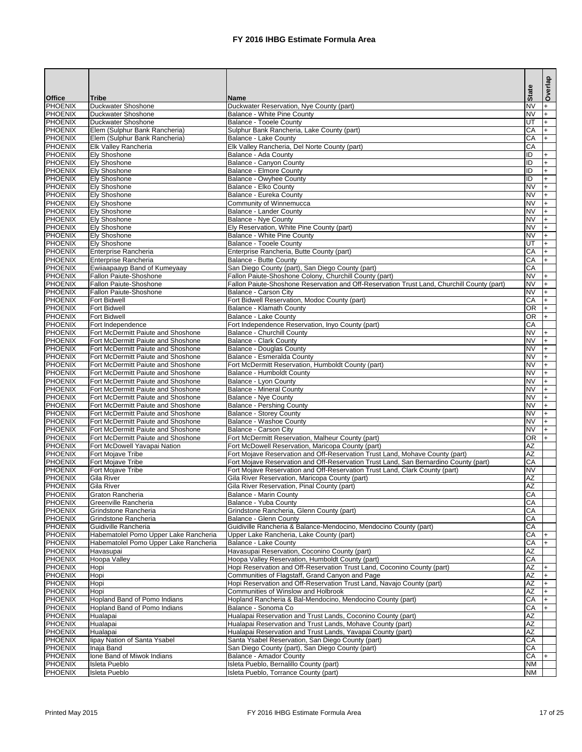|                                  |                                                                    |                                                                                                        |                        | Overlap                |
|----------------------------------|--------------------------------------------------------------------|--------------------------------------------------------------------------------------------------------|------------------------|------------------------|
| <b>Office</b>                    | <b>Tribe</b>                                                       | <b>Name</b>                                                                                            | <b>State</b>           |                        |
| <b>PHOENIX</b>                   | <b>Duckwater Shoshone</b>                                          | Duckwater Reservation, Nye County (part)                                                               | <b>NV</b>              |                        |
| <b>PHOENIX</b>                   | Duckwater Shoshone                                                 | Balance - White Pine County                                                                            | <b>NV</b>              |                        |
| <b>PHOENIX</b><br><b>PHOENIX</b> | Duckwater Shoshone<br>Elem (Sulphur Bank Rancheria)                | Balance - Tooele County<br>Sulphur Bank Rancheria, Lake County (part)                                  | lut<br>CA              | $\ddot{}$<br>$\ddot{}$ |
| <b>PHOENIX</b>                   | Elem (Sulphur Bank Rancheria)                                      | Balance - Lake County                                                                                  | CA                     |                        |
| <b>PHOENIX</b>                   | <b>Elk Valley Rancheria</b>                                        | Elk Valley Rancheria, Del Norte County (part)                                                          | CA                     |                        |
| <b>PHOENIX</b>                   | <b>Ely Shoshone</b>                                                | Balance - Ada County                                                                                   | $\overline{D}$         |                        |
| <b>PHOENIX</b>                   | <b>Ely Shoshone</b>                                                | Balance - Canyon County                                                                                | ID                     |                        |
| <b>PHOENIX</b>                   | <b>Ely Shoshone</b>                                                | <b>Balance - Elmore County</b>                                                                         | ID                     |                        |
| <b>PHOENIX</b>                   | <b>Ely Shoshone</b>                                                | <b>Balance - Owyhee County</b>                                                                         | ID                     |                        |
| <b>PHOENIX</b>                   | <b>Ely Shoshone</b>                                                | Balance - Elko County                                                                                  | <b>NV</b>              |                        |
| <b>PHOENIX</b>                   | <b>Ely Shoshone</b>                                                | Balance - Eureka County                                                                                | <b>NV</b>              |                        |
| <b>PHOENIX</b>                   | <b>Ely Shoshone</b>                                                | Community of Winnemucca                                                                                | <b>NV</b>              |                        |
| <b>PHOENIX</b><br><b>PHOENIX</b> | <b>Ely Shoshone</b>                                                | <b>Balance - Lander County</b>                                                                         | <b>NV</b><br><b>NV</b> |                        |
| <b>PHOENIX</b>                   | <b>Ely Shoshone</b><br><b>Ely Shoshone</b>                         | Balance - Nye County<br>Ely Reservation, White Pine County (part)                                      | <b>NV</b>              |                        |
| <b>PHOENIX</b>                   | <b>Ely Shoshone</b>                                                | Balance - White Pine County                                                                            | <b>NV</b>              |                        |
| <b>PHOENIX</b>                   | <b>Ely Shoshone</b>                                                | <b>Balance - Tooele County</b>                                                                         | lut                    |                        |
| <b>PHOENIX</b>                   | Enterprise Rancheria                                               | Enterprise Rancheria, Butte County (part)                                                              | CA                     |                        |
| <b>PHOENIX</b>                   | Enterprise Rancheria                                               | <b>Balance - Butte County</b>                                                                          | CA                     |                        |
| <b>PHOENIX</b>                   | Ewiiaapaayp Band of Kumeyaay                                       | San Diego County (part), San Diego County (part)                                                       | CA                     |                        |
| <b>PHOENIX</b>                   | <b>Fallon Paiute-Shoshone</b>                                      | Fallon Paiute-Shoshone Colony, Churchill County (part)                                                 | <b>NV</b>              |                        |
| <b>PHOENIX</b>                   | <b>Fallon Paiute-Shoshone</b>                                      | Fallon Paiute-Shoshone Reservation and Off-Reservation Trust Land, Churchill County (part)             | <b>NV</b>              |                        |
| <b>PHOENIX</b>                   | <b>Fallon Paiute-Shoshone</b>                                      | <b>Balance - Carson City</b>                                                                           | <b>NV</b>              |                        |
| <b>PHOENIX</b>                   | <b>Fort Bidwell</b>                                                | Fort Bidwell Reservation, Modoc County (part)                                                          | CA                     |                        |
| <b>PHOENIX</b>                   | <b>Fort Bidwell</b>                                                | <b>Balance - Klamath County</b>                                                                        | OR                     |                        |
| <b>PHOENIX</b>                   | <b>Fort Bidwell</b>                                                | <b>Balance - Lake County</b>                                                                           | $\overline{OR}$        |                        |
| <b>PHOENIX</b><br><b>PHOENIX</b> | Fort Independence<br>Fort McDermitt Paiute and Shoshone            | Fort Independence Reservation, Inyo County (part)                                                      | CA<br><b>NV</b>        |                        |
| <b>PHOENIX</b>                   | Fort McDermitt Paiute and Shoshone                                 | <b>Balance - Churchill County</b><br><b>Balance - Clark County</b>                                     | <b>NV</b>              |                        |
| <b>PHOENIX</b>                   | Fort McDermitt Paiute and Shoshone                                 | <b>Balance - Douglas County</b>                                                                        | <b>NV</b>              |                        |
| <b>PHOENIX</b>                   | Fort McDermitt Paiute and Shoshone                                 | <b>Balance - Esmeralda County</b>                                                                      | <b>NV</b>              |                        |
| <b>PHOENIX</b>                   | Fort McDermitt Paiute and Shoshone                                 | Fort McDermitt Reservation, Humboldt County (part)                                                     | <b>NV</b>              |                        |
| PHOENIX                          | Fort McDermitt Paiute and Shoshone                                 | Balance - Humboldt County                                                                              | <b>NV</b>              | I+                     |
| <b>PHOENIX</b>                   | Fort McDermitt Paiute and Shoshone                                 | Balance - Lyon County                                                                                  | <b>NV</b>              |                        |
| <b>PHOENIX</b>                   | Fort McDermitt Paiute and Shoshone                                 | <b>Balance - Mineral County</b>                                                                        | <b>NV</b>              |                        |
| <b>PHOENIX</b>                   | Fort McDermitt Paiute and Shoshone                                 | Balance - Nye County                                                                                   | <b>NV</b>              |                        |
| <b>PHOENIX</b>                   | Fort McDermitt Paiute and Shoshone                                 | <b>Balance - Pershing County</b>                                                                       | <b>NV</b>              |                        |
| <b>PHOENIX</b>                   | Fort McDermitt Paiute and Shoshone                                 | <b>Balance - Storey County</b>                                                                         | <b>NV</b>              |                        |
| <b>PHOENIX</b>                   | Fort McDermitt Paiute and Shoshone                                 | <b>Balance - Washoe County</b>                                                                         | <b>NV</b>              |                        |
| <b>PHOENIX</b>                   | Fort McDermitt Paiute and Shoshone                                 | Balance - Carson City                                                                                  | <b>NV</b>              |                        |
| <b>PHOENIX</b><br><b>PHOENIX</b> | Fort McDermitt Paiute and Shoshone<br>Fort McDowell Yavapai Nation | Fort McDermitt Reservation, Malheur County (part)<br>Fort McDowell Reservation, Maricopa County (part) | <b>OR</b><br><b>AZ</b> |                        |
| <b>PHOENIX</b>                   | Fort Mojave Tribe                                                  | Fort Mojave Reservation and Off-Reservation Trust Land, Mohave County (part)                           | <b>AZ</b>              |                        |
| <b>PHOENIX</b>                   | Fort Mojave Tribe                                                  | Fort Mojave Reservation and Off-Reservation Trust Land, San Bernardino County (part)                   | CA                     |                        |
| <b>PHOENIX</b>                   | Fort Mojave Tribe                                                  | Fort Mojave Reservation and Off-Reservation Trust Land, Clark County (part)                            | <b>NV</b>              |                        |
| <b>PHOENIX</b>                   | <b>Gila River</b>                                                  | Gila River Reservation, Maricopa County (part)                                                         | <b>AZ</b>              |                        |
| <b>PHOENIX</b>                   | <b>Gila River</b>                                                  | Gila River Reservation, Pinal County (part)                                                            | <b>AZ</b>              |                        |
| <b>PHOENIX</b>                   | Graton Rancheria                                                   | Balance - Marin County                                                                                 | CA                     |                        |
| <b>PHOENIX</b>                   | <b>Greenville Rancheria</b>                                        | Balance - Yuba County                                                                                  | CA                     |                        |
| <b>PHOENIX</b>                   | Grindstone Rancheria                                               | Grindstone Rancheria, Glenn County (part)                                                              | CA                     |                        |
| <b>PHOENIX</b>                   | Grindstone Rancheria                                               | Balance - Glenn County                                                                                 | CA                     |                        |
| <b>PHOENIX</b>                   | Guidiville Rancheria                                               | Guidiville Rancheria & Balance-Mendocino, Mendocino County (part)                                      | <b>CA</b>              |                        |
| <b>PHOENIX</b>                   | Habematolel Pomo Upper Lake Rancheria                              | Upper Lake Rancheria, Lake County (part)                                                               | CA                     |                        |
| <b>PHOENIX</b><br><b>PHOENIX</b> | Habematolel Pomo Upper Lake Rancheria                              | Balance - Lake County                                                                                  | CA<br><b>AZ</b>        |                        |
| <b>PHOENIX</b>                   | Havasupai<br><b>Hoopa Valley</b>                                   | Havasupai Reservation, Coconino County (part)<br>Hoopa Valley Reservation, Humboldt County (part)      | CA                     |                        |
| <b>PHOENIX</b>                   | Hopi                                                               | Hopi Reservation and Off-Reservation Trust Land, Coconino County (part)                                | <b>AZ</b>              |                        |
| <b>PHOENIX</b>                   | Hopi                                                               | Communities of Flagstaff, Grand Canyon and Page                                                        | <b>AZ</b>              |                        |
| <b>PHOENIX</b>                   | Hopi                                                               | Hopi Reservation and Off-Reservation Trust Land, Navajo County (part)                                  | <b>AZ</b>              |                        |
| <b>PHOENIX</b>                   | Hopi                                                               | Communities of Winslow and Holbrook                                                                    | <b>AZ</b>              |                        |
| <b>PHOENIX</b>                   | Hopland Band of Pomo Indians                                       | Hopland Rancheria & Bal-Mendocino, Mendocino County (part)                                             | CA                     |                        |
| <b>PHOENIX</b>                   | <b>Hopland Band of Pomo Indians</b>                                | Balance - Sonoma Co                                                                                    | CA                     |                        |
| <b>PHOENIX</b>                   | Hualapai                                                           | Hualapai Reservation and Trust Lands, Coconino County (part)                                           | <b>AZ</b>              |                        |
| <b>PHOENIX</b>                   | Hualapai                                                           | Hualapai Reservation and Trust Lands, Mohave County (part)                                             | <b>AZ</b>              |                        |
| <b>PHOENIX</b>                   | Hualapai                                                           | Hualapai Reservation and Trust Lands, Yavapai County (part)                                            | <b>AZ</b>              |                        |
| <b>PHOENIX</b>                   | lipay Nation of Santa Ysabel                                       | Santa Ysabel Reservation, San Diego County (part)                                                      | CA                     |                        |
| <b>PHOENIX</b>                   | Inaja Band                                                         | San Diego County (part), San Diego County (part)                                                       | CA                     |                        |
| <b>PHOENIX</b>                   | Ione Band of Miwok Indians                                         | <b>Balance - Amador County</b>                                                                         | CA                     |                        |
| <b>PHOENIX</b>                   | <b>Isleta Pueblo</b>                                               | Isleta Pueblo, Bernalillo County (part)                                                                | <b>NM</b>              |                        |
| PHOENIX                          | Isleta Pueblo                                                      | Isleta Pueblo, Torrance County (part)                                                                  | <b>NM</b>              |                        |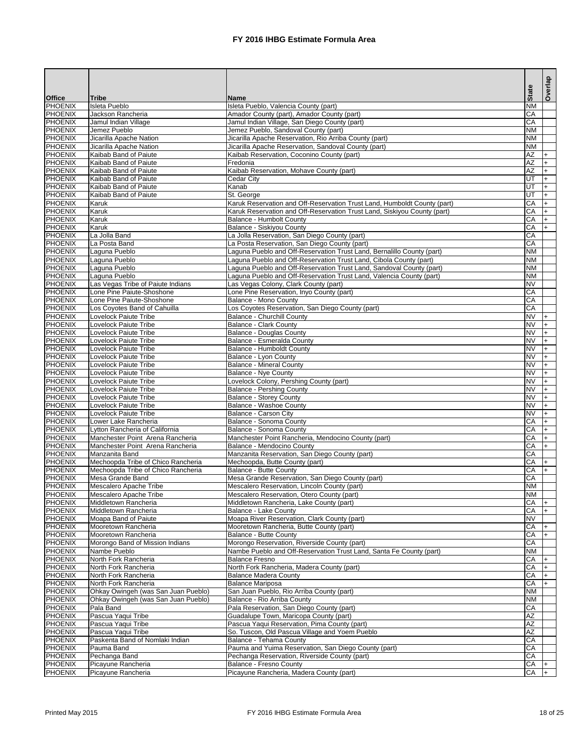|                                  |                                                                            |                                                                                                                                              | <b>State</b>           | Overlap      |
|----------------------------------|----------------------------------------------------------------------------|----------------------------------------------------------------------------------------------------------------------------------------------|------------------------|--------------|
| <b>Office</b>                    | <b>Tribe</b>                                                               | <b>Name</b>                                                                                                                                  |                        |              |
| <b>PHOENIX</b><br><b>PHOENIX</b> | <b>Isleta Pueblo</b>                                                       | Isleta Pueblo, Valencia County (part)                                                                                                        | <b>NM</b>              |              |
| <b>PHOENIX</b>                   | Jackson Rancheria<br>Jamul Indian Village                                  | Amador County (part), Amador County (part)<br>Jamul Indian Village, San Diego County (part)                                                  | CA<br>CA               |              |
| <b>PHOENIX</b>                   | Jemez Pueblo                                                               | Jemez Pueblo, Sandoval County (part)                                                                                                         | <b>NM</b>              |              |
| <b>PHOENIX</b>                   | Jicarilla Apache Nation                                                    | Jicarilla Apache Reservation, Rio Arriba County (part)                                                                                       | <b>NM</b>              |              |
| <b>PHOENIX</b>                   | Jicarilla Apache Nation                                                    | Jicarilla Apache Reservation, Sandoval County (part)                                                                                         | <b>NM</b>              |              |
| <b>PHOENIX</b>                   | Kaibab Band of Paiute                                                      | Kaibab Reservation, Coconino County (part)                                                                                                   | AZ                     |              |
| <b>PHOENIX</b>                   | Kaibab Band of Paiute                                                      | Fredonia                                                                                                                                     | AZ                     |              |
| <b>PHOENIX</b>                   | Kaibab Band of Paiute                                                      | Kaibab Reservation, Mohave County (part)                                                                                                     | AZ                     |              |
| <b>PHOENIX</b>                   | Kaibab Band of Paiute                                                      | <b>Cedar City</b>                                                                                                                            | ΓU                     |              |
| <b>PHOENIX</b><br><b>PHOENIX</b> | Kaibab Band of Paiute<br>Kaibab Band of Paiute                             | Kanab<br>St. George                                                                                                                          | ΓU<br>UT               | $+$<br>$+$   |
| <b>PHOENIX</b>                   | Karuk                                                                      | Karuk Reservation and Off-Reservation Trust Land, Humboldt County (part)                                                                     | $\overline{CA}$        | $+$          |
| <b>PHOENIX</b>                   | Karuk                                                                      | Karuk Reservation and Off-Reservation Trust Land, Siskiyou County (part)                                                                     | $\overline{CA}$        | $+$          |
| <b>PHOENIX</b>                   | Karuk                                                                      | <b>Balance - Humbolt County</b>                                                                                                              | $\overline{CA}$        | l+           |
| <b>PHOENIX</b>                   | Karuk                                                                      | <b>Balance - Siskiyou County</b>                                                                                                             | $\overline{CA}$        | $+$          |
| <b>PHOENIX</b>                   | La Jolla Band                                                              | La Jolla Reservation, San Diego County (part)                                                                                                | CA                     |              |
| <b>PHOENIX</b>                   | La Posta Band                                                              | La Posta Reservation, San Diego County (part)                                                                                                | CA                     |              |
| <b>PHOENIX</b>                   | Laguna Pueblo                                                              | Laguna Pueblo and Off-Reservation Trust Land, Bernalillo County (part)                                                                       | <b>NM</b>              |              |
| <b>PHOENIX</b><br><b>PHOENIX</b> | Laguna Pueblo                                                              | Laguna Pueblo and Off-Reservation Trust Land, Cibola County (part)                                                                           | <b>NM</b><br><b>NM</b> |              |
| <b>PHOENIX</b>                   | Laguna Pueblo<br>Laguna Pueblo                                             | Laguna Pueblo and Off-Reservation Trust Land, Sandoval County (part)<br>Laguna Pueblo and Off-Reservation Trust Land, Valencia County (part) | <b>NM</b>              |              |
| <b>PHOENIX</b>                   | Las Vegas Tribe of Paiute Indians                                          | Las Vegas Colony, Clark County (part)                                                                                                        | $\overline{\text{NV}}$ |              |
| <b>PHOENIX</b>                   | Lone Pine Paiute-Shoshone                                                  | Lone Pine Reservation, Inyo County (part)                                                                                                    | $\overline{CA}$        |              |
| <b>PHOENIX</b>                   | Lone Pine Paiute-Shoshone                                                  | <b>Balance - Mono County</b>                                                                                                                 | CA                     |              |
| <b>PHOENIX</b>                   | Los Coyotes Band of Cahuilla                                               | Los Coyotes Reservation, San Diego County (part)                                                                                             | CA                     |              |
| <b>PHOENIX</b>                   | <b>Lovelock Paiute Tribe</b>                                               | <b>Balance - Churchill County</b>                                                                                                            | <b>NV</b>              |              |
| <b>PHOENIX</b>                   | <b>Lovelock Paiute Tribe</b>                                               | <b>Balance - Clark County</b>                                                                                                                | <b>NV</b>              |              |
| <b>PHOENIX</b>                   | <b>Lovelock Paiute Tribe</b>                                               | <b>Balance - Douglas County</b>                                                                                                              | <b>NV</b>              |              |
| <b>PHOENIX</b>                   | <b>Lovelock Paiute Tribe</b>                                               | Balance - Esmeralda County                                                                                                                   | $\overline{\text{NV}}$ |              |
| <b>PHOENIX</b><br><b>PHOENIX</b> | <b>Lovelock Paiute Tribe</b><br><b>Lovelock Paiute Tribe</b>               | Balance - Humboldt County<br>Balance - Lyon County                                                                                           | <b>NV</b><br><b>NV</b> |              |
| <b>PHOENIX</b>                   | <b>Lovelock Paiute Tribe</b>                                               | <b>Balance - Mineral County</b>                                                                                                              | <b>NV</b>              |              |
| PHOENIX                          | Lovelock Paiute Tribe                                                      | Balance - Nye County                                                                                                                         | INV.                   | $\mathsf{H}$ |
| PHOENIX                          | <b>Lovelock Paiute Tribe</b>                                               | Lovelock Colony, Pershing County (part)                                                                                                      | <b>NV</b>              |              |
| <b>PHOENIX</b>                   | Lovelock Paiute Tribe                                                      | <b>Balance - Pershing County</b>                                                                                                             | <b>NV</b>              |              |
| <b>PHOENIX</b>                   | Lovelock Paiute Tribe                                                      | <b>Balance - Storey County</b>                                                                                                               | <b>NV</b>              |              |
| <b>PHOENIX</b>                   | Lovelock Paiute Tribe                                                      | <b>Balance - Washoe County</b>                                                                                                               | <b>NV</b>              |              |
| <b>PHOENIX</b>                   | Lovelock Paiute Tribe                                                      | Balance - Carson City                                                                                                                        | <b>NV</b>              |              |
| <b>PHOENIX</b>                   | Lower Lake Rancheria                                                       | Balance - Sonoma County                                                                                                                      | CA<br>CA               |              |
| <b>PHOENIX</b><br><b>PHOENIX</b> | Lytton Rancheria of California<br>Manchester Point Arena Rancheria         | Balance - Sonoma County<br>Manchester Point Rancheria, Mendocino County (part)                                                               | CA                     |              |
| <b>PHOENIX</b>                   | Manchester Point Arena Rancheria                                           | Balance - Mendocino County                                                                                                                   | CA                     |              |
| <b>PHOENIX</b>                   | Manzanita Band                                                             | Manzanita Reservation, San Diego County (part)                                                                                               | CA                     |              |
| <b>PHOENIX</b>                   | Mechoopda Tribe of Chico Rancheria                                         | Mechoopda, Butte County (part)                                                                                                               | CA                     |              |
| <b>PHOENIX</b>                   | Mechoopda Tribe of Chico Rancheria                                         | <b>Balance - Butte County</b>                                                                                                                | CA                     |              |
| <b>PHOENIX</b>                   | Mesa Grande Band                                                           | Mesa Grande Reservation, San Diego County (part)                                                                                             | CA                     |              |
| <b>PHOENIX</b>                   | Mescalero Apache Tribe                                                     | Mescalero Reservation, Lincoln County (part)                                                                                                 | <b>NM</b>              |              |
| <b>PHOENIX</b>                   | Mescalero Apache Tribe                                                     | Mescalero Reservation, Otero County (part)                                                                                                   | <b>NM</b>              |              |
| <b>PHOENIX</b><br><b>PHOENIX</b> | Middletown Rancheria<br>Middletown Rancheria                               | Middletown Rancheria, Lake County (part)<br><b>Balance - Lake County</b>                                                                     | CA<br><b>CA</b>        |              |
| <b>PHOENIX</b>                   | Moapa Band of Paiute                                                       | Moapa River Reservation, Clark County (part)                                                                                                 | <b>NV</b>              |              |
| <b>PHOENIX</b>                   | Mooretown Rancheria                                                        | Mooretown Rancheria, Butte County (part)                                                                                                     | CA                     |              |
| <b>PHOENIX</b>                   | Mooretown Rancheria                                                        | <b>Balance - Butte County</b>                                                                                                                | CA                     |              |
| <b>PHOENIX</b>                   | Morongo Band of Mission Indians                                            | Morongo Reservation, Riverside County (part)                                                                                                 | $\overline{CA}$        |              |
| <b>PHOENIX</b>                   | Nambe Pueblo                                                               | Nambe Pueblo and Off-Reservation Trust Land, Santa Fe County (part)                                                                          | <b>NM</b>              |              |
| <b>PHOENIX</b>                   | North Fork Rancheria                                                       | <b>Balance Fresno</b>                                                                                                                        | CA                     |              |
| <b>PHOENIX</b>                   | North Fork Rancheria                                                       | North Fork Rancheria, Madera County (part)                                                                                                   | CA                     |              |
| <b>PHOENIX</b>                   | North Fork Rancheria                                                       | <b>Balance Madera County</b>                                                                                                                 | CA                     |              |
| <b>PHOENIX</b><br><b>PHOENIX</b> | North Fork Rancheria                                                       | <b>Balance Mariposa</b>                                                                                                                      | CA<br><b>NM</b>        |              |
| <b>PHOENIX</b>                   | Ohkay Owingeh (was San Juan Pueblo)<br>Ohkay Owingeh (was San Juan Pueblo) | San Juan Pueblo, Rio Arriba County (part)<br>Balance - Rio Arriba County                                                                     | <b>NM</b>              |              |
| <b>PHOENIX</b>                   | Pala Band                                                                  | Pala Reservation, San Diego County (part)                                                                                                    | CA                     |              |
| <b>PHOENIX</b>                   | Pascua Yaqui Tribe                                                         | Guadalupe Town, Maricopa County (part)                                                                                                       | <b>AZ</b>              |              |
| <b>PHOENIX</b>                   | Pascua Yaqui Tribe                                                         | Pascua Yaqui Reservation, Pima County (part)                                                                                                 | <b>AZ</b>              |              |
| <b>PHOENIX</b>                   | Pascua Yaqui Tribe                                                         | So. Tuscon, Old Pascua Village and Yoem Pueblo                                                                                               | <b>AZ</b>              |              |
| <b>PHOENIX</b>                   | Paskenta Band of Nomlaki Indian                                            | Balance - Tehama County                                                                                                                      | CA                     |              |
| <b>PHOENIX</b>                   | Pauma Band                                                                 | Pauma and Yuima Reservation, San Diego County (part)                                                                                         | CA                     |              |
| <b>PHOENIX</b>                   | Pechanga Band                                                              | Pechanga Reservation, Riverside County (part)                                                                                                | CA                     |              |
| PHOENIX                          | Picayune Rancheria                                                         | Balance - Fresno County                                                                                                                      | CA                     |              |
| <b>PHOENIX</b>                   | Picayune Rancheria                                                         | Picayune Rancheria, Madera County (part)                                                                                                     | $CA +$                 |              |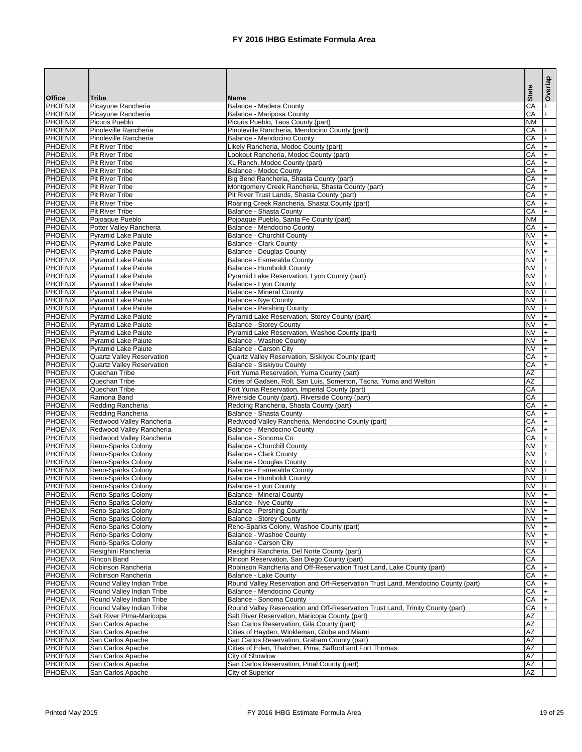|                                  |                                                          |                                                                                                                                  |                                                  | Overlap    |
|----------------------------------|----------------------------------------------------------|----------------------------------------------------------------------------------------------------------------------------------|--------------------------------------------------|------------|
| <b>Office</b>                    | <b>Tribe</b>                                             | <b>Name</b>                                                                                                                      | <b>State</b>                                     |            |
| <b>PHOENIX</b>                   | Picayune Rancheria                                       | <b>Balance - Madera County</b>                                                                                                   | CA                                               | $\ddot{}$  |
| <b>PHOENIX</b>                   | Picayune Rancheria                                       | Balance - Mariposa County                                                                                                        | $\overline{CA}$                                  | $+$        |
| <b>PHOENIX</b><br><b>PHOENIX</b> | <b>Picuris Pueblo</b><br>Pinoleville Rancheria           | Picuris Pueblo, Taos County (part)<br>Pinoleville Rancheria, Mendocino County (part)                                             | <b>NM</b><br>$\overline{CA}$                     | $+$        |
| <b>PHOENIX</b>                   | Pinoleville Rancheria                                    | <b>Balance - Mendocino County</b>                                                                                                | $\overline{CA}$                                  | $+$        |
| <b>PHOENIX</b>                   | <b>Pit River Tribe</b>                                   | Likely Rancheria, Modoc County (part)                                                                                            | $\overline{CA}$                                  | $+$        |
| <b>PHOENIX</b>                   | <b>Pit River Tribe</b>                                   | Lookout Rancheria, Modoc County (part)                                                                                           | $\overline{CA}$                                  | $+$        |
| <b>PHOENIX</b>                   | <b>Pit River Tribe</b>                                   | XL Ranch, Modoc County (part)                                                                                                    | $\overline{CA}$                                  | $+$        |
| <b>PHOENIX</b>                   | <b>Pit River Tribe</b>                                   | Balance - Modoc County                                                                                                           | $\overline{CA}$                                  | $+$        |
| <b>PHOENIX</b><br><b>PHOENIX</b> | <b>Pit River Tribe</b>                                   | Big Bend Rancheria, Shasta County (part)                                                                                         | $\overline{CA}$                                  | $+$        |
| <b>PHOENIX</b>                   | <b>Pit River Tribe</b><br><b>Pit River Tribe</b>         | Montgomery Creek Rancheria, Shasta County (part)<br>Pit River Trust Lands, Shasta County (part)                                  | $\overline{CA}$<br>$\overline{CA}$               | $+$<br>$+$ |
| <b>PHOENIX</b>                   | <b>Pit River Tribe</b>                                   | Roaring Creek Rancheria, Shasta County (part)                                                                                    | $\overline{CA}$                                  | $+$        |
| <b>PHOENIX</b>                   | <b>Pit River Tribe</b>                                   | <b>Balance - Shasta County</b>                                                                                                   | $\overline{CA}$                                  | $+$        |
| <b>PHOENIX</b>                   | Pojoaque Pueblo                                          | Pojoaque Pueblo, Santa Fe County (part)                                                                                          | <b>NM</b>                                        |            |
| <b>PHOENIX</b>                   | Potter Valley Rancheria                                  | Balance - Mendocino County                                                                                                       | $\overline{CA}$                                  |            |
| <b>PHOENIX</b>                   | <b>Pyramid Lake Paiute</b>                               | <b>Balance - Churchill County</b>                                                                                                | <b>NV</b>                                        |            |
| <b>PHOENIX</b>                   | <b>Pyramid Lake Paiute</b>                               | <b>Balance - Clark County</b>                                                                                                    | <b>NV</b>                                        |            |
| <b>PHOENIX</b><br><b>PHOENIX</b> | <b>Pyramid Lake Paiute</b><br><b>Pyramid Lake Paiute</b> | <b>Balance - Douglas County</b><br>Balance - Esmeralda County                                                                    | <b>NV</b><br>$\overline{\text{NV}}$              |            |
| <b>PHOENIX</b>                   | <b>Pyramid Lake Paiute</b>                               | Balance - Humboldt County                                                                                                        | $\overline{\text{NV}}$                           |            |
| <b>PHOENIX</b>                   | <b>Pyramid Lake Paiute</b>                               | Pyramid Lake Reservation, Lyon County (part)                                                                                     | <b>NV</b>                                        |            |
| <b>PHOENIX</b>                   | <b>Pyramid Lake Paiute</b>                               | Balance - Lyon County                                                                                                            | <b>NV</b>                                        |            |
| <b>PHOENIX</b>                   | <b>Pyramid Lake Paiute</b>                               | <b>Balance - Mineral County</b>                                                                                                  | <b>NV</b>                                        |            |
| <b>PHOENIX</b>                   | <b>Pyramid Lake Paiute</b>                               | Balance - Nye County                                                                                                             | <b>NV</b>                                        |            |
| <b>PHOENIX</b>                   | <b>Pyramid Lake Paiute</b>                               | <b>Balance - Pershing County</b>                                                                                                 | $\overline{\text{NV}}$                           |            |
| <b>PHOENIX</b>                   | <b>Pyramid Lake Paiute</b>                               | Pyramid Lake Reservation, Storey County (part)                                                                                   | $\overline{\text{NV}}$                           |            |
| <b>PHOENIX</b>                   | <b>Pyramid Lake Paiute</b>                               | <b>Balance - Storey County</b>                                                                                                   | $\overline{\text{NV}}$                           |            |
| <b>PHOENIX</b><br><b>PHOENIX</b> | <b>Pyramid Lake Paiute</b><br><b>Pyramid Lake Paiute</b> | Pyramid Lake Reservation, Washoe County (part)<br><b>Balance - Washoe County</b>                                                 | $\overline{\text{NV}}$<br>$\overline{\text{NV}}$ |            |
| <b>PHOENIX</b>                   | <b>Pyramid Lake Paiute</b>                               | <b>Balance - Carson City</b>                                                                                                     | <b>NV</b>                                        |            |
| <b>PHOENIX</b>                   | <b>Quartz Valley Reservation</b>                         | Quartz Valley Reservation, Siskiyou County (part)                                                                                | <b>CA</b>                                        |            |
| <b>PHOENIX</b>                   | <b>Quartz Valley Reservation</b>                         | Balance - Siskiyou County                                                                                                        | $\overline{CA}$                                  | $+$        |
| PHOENIX                          | Quechan Tribe                                            | Fort Yuma Reservation, Yuma County (part)                                                                                        | ΙAΖ                                              |            |
| PHOENIX                          | Quechan Tribe                                            | Cities of Gadsen, Roll, San Luis, Somerton, Tacna, Yuma and Welton                                                               | <b>AZ</b>                                        |            |
| PHOENIX                          | Quechan Tribe                                            | Fort Yuma Reservation, Imperial County (part)                                                                                    | <b>CA</b>                                        |            |
| PHOENIX<br>PHOENIX               | Ramona Band<br>Redding Rancheria                         | Riverside County (part), Riverside County (part)                                                                                 | CA<br>CA                                         |            |
| PHOENIX                          | Redding Rancheria                                        | Redding Rancheria, Shasta County (part)<br>Balance - Shasta County                                                               | <b>CA</b>                                        |            |
| PHOENIX                          | Redwood Valley Rancheria                                 | Redwood Valley Rancheria, Mendocino County (part)                                                                                | <b>CA</b>                                        |            |
| PHOENIX                          | Redwood Valley Rancheria                                 | Balance - Mendocino County                                                                                                       | <b>CA</b>                                        |            |
| PHOENIX                          | Redwood Valley Rancheria                                 | Balance - Sonoma Co                                                                                                              | <b>CA</b>                                        |            |
| PHOENIX                          | Reno-Sparks Colony                                       | <b>Balance - Churchill County</b>                                                                                                | <b>NV</b>                                        |            |
| PHOENIX                          | Reno-Sparks Colony                                       | <b>Balance - Clark County</b>                                                                                                    | <b>NV</b>                                        |            |
| PHOENIX                          | Reno-Sparks Colony                                       | <b>Balance - Douglas County</b>                                                                                                  | <b>NV</b>                                        |            |
| PHOENIX<br>PHOENIX               | Reno-Sparks Colony<br>Reno-Sparks Colony                 | Balance - Esmeralda County<br>Balance - Humboldt County                                                                          | <b>NV</b><br><b>NV</b>                           |            |
| PHOENIX                          | Reno-Sparks Colony                                       | Balance - Lyon County                                                                                                            | <b>NV</b>                                        |            |
| PHOENIX                          | Reno-Sparks Colony                                       | <b>Balance - Mineral County</b>                                                                                                  | <b>NV</b>                                        |            |
| PHOENIX                          | Reno-Sparks Colony                                       | <b>Balance - Nye County</b>                                                                                                      | <b>NV</b>                                        |            |
| PHOENIX                          | Reno-Sparks Colony                                       | <b>Balance - Pershing County</b>                                                                                                 | <b>NV</b>                                        |            |
| PHOENIX                          | Reno-Sparks Colony                                       | <b>Balance - Storey County</b>                                                                                                   | <b>NV</b>                                        |            |
| PHOENIX                          | Reno-Sparks Colony                                       | Reno-Sparks Colony, Washoe County (part)                                                                                         | <b>NV</b>                                        |            |
| PHOENIX<br>PHOENIX               | Reno-Sparks Colony<br>Reno-Sparks Colony                 | <b>Balance - Washoe County</b><br>Balance - Carson City                                                                          | <b>NV</b><br><b>NV</b>                           |            |
| PHOENIX                          | Resighini Rancheria                                      | Resighini Rancheria, Del Norte County (part)                                                                                     | CA                                               |            |
| PHOENIX                          | Rincon Band                                              | Rincon Reservation, San Diego County (part)                                                                                      | <b>CA</b>                                        |            |
| PHOENIX                          | Robinson Rancheria                                       | Robinson Rancheria and Off-Reservation Trust Land, Lake County (part)                                                            | CA                                               |            |
| PHOENIX                          | Robinson Rancheria                                       | <b>Balance - Lake County</b>                                                                                                     | CA                                               |            |
| PHOENIX                          | Round Valley Indian Tribe                                | Round Valley Reservation and Off-Reservation Trust Land, Mendocino County (part)                                                 | CA                                               |            |
| PHOENIX                          | Round Valley Indian Tribe                                | Balance - Mendocino County                                                                                                       | CA                                               |            |
| PHOENIX                          | Round Valley Indian Tribe                                | Balance - Sonoma County                                                                                                          | <b>CA</b>                                        |            |
| PHOENIX<br>PHOENIX               | Round Valley Indian Tribe<br>Salt River Plma-Maricopa    | Round Valley Reservation and Off-Reservation Trust Land, Trinity County (part)<br>Salt River Reservation, Maricopa County (part) | CA<br><b>AZ</b>                                  |            |
| PHOENIX                          | San Carlos Apache                                        | San Carlos Reservation, Gila County (part)                                                                                       | <b>AZ</b>                                        |            |
| PHOENIX                          | San Carlos Apache                                        | Cities of Hayden, Winkleman, Globe and Miami                                                                                     | <b>AZ</b>                                        |            |
| PHOENIX                          | San Carlos Apache                                        | San Carlos Reservation, Graham County (part)                                                                                     | <b>AZ</b>                                        |            |
| PHOENIX                          | San Carlos Apache                                        | Cities of Eden, Thatcher, Pima, Safford and Fort Thomas                                                                          | <b>AZ</b>                                        |            |
| PHOENIX                          | San Carlos Apache                                        | City of Showlow                                                                                                                  | <b>AZ</b>                                        |            |
| PHOENIX                          | San Carlos Apache                                        | San Carlos Reservation, Pinal County (part)                                                                                      | <b>AZ</b>                                        |            |
| PHOENIX                          | San Carlos Apache                                        | <b>City of Superior</b>                                                                                                          | <b>AZ</b>                                        |            |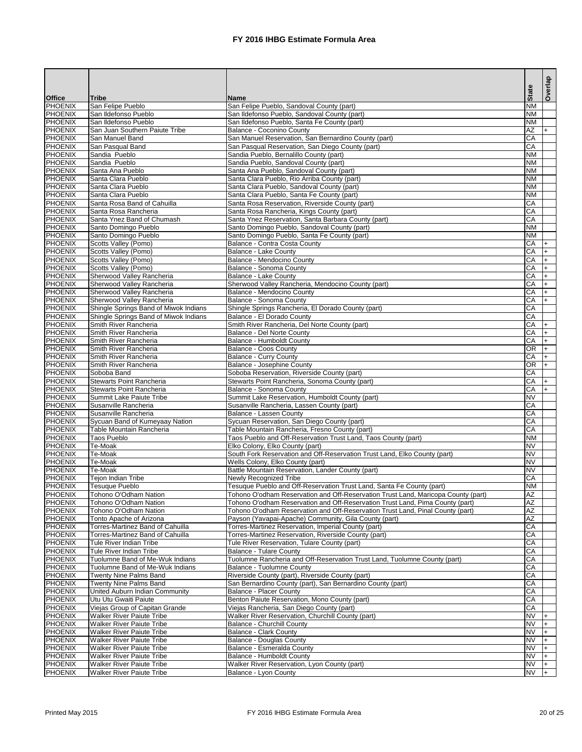|                                  |                                                                  |                                                                                                                | <b>State</b>           | Overlap |
|----------------------------------|------------------------------------------------------------------|----------------------------------------------------------------------------------------------------------------|------------------------|---------|
| <b>Office</b>                    | <b>Tribe</b>                                                     | <b>Name</b>                                                                                                    |                        |         |
| <b>PHOENIX</b>                   | San Felipe Pueblo                                                | San Felipe Pueblo, Sandoval County (part)                                                                      | <b>NM</b>              |         |
| <b>PHOENIX</b><br><b>PHOENIX</b> | San Ildefonso Pueblo<br>San Ildefonso Pueblo                     | San Ildefonso Pueblo, Sandoval County (part)                                                                   | <b>NM</b><br><b>NM</b> |         |
| <b>PHOENIX</b>                   | San Juan Southern Paiute Tribe                                   | San Ildefonso Pueblo, Santa Fe County (part)<br>Balance - Coconino County                                      | AZ                     | $+$     |
| <b>PHOENIX</b>                   | San Manuel Band                                                  | San Manuel Reservation, San Bernardino County (part)                                                           | CA                     |         |
| <b>PHOENIX</b>                   | San Pasqual Band                                                 | San Pasqual Reservation, San Diego County (part)                                                               | CA                     |         |
| <b>PHOENIX</b>                   | Sandia Pueblo                                                    | Sandia Pueblo, Bernalillo County (part)                                                                        | <b>NM</b>              |         |
| <b>PHOENIX</b>                   | Sandia Pueblo                                                    | Sandia Pueblo, Sandoval County (part)                                                                          | <b>NM</b>              |         |
| <b>PHOENIX</b>                   | Santa Ana Pueblo                                                 | Santa Ana Pueblo, Sandoval County (part)                                                                       | <b>NM</b>              |         |
| <b>PHOENIX</b>                   | Santa Clara Pueblo                                               | Santa Clara Pueblo, Rio Arriba County (part)                                                                   | <b>NM</b>              |         |
| <b>PHOENIX</b>                   | Santa Clara Pueblo                                               | Santa Clara Pueblo, Sandoval County (part)                                                                     | <b>NM</b>              |         |
| <b>PHOENIX</b>                   | Santa Clara Pueblo                                               | Santa Clara Pueblo, Santa Fe County (part)                                                                     | <b>NM</b>              |         |
| <b>PHOENIX</b>                   | Santa Rosa Band of Cahuilla                                      | Santa Rosa Reservation, Riverside County (part)                                                                | CA                     |         |
| <b>PHOENIX</b><br><b>PHOENIX</b> | Santa Rosa Rancheria<br>Santa Ynez Band of Chumash               | Santa Rosa Rancheria, Kings County (part)                                                                      | CA<br>CA               |         |
| <b>PHOENIX</b>                   | Santo Domingo Pueblo                                             | Santa Ynez Reservation, Santa Barbara County (part)<br>Santo Domingo Pueblo, Sandoval County (part)            | <b>NM</b>              |         |
| <b>PHOENIX</b>                   | Santo Domingo Pueblo                                             | Santo Domingo Pueblo, Santa Fe County (part)                                                                   | <b>NM</b>              |         |
| <b>PHOENIX</b>                   | Scotts Valley (Pomo)                                             | Balance - Contra Costa County                                                                                  | CA                     |         |
| <b>PHOENIX</b>                   | Scotts Valley (Pomo)                                             | Balance - Lake County                                                                                          | CA                     |         |
| <b>PHOENIX</b>                   | <b>Scotts Valley (Pomo)</b>                                      | Balance - Mendocino County                                                                                     | CA                     |         |
| <b>PHOENIX</b>                   | Scotts Valley (Pomo)                                             | Balance - Sonoma County                                                                                        | CA                     |         |
| <b>PHOENIX</b>                   | <b>Sherwood Valley Rancheria</b>                                 | <b>Balance - Lake County</b>                                                                                   | CA                     |         |
| <b>PHOENIX</b>                   | <b>Sherwood Valley Rancheria</b>                                 | Sherwood Valley Rancheria, Mendocino County (part)                                                             | CA                     |         |
| <b>PHOENIX</b>                   | <b>Sherwood Valley Rancheria</b>                                 | Balance - Mendocino County                                                                                     | CA                     |         |
| <b>PHOENIX</b>                   | <b>Sherwood Valley Rancheria</b>                                 | <b>Balance - Sonoma County</b>                                                                                 | CA                     |         |
| <b>PHOENIX</b>                   | Shingle Springs Band of Miwok Indians                            | Shingle Springs Rancheria, El Dorado County (part)                                                             | CA                     |         |
| <b>PHOENIX</b>                   | Shingle Springs Band of Miwok Indians                            | Balance - El Dorado County                                                                                     | CA                     |         |
| <b>PHOENIX</b>                   | Smith River Rancheria                                            | Smith River Rancheria, Del Norte County (part)                                                                 | CA                     | $+$     |
| <b>PHOENIX</b><br><b>PHOENIX</b> | Smith River Rancheria                                            | Balance - Del Norte County                                                                                     | CA<br>CA               | $+$     |
| <b>PHOENIX</b>                   | Smith River Rancheria<br>Smith River Rancheria                   | Balance - Humboldt County<br>Balance - Coos County                                                             | $\overline{OR}$        |         |
| <b>PHOENIX</b>                   | Smith River Rancheria                                            | <b>Balance - Curry County</b>                                                                                  | CA                     | $+$     |
| <b>PHOENIX</b>                   | Smith River Rancheria                                            | Balance - Josephine County                                                                                     | OR                     |         |
| PHOENIX                          | Soboba Band                                                      | Soboba Reservation, Riverside County (part)                                                                    | CA                     |         |
| <b>PHOENIX</b>                   | <b>Stewarts Point Rancheria</b>                                  | Stewarts Point Rancheria, Sonoma County (part)                                                                 | CA                     |         |
| <b>PHOENIX</b>                   | <b>Stewarts Point Rancheria</b>                                  | Balance - Sonoma County                                                                                        | CA                     |         |
| <b>PHOENIX</b>                   | Summit Lake Paiute Tribe                                         | Summit Lake Reservation, Humboldt County (part)                                                                | <b>NV</b>              |         |
| <b>PHOENIX</b>                   | Susanville Rancheria                                             | Susanville Rancheria, Lassen County (part)                                                                     | CA                     |         |
| <b>PHOENIX</b>                   | Susanville Rancheria                                             | Balance - Lassen County                                                                                        | CA                     |         |
| <b>PHOENIX</b>                   | Sycuan Band of Kumeyaay Nation                                   | Sycuan Reservation, San Diego County (part)                                                                    | CA                     |         |
| <b>PHOENIX</b>                   | Table Mountain Rancheria                                         | Table Mountain Rancheria, Fresno County (part)                                                                 | CA                     |         |
| <b>PHOENIX</b>                   | Taos Pueblo                                                      | Taos Pueblo and Off-Reservation Trust Land, Taos County (part)                                                 | <b>NM</b>              |         |
| <b>PHOENIX</b>                   | Te-Moak                                                          | Elko Colony, Elko County (part)                                                                                | <b>NV</b><br><b>NV</b> |         |
| <b>PHOENIX</b><br><b>PHOENIX</b> | Te-Moak<br>Te-Moak                                               | South Fork Reservation and Off-Reservation Trust Land, Elko County (part)<br>Wells Colony, Elko County (part)  | <b>NV</b>              |         |
| <b>PHOENIX</b>                   | Te-Moak                                                          | Battle Mountain Reservation, Lander County (part)                                                              | <b>NV</b>              |         |
| <b>PHOENIX</b>                   | Tejon Indian Tribe                                               | <b>Newly Recognized Tribe</b>                                                                                  | <b>CA</b>              |         |
| <b>PHOENIX</b>                   | <b>Tesuque Pueblo</b>                                            | Tesuque Pueblo and Off-Reservation Trust Land, Santa Fe County (part)                                          | <b>NM</b>              |         |
| <b>PHOENIX</b>                   | Tohono O'Odham Nation                                            | Tohono O'odham Reservation and Off-Reservation Trust Land, Maricopa County (part)                              | AZ                     |         |
| <b>PHOENIX</b>                   | Tohono O'Odham Nation                                            | Tohono O'odham Reservation and Off-Reservation Trust Land, Pima County (part)                                  | AZ                     |         |
| <b>PHOENIX</b>                   | Tohono O'Odham Nation                                            | Tohono O'odham Reservation and Off-Reservation Trust Land, Pinal County (part)                                 | <b>AZ</b>              |         |
| <b>PHOENIX</b>                   | Tonto Apache of Arizona                                          | Payson (Yavapai-Apache) Community, Gila County (part)                                                          | <b>AZ</b>              |         |
| <b>PHOENIX</b>                   | Torres-Martinez Band of Cahuilla                                 | Torres-Martinez Reservation, Imperial County (part)                                                            | CA                     |         |
| <b>PHOENIX</b>                   | Torres-Martinez Band of Cahuilla                                 | Torres-Martinez Reservation, Riverside County (part)                                                           | CA                     |         |
| <b>PHOENIX</b>                   | Tule River Indian Tribe                                          | Tule River Reservation, Tulare County (part)                                                                   | CA                     |         |
| <b>PHOENIX</b>                   | Tule River Indian Tribe                                          | <b>Balance - Tulare County</b>                                                                                 | CA                     |         |
| <b>PHOENIX</b>                   | Tuolumne Band of Me-Wuk Indians                                  | Tuolumne Rancheria and Off-Reservation Trust Land, Tuolumne County (part)                                      | CA                     |         |
| <b>PHOENIX</b><br><b>PHOENIX</b> | Tuolumne Band of Me-Wuk Indians<br><b>Twenty Nine Palms Band</b> | <b>Balance - Tuolumne County</b>                                                                               | CA<br>CA               |         |
| <b>PHOENIX</b>                   | <b>Twenty Nine Palms Band</b>                                    | Riverside County (part), Riverside County (part)<br>San Bernardino County (part), San Bernardino County (part) | CA                     |         |
| <b>PHOENIX</b>                   | United Auburn Indian Community                                   | <b>Balance - Placer County</b>                                                                                 | CA                     |         |
| <b>PHOENIX</b>                   | Utu Utu Gwaiti Paiute                                            | Benton Paiute Reservation, Mono County (part)                                                                  | <b>CA</b>              |         |
| <b>PHOENIX</b>                   | Viejas Group of Capitan Grande                                   | Viejas Rancheria, San Diego County (part)                                                                      | <b>CA</b>              |         |
| <b>PHOENIX</b>                   | <b>Walker River Paiute Tribe</b>                                 | Walker River Reservation, Churchill County (part)                                                              | <b>NV</b>              |         |
| <b>PHOENIX</b>                   | <b>Walker River Paiute Tribe</b>                                 | <b>Balance - Churchill County</b>                                                                              | <b>NV</b>              |         |
| <b>PHOENIX</b>                   | <b>Walker River Paiute Tribe</b>                                 | <b>Balance - Clark County</b>                                                                                  | <b>NV</b>              |         |
| <b>PHOENIX</b>                   | <b>Walker River Paiute Tribe</b>                                 | <b>Balance - Douglas County</b>                                                                                | <b>NV</b>              |         |
| <b>PHOENIX</b>                   | <b>Walker River Paiute Tribe</b>                                 | Balance - Esmeralda County                                                                                     | <b>NV</b>              |         |
| <b>PHOENIX</b>                   | <b>Walker River Paiute Tribe</b>                                 | <b>Balance - Humboldt County</b>                                                                               | <b>NV</b>              |         |
| <b>PHOENIX</b>                   | <b>Walker River Paiute Tribe</b>                                 | Walker River Reservation, Lyon County (part)                                                                   | <b>NV</b>              |         |
| PHOENIX                          | <b>Walker River Paiute Tribe</b>                                 | Balance - Lyon County                                                                                          | <b>NV</b>              |         |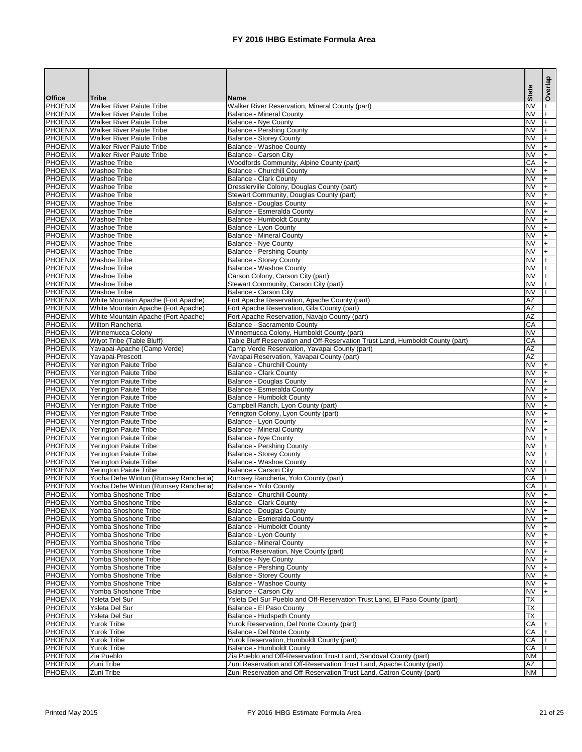|                                  |                                                                              |                                                                                    | <b>State</b>           | Overlap   |
|----------------------------------|------------------------------------------------------------------------------|------------------------------------------------------------------------------------|------------------------|-----------|
| <b>Office</b>                    | <b>Tribe</b>                                                                 | <b>Name</b>                                                                        |                        |           |
| <b>PHOENIX</b><br><b>PHOENIX</b> | <b>Walker River Paiute Tribe</b><br><b>Walker River Paiute Tribe</b>         | Walker River Reservation, Mineral County (part)<br><b>Balance - Mineral County</b> | <b>NV</b><br><b>NV</b> | $\ddot{}$ |
| <b>PHOENIX</b>                   | <b>Walker River Paiute Tribe</b>                                             | <b>Balance - Nye County</b>                                                        | <b>NV</b>              |           |
| <b>PHOENIX</b>                   | <b>Walker River Paiute Tribe</b>                                             | <b>Balance - Pershing County</b>                                                   | <b>NV</b>              |           |
| <b>PHOENIX</b>                   | <b>Walker River Paiute Tribe</b>                                             | <b>Balance - Storey County</b>                                                     | <b>NV</b>              |           |
| <b>PHOENIX</b>                   | <b>Walker River Paiute Tribe</b>                                             | <b>Balance - Washoe County</b>                                                     | <b>NV</b>              |           |
| <b>PHOENIX</b>                   | <b>Walker River Paiute Tribe</b>                                             | <b>Balance - Carson City</b>                                                       | <b>NV</b>              |           |
| <b>PHOENIX</b><br><b>PHOENIX</b> | <b>Washoe Tribe</b><br><b>Washoe Tribe</b>                                   | Woodfords Community, Alpine County (part)<br><b>Balance - Churchill County</b>     | CA<br><b>NV</b>        |           |
| <b>PHOENIX</b>                   | <b>Washoe Tribe</b>                                                          | <b>Balance - Clark County</b>                                                      | <b>NV</b>              |           |
| <b>PHOENIX</b>                   | <b>Washoe Tribe</b>                                                          | Dresslerville Colony, Douglas County (part)                                        | <b>NV</b>              |           |
| <b>PHOENIX</b>                   | <b>Washoe Tribe</b>                                                          | Stewart Community, Douglas County (part)                                           | <b>NV</b>              |           |
| <b>PHOENIX</b>                   | <b>Washoe Tribe</b>                                                          | <b>Balance - Douglas County</b>                                                    | <b>NV</b>              |           |
| <b>PHOENIX</b>                   | <b>Washoe Tribe</b>                                                          | Balance - Esmeralda County                                                         | <b>NV</b>              |           |
| <b>PHOENIX</b><br><b>PHOENIX</b> | <b>Washoe Tribe</b><br><b>Washoe Tribe</b>                                   | <b>Balance - Humboldt County</b><br>Balance - Lyon County                          | <b>NV</b><br><b>NV</b> |           |
| <b>PHOENIX</b>                   | <b>Washoe Tribe</b>                                                          | <b>Balance - Mineral County</b>                                                    | <b>NV</b>              |           |
| <b>PHOENIX</b>                   | <b>Washoe Tribe</b>                                                          | <b>Balance - Nye County</b>                                                        | <b>NV</b>              |           |
| <b>PHOENIX</b>                   | <b>Washoe Tribe</b>                                                          | <b>Balance - Pershing County</b>                                                   | <b>NV</b>              |           |
| <b>PHOENIX</b>                   | <b>Washoe Tribe</b>                                                          | <b>Balance - Storey County</b>                                                     | <b>NV</b>              |           |
| <b>PHOENIX</b>                   | <b>Washoe Tribe</b>                                                          | <b>Balance - Washoe County</b>                                                     | <b>NV</b>              |           |
| <b>PHOENIX</b>                   | <b>Washoe Tribe</b>                                                          | Carson Colony, Carson City (part)                                                  | <b>NV</b>              |           |
| <b>PHOENIX</b><br><b>PHOENIX</b> | <b>Washoe Tribe</b><br><b>Washoe Tribe</b>                                   | Stewart Community, Carson City (part)<br>Balance - Carson City                     | <b>NV</b><br><b>NV</b> |           |
| <b>PHOENIX</b>                   | White Mountain Apache (Fort Apache)                                          | Fort Apache Reservation, Apache County (part)                                      | AZ                     |           |
| <b>PHOENIX</b>                   | White Mountain Apache (Fort Apache)                                          | Fort Apache Reservation, Gila County (part)                                        | AZ                     |           |
| <b>PHOENIX</b>                   | White Mountain Apache (Fort Apache)                                          | Fort Apache Reservation, Navajo County (part)                                      | AZ                     |           |
| <b>PHOENIX</b>                   | <b>Wilton Rancheria</b>                                                      | Balance - Sacramento County                                                        | CA                     |           |
| <b>PHOENIX</b>                   | Winnemucca Colony                                                            | Winnemucca Colony, Humboldt County (part)                                          | <b>NV</b>              |           |
| <b>PHOENIX</b>                   | <b>Wiyot Tribe (Table Bluff)</b>                                             | Table Bluff Reservation and Off-Reservation Trust Land, Humboldt County (part)     | CA                     |           |
| <b>PHOENIX</b><br><b>PHOENIX</b> | Yavapai-Apache (Camp Verde)                                                  | Camp Verde Reservation, Yavapai County (part)                                      | AZ<br>AZ               |           |
| <b>PHOENIX</b>                   | Yavapai-Prescott<br><b>Yerington Paiute Tribe</b>                            | Yavapai Reservation, Yavapai County (part)<br><b>Balance - Churchill County</b>    | <b>NV</b>              | $+$       |
| <b>PHOENIX</b>                   | <b>Yerington Paiute Tribe</b>                                                | <b>Balance - Clark County</b>                                                      | NV                     | $^+$      |
| <b>PHOENIX</b>                   | Yerington Paiute Tribe                                                       | <b>Balance - Douglas County</b>                                                    | <b>NV</b>              |           |
| <b>PHOENIX</b>                   | Yerington Paiute Tribe                                                       | Balance - Esmeralda County                                                         | <b>NV</b>              |           |
| <b>PHOENIX</b>                   | <b>Yerington Paiute Tribe</b>                                                | <b>Balance - Humboldt County</b>                                                   | <b>NV</b>              |           |
| <b>PHOENIX</b>                   | Yerington Paiute Tribe                                                       | Campbell Ranch, Lyon County (part)                                                 | <b>NV</b>              |           |
| <b>PHOENIX</b><br><b>PHOENIX</b> | Yerington Paiute Tribe                                                       | Yerington Colony, Lyon County (part)<br>Balance - Lyon County                      | <b>NV</b><br><b>NV</b> |           |
| <b>PHOENIX</b>                   | Yerington Paiute Tribe<br>Yerington Paiute Tribe                             | <b>Balance - Mineral County</b>                                                    | <b>NV</b>              |           |
| <b>PHOENIX</b>                   | Yerington Paiute Tribe                                                       | <b>Balance - Nye County</b>                                                        | <b>NV</b>              |           |
| <b>PHOENIX</b>                   | Yerington Paiute Tribe                                                       | <b>Balance - Pershing County</b>                                                   | <b>NV</b>              |           |
| <b>PHOENIX</b>                   | Yerington Paiute Tribe                                                       | <b>Balance - Storey County</b>                                                     | <b>NV</b>              |           |
| <b>PHOENIX</b>                   | Yerington Paiute Tribe                                                       | Balance - Washoe County                                                            | <b>NV</b>              |           |
| <b>PHOENIX</b>                   | Yerington Paiute Tribe                                                       | Balance - Carson City                                                              | <b>NV</b>              |           |
| <b>PHOENIX</b><br><b>PHOENIX</b> | Yocha Dehe Wintun (Rumsey Rancheria)<br>Yocha Dehe Wintun (Rumsey Rancheria) | Rumsey Rancheria, Yolo County (part)<br>Balance - Yolo County                      | CA<br>CA               |           |
| <b>PHOENIX</b>                   | Yomba Shoshone Tribe                                                         | <b>Balance - Churchill County</b>                                                  | <b>NV</b>              |           |
| <b>PHOENIX</b>                   | Yomba Shoshone Tribe                                                         | <b>Balance - Clark County</b>                                                      | <b>NV</b>              |           |
| <b>PHOENIX</b>                   | Yomba Shoshone Tribe                                                         | <b>Balance - Douglas County</b>                                                    | <b>NV</b>              |           |
| <b>PHOENIX</b>                   | Yomba Shoshone Tribe                                                         | Balance - Esmeralda County                                                         | <b>NV</b>              |           |
| <b>PHOENIX</b>                   | Yomba Shoshone Tribe                                                         | <b>Balance - Humboldt County</b>                                                   | <b>NV</b>              |           |
| <b>PHOENIX</b>                   | Yomba Shoshone Tribe                                                         | Balance - Lyon County                                                              | <b>NV</b>              |           |
| <b>PHOENIX</b><br><b>PHOENIX</b> | Yomba Shoshone Tribe<br>Yomba Shoshone Tribe                                 | <b>Balance - Mineral County</b><br>Yomba Reservation, Nye County (part)            | <b>NV</b><br><b>NV</b> |           |
| <b>PHOENIX</b>                   | Yomba Shoshone Tribe                                                         | <b>Balance - Nye County</b>                                                        | <b>NV</b>              |           |
| <b>PHOENIX</b>                   | Yomba Shoshone Tribe                                                         | <b>Balance - Pershing County</b>                                                   | <b>NV</b>              |           |
| <b>PHOENIX</b>                   | Yomba Shoshone Tribe                                                         | <b>Balance - Storey County</b>                                                     | <b>NV</b>              |           |
| <b>PHOENIX</b>                   | Yomba Shoshone Tribe                                                         | Balance - Washoe County                                                            | <b>NV</b>              |           |
| <b>PHOENIX</b>                   | Yomba Shoshone Tribe                                                         | Balance - Carson City                                                              | <b>NV</b>              |           |
| <b>PHOENIX</b>                   | Ysleta Del Sur                                                               | Ysleta Del Sur Pueblo and Off-Reservation Trust Land, El Paso County (part)        | TX                     |           |
| <b>PHOENIX</b><br><b>PHOENIX</b> | Ysleta Del Sur                                                               | Balance - El Paso County<br>Balance - Hudspeth County                              | TX<br>TX               |           |
| <b>PHOENIX</b>                   | Ysleta Del Sur<br>Yurok Tribe                                                | Yurok Reservation, Del Norte County (part)                                         | CA                     |           |
| <b>PHOENIX</b>                   | <b>Yurok Tribe</b>                                                           | Balance - Del Norte County                                                         | CA                     |           |
| <b>PHOENIX</b>                   | <b>Yurok Tribe</b>                                                           | Yurok Reservation, Humboldt County (part)                                          | CA                     |           |
| <b>PHOENIX</b>                   | <b>Yurok Tribe</b>                                                           | <b>Balance - Humboldt County</b>                                                   | CA                     |           |
| <b>PHOENIX</b>                   | Zia Pueblo                                                                   | Zia Pueblo and Off-Reservation Trust Land, Sandoval County (part)                  | <b>NM</b>              |           |
| <b>PHOENIX</b>                   | Zuni Tribe                                                                   | Zuni Reservation and Off-Reservation Trust Land, Apache County (part)              | <b>AZ</b>              |           |
| PHOENIX                          | Zuni Tribe                                                                   | Zuni Reservation and Off-Reservation Trust Land, Catron County (part)              | <b>NM</b>              |           |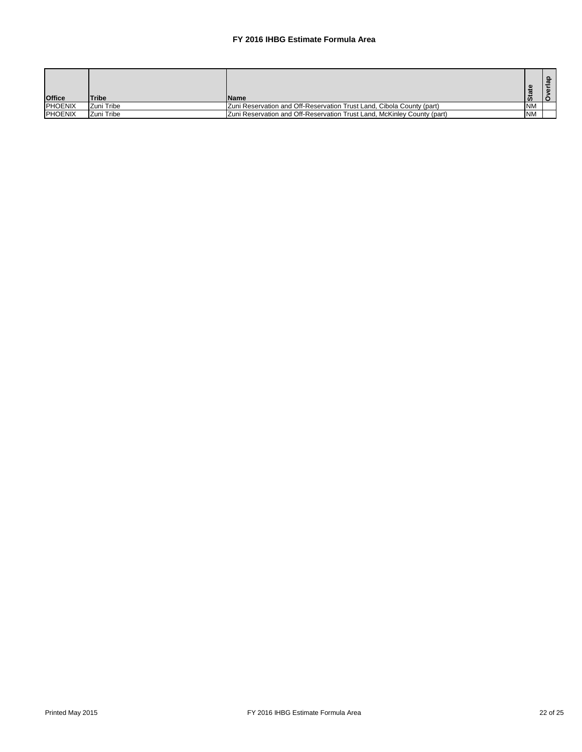| <b>Office</b>  | <b>Tribe</b> | <b>IName</b>                                                            |           |  |
|----------------|--------------|-------------------------------------------------------------------------|-----------|--|
| <b>PHOENIX</b> | IZuni Tribe  | [Zuni Reservation and Off-Reservation Trust Land, Cibola County (part)  | <b>NM</b> |  |
| <b>PHOENIX</b> | Zuni Tribe   | Zuni Reservation and Off-Reservation Trust Land, McKinley County (part) | <b>NM</b> |  |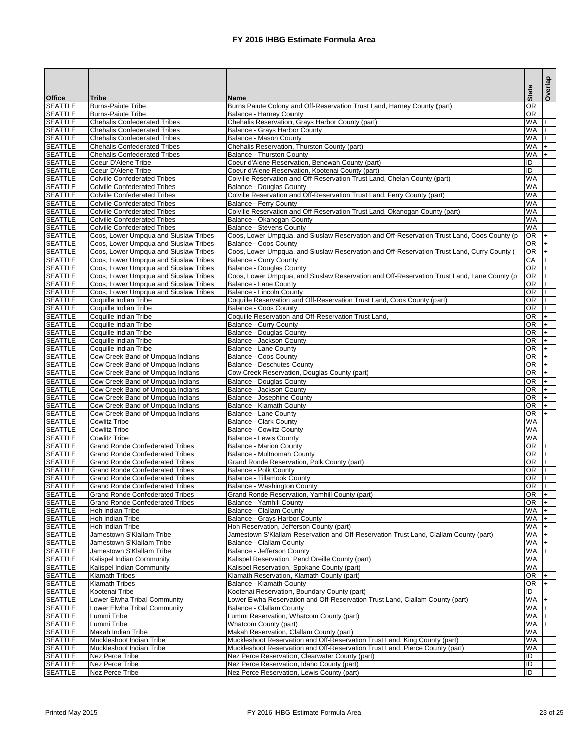|                                  |                                                                                  |                                                                                                                                | <b>State</b>                       | Overlap    |
|----------------------------------|----------------------------------------------------------------------------------|--------------------------------------------------------------------------------------------------------------------------------|------------------------------------|------------|
| <b>Office</b>                    | <b>Tribe</b>                                                                     | <b>Name</b>                                                                                                                    |                                    |            |
| <b>SEATTLE</b>                   | <b>Burns-Paiute Tribe</b>                                                        | Burns Paiute Colony and Off-Reservation Trust Land, Harney County (part)                                                       | OR                                 |            |
| <b>SEATTLE</b><br><b>SEATTLE</b> | <b>Burns-Paiute Tribe</b><br><b>Chehalis Confederated Tribes</b>                 | <b>Balance - Harney County</b><br>Chehalis Reservation, Grays Harbor County (part)                                             | OR<br>WA                           |            |
| <b>SEATTLE</b>                   | <b>Chehalis Confederated Tribes</b>                                              | Balance - Grays Harbor County                                                                                                  | WA                                 | $+$        |
| <b>SEATTLE</b>                   | <b>Chehalis Confederated Tribes</b>                                              | Balance - Mason County                                                                                                         | WA                                 | $+$        |
| <b>SEATTLE</b>                   | <b>Chehalis Confederated Tribes</b>                                              | Chehalis Reservation, Thurston County (part)                                                                                   | WA                                 | $+$        |
| <b>SEATTLE</b>                   | <b>Chehalis Confederated Tribes</b>                                              | <b>Balance - Thurston County</b>                                                                                               | <b>WA</b>                          | $+$        |
| <b>SEATTLE</b>                   | Coeur D'Alene Tribe                                                              | Coeur d'Alene Reservation, Benewah County (part)                                                                               | Ē<br>ID                            |            |
| <b>SEATTLE</b><br><b>SEATTLE</b> | Coeur D'Alene Tribe<br><b>Colville Confederated Tribes</b>                       | Coeur d'Alene Reservation, Kootenai County (part)<br>Colville Reservation and Off-Reservation Trust Land, Chelan County (part) | WA                                 |            |
| <b>SEATTLE</b>                   | <b>Colville Confederated Tribes</b>                                              | <b>Balance - Douglas County</b>                                                                                                | WA                                 |            |
| <b>SEATTLE</b>                   | <b>Colville Confederated Tribes</b>                                              | Colville Reservation and Off-Reservation Trust Land, Ferry County (part)                                                       | <b>WA</b>                          |            |
| <b>SEATTLE</b>                   | <b>Colville Confederated Tribes</b>                                              | Balance - Ferry County                                                                                                         | WA                                 |            |
| <b>SEATTLE</b>                   | <b>Colville Confederated Tribes</b>                                              | Colville Reservation and Off-Reservation Trust Land, Okanogan County (part)                                                    | <b>WA</b>                          |            |
| <b>SEATTLE</b>                   | <b>Colville Confederated Tribes</b>                                              | Balance - Okanogan County                                                                                                      | <b>WA</b>                          |            |
| <b>SEATTLE</b><br><b>SEATTLE</b> | <b>Colville Confederated Tribes</b><br>Coos, Lower Umpqua and Siuslaw Tribes     | <b>Balance - Stevens County</b><br>Coos, Lower Umpqua, and Siuslaw Reservation and Off-Reservation Trust Land, Coos County (p  | WA<br>OR                           |            |
| <b>SEATTLE</b>                   | Coos, Lower Umpqua and Siuslaw Tribes                                            | <b>Balance - Coos County</b>                                                                                                   | OR                                 | $+$        |
| <b>SEATTLE</b>                   | Coos, Lower Umpqua and Siuslaw Tribes                                            | Coos, Lower Umpqua, and Siuslaw Reservation and Off-Reservation Trust Land, Curry County (                                     | OR                                 | $+$        |
| <b>SEATTLE</b>                   | Coos, Lower Umpqua and Siuslaw Tribes                                            | <b>Balance - Curry County</b>                                                                                                  | CA                                 | $\ddot{}$  |
| <b>SEATTLE</b>                   | Coos, Lower Umpqua and Siuslaw Tribes                                            | <b>Balance - Douglas County</b>                                                                                                | OR                                 | $\ddot{}$  |
| <b>SEATTLE</b>                   | Coos, Lower Umpqua and Siuslaw Tribes                                            | Coos, Lower Umpqua, and Siuslaw Reservation and Off-Reservation Trust Land, Lane County (p                                     | OR                                 | $+$        |
| <b>SEATTLE</b>                   | Coos, Lower Umpqua and Siuslaw Tribes                                            | Balance - Lane County                                                                                                          | $\overline{OR}$                    | $\ddot{}$  |
| <b>SEATTLE</b><br><b>SEATTLE</b> | Coos, Lower Umpqua and Siuslaw Tribes<br>Coquille Indian Tribe                   | Balance - Lincoln County<br>Coquille Reservation and Off-Reservation Trust Land, Coos County (part)                            | $\overline{OR}$<br>$\overline{OR}$ | $+$<br>$+$ |
| <b>SEATTLE</b>                   | Coquille Indian Tribe                                                            | Balance - Coos County                                                                                                          | $\overline{OR}$                    | $+$        |
| <b>SEATTLE</b>                   | Coquille Indian Tribe                                                            | Coquille Reservation and Off-Reservation Trust Land,                                                                           | $\overline{OR}$                    | $+$        |
| <b>SEATTLE</b>                   | Coquille Indian Tribe                                                            | <b>Balance - Curry County</b>                                                                                                  | $\overline{OR}$                    | $+$        |
| <b>SEATTLE</b>                   | Coquille Indian Tribe                                                            | <b>Balance - Douglas County</b>                                                                                                | $\overline{OR}$                    | $+$        |
| <b>SEATTLE</b>                   | Coquille Indian Tribe                                                            | Balance - Jackson County                                                                                                       | $\overline{OR}$                    | $+$        |
| <b>SEATTLE</b>                   | Coquille Indian Tribe                                                            | Balance - Lane County                                                                                                          | $\overline{OR}$                    | $+$        |
| <b>SEATTLE</b><br><b>SEATTLE</b> | Cow Creek Band of Umpqua Indians<br>Cow Creek Band of Umpqua Indians             | Balance - Coos County<br><b>Balance - Deschutes County</b>                                                                     | $\overline{OR}$<br>$\overline{OR}$ | $\ddot{}$  |
| SEATTLE                          | Cow Creek Band of Umpqua Indians                                                 | Cow Creek Reservation, Douglas County (part)                                                                                   | OR.                                | $ + $      |
| <b>SEATTLE</b>                   | Cow Creek Band of Umpqua Indians                                                 | <b>Balance - Douglas County</b>                                                                                                | OR.                                | $+$        |
| <b>SEATTLE</b>                   | Cow Creek Band of Umpqua Indians                                                 | Balance - Jackson County                                                                                                       | OR.                                |            |
| <b>SEATTLE</b>                   | Cow Creek Band of Umpqua Indians                                                 | Balance - Josephine County                                                                                                     | OR.                                |            |
| <b>SEATTLE</b>                   | Cow Creek Band of Umpqua Indians                                                 | Balance - Klamath County                                                                                                       | OR.                                |            |
| <b>SEATTLE</b><br><b>SEATTLE</b> | Cow Creek Band of Umpqua Indians<br><b>Cowlitz Tribe</b>                         | Balance - Lane County<br><b>Balance - Clark County</b>                                                                         | IOR.<br><b>WA</b>                  |            |
| <b>SEATTLE</b>                   | <b>Cowlitz Tribe</b>                                                             | <b>Balance - Cowlitz County</b>                                                                                                | WA                                 |            |
| <b>SEATTLE</b>                   | <b>Cowlitz Tribe</b>                                                             | <b>Balance - Lewis County</b>                                                                                                  | <b>WA</b>                          |            |
| <b>SEATTLE</b>                   | <b>Grand Ronde Confederated Tribes</b>                                           | <b>Balance - Marion County</b>                                                                                                 | OR.                                |            |
| <b>SEATTLE</b>                   | <b>Grand Ronde Confederated Tribes</b>                                           | Balance - Multnomah County                                                                                                     | <b>OR</b>                          |            |
| <b>SEATTLE</b>                   | <b>Grand Ronde Confederated Tribes</b>                                           | Grand Ronde Reservation, Polk County (part)                                                                                    | IOR.                               |            |
| <b>SEATTLE</b><br><b>SEATTLE</b> | <b>Grand Ronde Confederated Tribes</b>                                           | Balance - Polk County<br>Balance - Tillamook County                                                                            | IOR.<br>IOR.                       |            |
| <b>SEATTLE</b>                   | <b>Grand Ronde Confederated Tribes</b><br><b>Grand Ronde Confederated Tribes</b> | Balance - Washington County                                                                                                    | OR.                                |            |
| <b>SEATTLE</b>                   | <b>Grand Ronde Confederated Tribes</b>                                           | Grand Ronde Reservation, Yamhill County (part)                                                                                 | OR.                                |            |
| <b>SEATTLE</b>                   | <b>Grand Ronde Confederated Tribes</b>                                           | <b>Balance - Yamhill County</b>                                                                                                | IOR.                               |            |
| <b>SEATTLE</b>                   | Hoh Indian Tribe                                                                 | Balance - Clallam County                                                                                                       | <b>WA</b>                          |            |
| <b>SEATTLE</b>                   | Hoh Indian Tribe                                                                 | Balance - Grays Harbor County                                                                                                  | <b>WA</b>                          |            |
| <b>SEATTLE</b>                   | Hoh Indian Tribe                                                                 | Hoh Reservation, Jefferson County (part)                                                                                       | <b>WA</b>                          |            |
| <b>SEATTLE</b><br><b>SEATTLE</b> | Jamestown S'Klallam Tribe<br>Jamestown S'Klallam Tribe                           | Jamestown S'Klallam Reservation and Off-Reservation Trust Land, Clallam County (part)<br>Balance - Clallam County              | <b>WA</b><br><b>WA</b>             |            |
| <b>SEATTLE</b>                   | Jamestown S'Klallam Tribe                                                        | <b>Balance - Jefferson County</b>                                                                                              | <b>WA</b>                          |            |
| <b>SEATTLE</b>                   | Kalispel Indian Community                                                        | Kalispel Reservation, Pend Oreille County (part)                                                                               | <b>WA</b>                          |            |
| <b>SEATTLE</b>                   | Kalispel Indian Community                                                        | Kalispel Reservation, Spokane County (part)                                                                                    | <b>WA</b>                          |            |
| <b>SEATTLE</b>                   | <b>Klamath Tribes</b>                                                            | Klamath Reservation, Klamath County (part)                                                                                     | OR.                                |            |
| <b>SEATTLE</b>                   | <b>Klamath Tribes</b>                                                            | Balance - Klamath County                                                                                                       | IOR.                               |            |
| <b>SEATTLE</b>                   | Kootenai Tribe                                                                   | Kootenai Reservation, Boundary County (part)                                                                                   | ID<br><b>WA</b>                    |            |
| <b>SEATTLE</b><br><b>SEATTLE</b> | Lower Elwha Tribal Community<br>Lower Elwha Tribal Community                     | Lower Elwha Reservation and Off-Reservation Trust Land, Clallam County (part)<br><b>Balance - Clallam County</b>               | <b>WA</b>                          |            |
| <b>SEATTLE</b>                   | Lummi Tribe                                                                      | Lummi Reservation, Whatcom County (part)                                                                                       | <b>WA</b>                          |            |
| <b>SEATTLE</b>                   | Lummi Tribe                                                                      | Whatcom County (part)                                                                                                          | <b>WA</b>                          |            |
| <b>SEATTLE</b>                   | Makah Indian Tribe                                                               | Makah Reservation, Clallam County (part)                                                                                       | <b>WA</b>                          |            |
| <b>SEATTLE</b>                   | Muckleshoot Indian Tribe                                                         | Muckleshoot Reservation and Off-Reservation Trust Land, King County (part)                                                     | WA                                 |            |
| <b>SEATTLE</b><br><b>SEATTLE</b> | Muckleshoot Indian Tribe                                                         | Muckleshoot Reservation and Off-Reservation Trust Land, Pierce County (part)                                                   | WA<br>ID                           |            |
| <b>SEATTLE</b>                   | Nez Perce Tribe<br>Nez Perce Tribe                                               | Nez Perce Reservation, Clearwater County (part)<br>Nez Perce Reservation, Idaho County (part)                                  | ID                                 |            |
| <b>SEATTLE</b>                   | Nez Perce Tribe                                                                  | Nez Perce Reservation, Lewis County (part)                                                                                     | lid                                |            |
|                                  |                                                                                  |                                                                                                                                |                                    |            |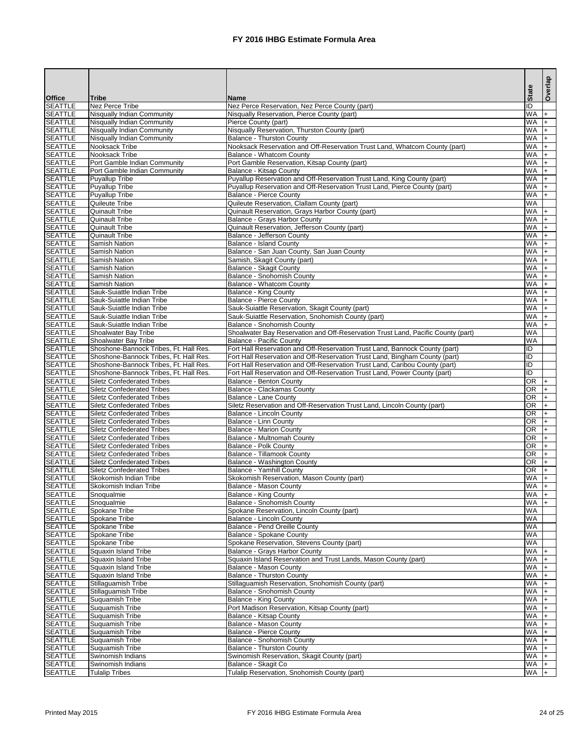|                                  |                                                                                  |                                                                                                                                                            |                          | Overlap  |
|----------------------------------|----------------------------------------------------------------------------------|------------------------------------------------------------------------------------------------------------------------------------------------------------|--------------------------|----------|
| <b>Office</b>                    | <b>Tribe</b>                                                                     | <b>Name</b>                                                                                                                                                | <b>State</b>             |          |
| <b>SEATTLE</b>                   | <b>Nez Perce Tribe</b>                                                           | Nez Perce Reservation, Nez Perce County (part)                                                                                                             | ID                       |          |
| <b>SEATTLE</b>                   | Nisqually Indian Community                                                       | Nisqually Reservation, Pierce County (part)                                                                                                                | WA                       | l+       |
| <b>SEATTLE</b>                   | Nisqually Indian Community                                                       | Pierce County (part)                                                                                                                                       | <b>WA</b>                | I+       |
| <b>SEATTLE</b><br><b>SEATTLE</b> | Nisqually Indian Community<br>Nisqually Indian Community                         | Nisqually Reservation, Thurston County (part)<br><b>Balance - Thurston County</b>                                                                          | <b>WA</b><br><b>WA</b>   | l+<br>I+ |
| <b>SEATTLE</b>                   | Nooksack Tribe                                                                   | Nooksack Reservation and Off-Reservation Trust Land, Whatcom County (part)                                                                                 | <b>WA</b>                |          |
| <b>SEATTLE</b>                   | Nooksack Tribe                                                                   | <b>Balance - Whatcom County</b>                                                                                                                            | <b>WA</b>                |          |
| <b>SEATTLE</b>                   | Port Gamble Indian Community                                                     | Port Gamble Reservation, Kitsap County (part)                                                                                                              | <b>WA</b>                |          |
| <b>SEATTLE</b>                   | Port Gamble Indian Community                                                     | <b>Balance - Kitsap County</b>                                                                                                                             | <b>WA</b>                |          |
| <b>SEATTLE</b>                   | <b>Puyallup Tribe</b>                                                            | Puyallup Reservation and Off-Reservation Trust Land, King County (part)                                                                                    | <b>WA</b>                |          |
| <b>SEATTLE</b>                   | Puyallup Tribe                                                                   | Puyallup Reservation and Off-Reservation Trust Land, Pierce County (part)                                                                                  | <b>WA</b>                |          |
| <b>SEATTLE</b><br><b>SEATTLE</b> | Puyallup Tribe<br>Quileute Tribe                                                 | <b>Balance - Pierce County</b>                                                                                                                             | <b>WA</b><br><b>WA</b>   |          |
| <b>SEATTLE</b>                   | <b>Quinault Tribe</b>                                                            | Quileute Reservation, Clallam County (part)<br>Quinault Reservation, Grays Harbor County (part)                                                            | <b>WA</b>                | I+       |
| <b>SEATTLE</b>                   | <b>Quinault Tribe</b>                                                            | <b>Balance - Grays Harbor County</b>                                                                                                                       | <b>WA</b>                |          |
| <b>SEATTLE</b>                   | <b>Quinault Tribe</b>                                                            | Quinault Reservation, Jefferson County (part)                                                                                                              | <b>WA</b>                |          |
| <b>SEATTLE</b>                   | <b>Quinault Tribe</b>                                                            | Balance - Jefferson County                                                                                                                                 | <b>WA</b>                |          |
| <b>SEATTLE</b>                   | Samish Nation                                                                    | <b>Balance - Island County</b>                                                                                                                             | <b>WA</b>                |          |
| <b>SEATTLE</b>                   | Samish Nation                                                                    | Balance - San Juan County, San Juan County                                                                                                                 | <b>WA</b>                |          |
| <b>SEATTLE</b>                   | Samish Nation                                                                    | Samish, Skagit County (part)                                                                                                                               | <b>WA</b>                |          |
| <b>SEATTLE</b><br><b>SEATTLE</b> | Samish Nation<br>Samish Nation                                                   | <b>Balance - Skagit County</b><br><b>Balance - Snohomish County</b>                                                                                        | <b>WA</b><br><b>WA</b>   |          |
| <b>SEATTLE</b>                   | <b>Samish Nation</b>                                                             | <b>Balance - Whatcom County</b>                                                                                                                            | <b>WA</b>                |          |
| <b>SEATTLE</b>                   | Sauk-Suiattle Indian Tribe                                                       | <b>Balance - King County</b>                                                                                                                               | <b>WA</b>                |          |
| <b>SEATTLE</b>                   | Sauk-Suiattle Indian Tribe                                                       | <b>Balance - Pierce County</b>                                                                                                                             | <b>WA</b>                |          |
| <b>SEATTLE</b>                   | Sauk-Suiattle Indian Tribe                                                       | Sauk-Suiattle Reservation, Skagit County (part)                                                                                                            | <b>WA</b>                |          |
| <b>SEATTLE</b>                   | Sauk-Suiattle Indian Tribe                                                       | Sauk-Suiattle Reservation, Snohomish County (part)                                                                                                         | <b>WA</b>                |          |
| <b>SEATTLE</b>                   | Sauk-Suiattle Indian Tribe                                                       | <b>Balance - Snohomish County</b>                                                                                                                          | <b>WA</b>                |          |
| <b>SEATTLE</b>                   | Shoalwater Bay Tribe                                                             | Shoalwater Bay Reservation and Off-Reservation Trust Land, Pacific County (part)                                                                           | <b>WA</b>                |          |
| <b>SEATTLE</b><br><b>SEATTLE</b> | Shoalwater Bay Tribe                                                             | Balance - Pacific County                                                                                                                                   | <b>WA</b><br>ID          |          |
| <b>SEATTLE</b>                   | Shoshone-Bannock Tribes, Ft. Hall Res.<br>Shoshone-Bannock Tribes, Ft. Hall Res. | Fort Hall Reservation and Off-Reservation Trust Land, Bannock County (part)<br>Fort Hall Reservation and Off-Reservation Trust Land, Bingham County (part) | $\overline{D}$           |          |
| <b>SEATTLE</b>                   | Shoshone-Bannock Tribes, Ft. Hall Res.                                           | Fort Hall Reservation and Off-Reservation Trust Land, Caribou County (part)                                                                                | $\overline{\mathsf{ID}}$ |          |
| <b>SEATTLE</b>                   | Shoshone-Bannock Tribes, Ft. Hall Res.                                           | Fort Hall Reservation and Off-Reservation Trust Land, Power County (part)                                                                                  | ID                       |          |
| <b>SEATTLE</b>                   | <b>Siletz Confederated Tribes</b>                                                | <b>Balance - Benton County</b>                                                                                                                             | IOR.                     | I+       |
| <b>SEATTLE</b>                   | <b>Siletz Confederated Tribes</b>                                                | <b>Balance - Clackamas County</b>                                                                                                                          | IOR.                     |          |
| <b>SEATTLE</b>                   | <b>Siletz Confederated Tribes</b>                                                | <b>Balance - Lane County</b>                                                                                                                               | IOR.                     |          |
| <b>SEATTLE</b>                   | <b>Siletz Confederated Tribes</b>                                                | Siletz Reservation and Off-Reservation Trust Land, Lincoln County (part)                                                                                   | IOR.                     |          |
| <b>SEATTLE</b><br><b>SEATTLE</b> | <b>Siletz Confederated Tribes</b><br><b>Siletz Confederated Tribes</b>           | <b>Balance - Lincoln County</b><br>Balance - Linn County                                                                                                   | IOR.<br><b>OR</b>        |          |
| <b>SEATTLE</b>                   | <b>Siletz Confederated Tribes</b>                                                | <b>Balance - Marion County</b>                                                                                                                             | <b>OR</b>                |          |
| <b>SEATTLE</b>                   | <b>Siletz Confederated Tribes</b>                                                | Balance - Multnomah County                                                                                                                                 | <b>OR</b>                |          |
| <b>SEATTLE</b>                   | <b>Siletz Confederated Tribes</b>                                                | <b>Balance - Polk County</b>                                                                                                                               | <b>OR</b>                |          |
| <b>SEATTLE</b>                   | <b>Siletz Confederated Tribes</b>                                                | Balance - Tillamook County                                                                                                                                 | <b>OR</b>                |          |
| <b>SEATTLE</b>                   | <b>Siletz Confederated Tribes</b>                                                | Balance - Washington County                                                                                                                                | <b>OR</b>                |          |
| <b>SEATTLE</b>                   | <b>Siletz Confederated Tribes</b>                                                | <b>Balance - Yamhill County</b>                                                                                                                            | <b>OR</b>                |          |
| <b>SEATTLE</b><br><b>SEATTLE</b> | Skokomish Indian Tribe<br><b>Skokomish Indian Tribe</b>                          | Skokomish Reservation, Mason County (part)<br>Balance - Mason County                                                                                       | <b>WA</b><br><b>WA</b>   |          |
| <b>SEATTLE</b>                   | Snoqualmie                                                                       | <b>Balance - King County</b>                                                                                                                               | <b>WA</b>                |          |
| <b>SEATTLE</b>                   | Snoqualmie                                                                       | <b>Balance - Snohomish County</b>                                                                                                                          | <b>WA</b>                |          |
| <b>SEATTLE</b>                   | Spokane Tribe                                                                    | Spokane Reservation, Lincoln County (part)                                                                                                                 | <b>WA</b>                |          |
| <b>SEATTLE</b>                   | <b>Spokane Tribe</b>                                                             | <b>Balance - Lincoln County</b>                                                                                                                            | <b>WA</b>                |          |
| <b>SEATTLE</b>                   | <b>Spokane Tribe</b>                                                             | <b>Balance - Pend Oreille County</b>                                                                                                                       | <b>WA</b>                |          |
| <b>SEATTLE</b>                   | <b>Spokane Tribe</b>                                                             | <b>Balance - Spokane County</b>                                                                                                                            | <b>WA</b>                |          |
| <b>SEATTLE</b>                   | Spokane Tribe                                                                    | Spokane Reservation, Stevens County (part)                                                                                                                 | <b>WA</b>                |          |
| <b>SEATTLE</b><br><b>SEATTLE</b> | Squaxin Island Tribe<br>Squaxin Island Tribe                                     | Balance - Grays Harbor County<br>Squaxin Island Reservation and Trust Lands, Mason County (part)                                                           | WA.<br><b>WA</b>         |          |
| <b>SEATTLE</b>                   | Squaxin Island Tribe                                                             | <b>Balance - Mason County</b>                                                                                                                              | <b>WA</b>                |          |
| <b>SEATTLE</b>                   | Squaxin Island Tribe                                                             | <b>Balance - Thurston County</b>                                                                                                                           | <b>WA</b>                |          |
| <b>SEATTLE</b>                   | Stillaguamish Tribe                                                              | Stillaguamish Reservation, Snohomish County (part)                                                                                                         | <b>WA</b>                |          |
| <b>SEATTLE</b>                   | Stillaguamish Tribe                                                              | <b>Balance - Snohomish County</b>                                                                                                                          | <b>WA</b>                |          |
| <b>SEATTLE</b>                   | <b>Suquamish Tribe</b>                                                           | <b>Balance - King County</b>                                                                                                                               | <b>WA</b>                |          |
| <b>SEATTLE</b>                   | <b>Suquamish Tribe</b>                                                           | Port Madison Reservation, Kitsap County (part)                                                                                                             | <b>WA</b>                |          |
| <b>SEATTLE</b>                   | Suquamish Tribe                                                                  | <b>Balance - Kitsap County</b>                                                                                                                             | <b>WA</b>                |          |
| <b>SEATTLE</b><br><b>SEATTLE</b> | Suquamish Tribe<br>Suquamish Tribe                                               | <b>Balance - Mason County</b><br>Balance - Pierce County                                                                                                   | <b>WA</b><br><b>WA</b>   |          |
| <b>SEATTLE</b>                   | <b>Suquamish Tribe</b>                                                           | <b>Balance - Snohomish County</b>                                                                                                                          | <b>WA</b>                |          |
| <b>SEATTLE</b>                   | <b>Suquamish Tribe</b>                                                           | Balance - Thurston County                                                                                                                                  | <b>WA</b>                |          |
| <b>SEATTLE</b>                   | Swinomish Indians                                                                | Swinomish Reservation, Skagit County (part)                                                                                                                | <b>WA</b>                |          |
| <b>SEATTLE</b>                   | Swinomish Indians                                                                | Balance - Skagit Co                                                                                                                                        | WA                       | l+       |
| <b>SEATTLE</b>                   | <b>Tulalip Tribes</b>                                                            | Tulalip Reservation, Snohomish County (part)                                                                                                               | <b>WA</b>                | $+$      |